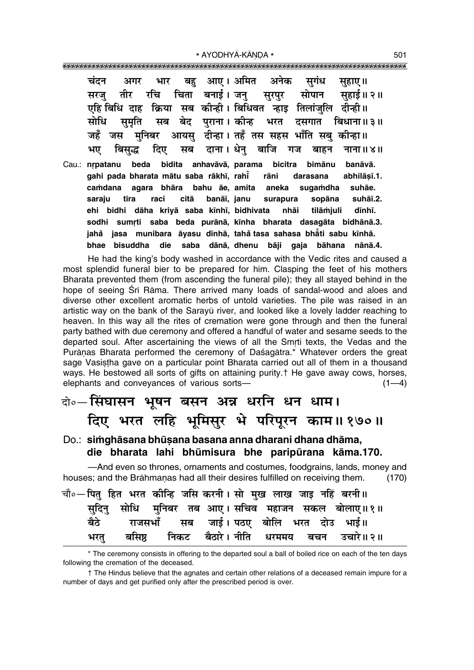| चंदन अगर भार बहु आए।अमित अनेक सुगंध                                                                                                                                                                 |                     | सुहाए।। |
|-----------------------------------------------------------------------------------------------------------------------------------------------------------------------------------------------------|---------------------|---------|
| सरजु तीर रचि चिता बनाई।जनु सुरपुर सोपान सुहाई॥२॥                                                                                                                                                    |                     |         |
| एहि बिधि दाह क्रिया सब कीन्ही। बिधिवत न्हाइ तिलांजुलि दीन्ही॥                                                                                                                                       |                     |         |
| सोधि सुमृति सब बेद पुराना।कोन्ह भरत दसगात बिधाना॥३॥                                                                                                                                                 |                     |         |
| जहँ जस मुनिबर आयसु दीन्हा।तहँ तस सहस भाँति सबु कीन्हा॥                                                                                                                                              |                     |         |
| बिसुद्ध दिए सब दाना।धेनु बाजि गज बाहन नाना॥४॥<br>भए                                                                                                                                                 |                     |         |
| Cau.: nrpatanu beda bidita anhavāvā, parama bicitra bimānu banāvā.<br>gahi pada bharata mātu saba rākhī, rahī rāni darasana abhilāsī.1.<br>camdana agara bhāra bahu āe, amita aneka sugamdha suhāe. |                     |         |
| tīra raci citā banāī, janu surapura sopāna suhāī.2.<br>saraju                                                                                                                                       |                     |         |
| ehi bidhi dāha kriyā saba kīnhī, bidhivata nhāi tilāmjuli dīnhī.                                                                                                                                    |                     |         |
| sodhi sumrti saba beda purānā, kīnha bharata dasagāta bidhānā.3.                                                                                                                                    |                     |         |
| jahå jasa munibara āyasu dīnhā, tahåtasa sahasa bhāti sabu kīnhā.                                                                                                                                   |                     |         |
| bisuddha die saba dānā, dhenu bāji<br>bhae                                                                                                                                                          | gaja bāhana nānā.4. |         |

He had the king's body washed in accordance with the Vedic rites and caused a most splendid funeral bier to be prepared for him. Clasping the feet of his mothers Bharata prevented them (from ascending the funeral pile); they all stayed behind in the hope of seeing Srī Rāma. There arrived many loads of sandal-wood and aloes and diverse other excellent aromatic herbs of untold varieties. The pile was raised in an artistic way on the bank of the Sarayū river, and looked like a lovely ladder reaching to heaven. In this way all the rites of cremation were gone through and then the funeral party bathed with due ceremony and offered a handful of water and sesame seeds to the departed soul. After ascertaining the views of all the Smrti texts, the Vedas and the Purāņas Bharata performed the ceremony of Daśagātra.\* Whatever orders the great sage Vasistha gave on a particular point Bharata carried out all of them in a thousand ways. He bestowed all sorts of gifts on attaining purity.<sup>†</sup> He gave away cows, horses, elephants and conveyances of various sorts- $(1-4)$ 

### वो० सिंघासन भूषन बसन अन्न धरनि धन धाम।

दिए भरत लहि भूमिसुर भे परिपूरन काम॥१७०॥

#### Do.: simghāsana bhūsana basana anna dharani dhana dhāma, die bharata lahi bhūmisura bhe paripūrana kāma.170.

-And even so thrones, ornaments and costumes, foodgrains, lands, money and houses; and the Brāhmanas had all their desires fulfilled on receiving them.  $(170)$ 

| चौ०—पित् हित भरत कीन्हि जसि करनी। सो मुख लाख जाइ नहिं बरनी॥ |  |  |                                            |                                                  |
|-------------------------------------------------------------|--|--|--------------------------------------------|--------------------------------------------------|
|                                                             |  |  |                                            | सुदिनु सोधि मुनिबर तब आए।सचिव महाजन सकल बोलाए॥१॥ |
|                                                             |  |  | बैठे राजसभाँ सब जाई। पठए बोलि भरत दोउ भाई॥ |                                                  |
|                                                             |  |  |                                            | भरत् बसिष्ठ निकट बैठारे। नीति धरममय बचन उचारे॥२॥ |

<sup>\*</sup> The ceremony consists in offering to the departed soul a ball of boiled rice on each of the ten days following the cremation of the deceased.

<sup>†</sup> The Hindus believe that the agnates and certain other relations of a deceased remain impure for a number of days and get purified only after the prescribed period is over.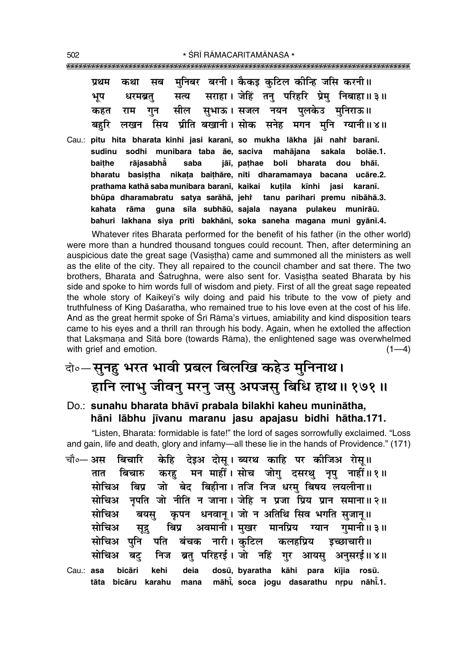|  |  |  |  | प्रथम कथा सब मुनिबर बरनी। कैकइ कुटिल कीन्हि जसि करनी॥     |
|--|--|--|--|-----------------------------------------------------------|
|  |  |  |  | भूप धरमब्रतु सत्य सराहा।जेहिं तनु परिहरि प्रेमु निबाहा॥३॥ |
|  |  |  |  | कहत राम गुन सील सुभाऊ।सजल नयन पुलकेउ मुनिराऊ॥             |
|  |  |  |  | बहरि लखन सिय प्रीति बखानी।सोक सनेह मगन मुनि ग्यानी॥४॥     |

Cau.: pitu hita bharata kīnhi jasi karanī, so mukha lākha jāi nahi baranī. sudinu sodhi munibara taba āe, saciva mahājana sakala bolāe.1. rājasabhå baithe saba jāī, pathae boli bharata dou bhāī. bharatu basistha nikata baithāre, nīti dharamamaya bacana ucāre.2. prathama kathā saba munibara baranī, kaikai kutila kīnhi iasi karanī. bhūpa dharamabratu satya sarāhā, jehi tanu parihari premu nibāhā.3. rāma guna sīla subhāū, sajala nayana pulakeu munirāū. kahata bahuri lakhana siya prīti bakhānī, soka saneha magana muni gyānī.4.

Whatever rites Bharata performed for the benefit of his father (in the other world) were more than a hundred thousand tongues could recount. Then, after determining an auspicious date the great sage (Vasistha) came and summoned all the ministers as well as the elite of the city. They all repaired to the council chamber and sat there. The two brothers, Bharata and Śatrughna, were also sent for. Vasistha seated Bharata by his side and spoke to him words full of wisdom and piety. First of all the great sage repeated the whole story of Kaikeyi's wily doing and paid his tribute to the vow of piety and truthfulness of King Daśaratha, who remained true to his love even at the cost of his life. And as the great hermit spoke of Sri Rama's virtues, amiability and kind disposition tears came to his eyes and a thrill ran through his body. Again, when he extolled the affection that Laksmana and Sita bore (towards Rāma), the enlightened sage was overwhelmed with grief and emotion.  $(1-4)$ 

### दो॰-सुनहु भरत भावी प्रबल बिलखि कहेउ मुनिनाथ। हानि लाभु जीवनु मरनु जसु अपजसु बिधि हाथ॥ १७१॥

Do.: sunahu bharata bhāvī prabala bilakhi kaheu muninātha, hāni lābhu jīvanu maranu jasu apajasu bidhi hātha.171.

"Listen, Bharata: formidable is fate!" the lord of sages sorrowfully exclaimed. "Loss and gain, life and death, glory and infamy—all these lie in the hands of Providence." (171)

बिचारि केहि देइअ दोस् । ब्यरथ काहि पर कीजिअ रोस् ॥ चौ०— अस बिचारु करहु मन माहीं।सोच जोगु दसरथु नृपु नाहीं॥१॥ तात सोचिअ बिप्र जो बेद बिहीना। तजि निज धरम बिषय लयलीना॥ सोचिअ नपति जो नीति न जाना। जेहि न प्रजा प्रिय प्रान समाना॥२॥ कृपन धनवान् । जो न अतिथि सिव भगति सुजान् ॥ सोचिअ बयस अवमानी । मुखर मानप्रिय ग्यान गुमानी ॥ ३ ॥ बिप्र सोचिअ सुद्र बंचक नारी। कुटिल सोचिअ पनि पति कलहप्रिय डच्छाचारी॥ ब्रत परिहरई। जो नहिं गर आयस अनसरई॥४॥ निज मोचिअ बट Cau.: asa bicāri kehi deia dosū, byaratha kāhi para kījia rosū.

mana māhi, soca jogu dasarathu nrpu nāhi.1. tāta bicāru karahu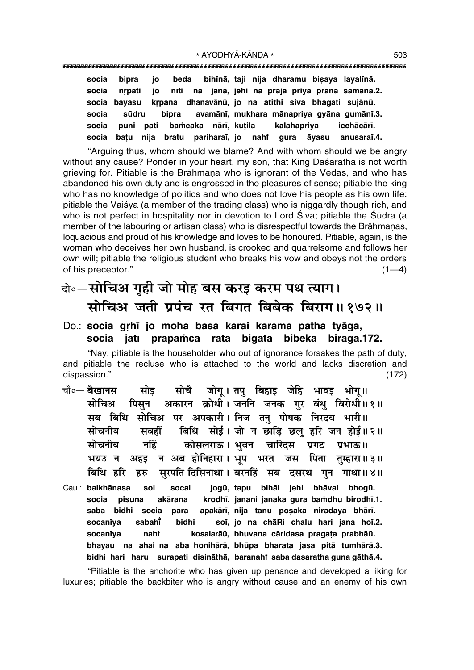socia bipra jo beda bihīnā, taji nija dharamu bisaya layalīnā. na jānā, jehi na prajā priya prāna samānā.2. nrpati socia io nīti krpana dhanavānū, io na atithi siva bhagati sujānū. socia bavasu avamānī, mukhara mānapriya gyāna gumānī.3. socia sūdru bipra socia puni pati bamcaka nārī, kutila kalahapriya icchācārī. socia batu nija bratu pariharaī, jo nahi gura āvasu anusaraī.4.

"Arguing thus, whom should we blame? And with whom should we be angry without any cause? Ponder in your heart, my son, that King Daśaratha is not worth grieving for. Pitiable is the Brāhmana who is ignorant of the Vedas, and who has abandoned his own duty and is engrossed in the pleasures of sense; pitiable the king who has no knowledge of politics and who does not love his people as his own life: pitiable the Vaisya (a member of the trading class) who is niggardly though rich, and who is not perfect in hospitality nor in devotion to Lord Siva; pitiable the Sūdra (a member of the labouring or artisan class) who is disrespectful towards the Brāhmanas, loguacious and proud of his knowledge and loves to be honoured. Pitiable, again, is the woman who deceives her own husband, is crooked and quarrelsome and follows her own will; pitiable the religious student who breaks his vow and obeys not the orders of his preceptor."  $(1-4)$ 

#### वे॰-सोचिअ गृही जो मोह बस करइ करम पथ त्याग। सोचिअ जती प्रपंच रत बिगत बिबेक बिराग॥१७२॥

#### Do.: socia grhī jo moha basa karai karama patha tyāga, socia jatī prapamca rata bigata bibeka birāga.172.

"Nay, pitiable is the householder who out of ignorance forsakes the path of duty. and pitiable the recluse who is attached to the world and lacks discretion and dispassion."  $(172)$ 

- जोग्। तप बिहाड़ जेहि भावड़ भोग्॥ चौ∘— बैखानस सोचै सोड सोचिअ पिसन अकारन क्रोधी। जननि जनक गर बंधु बिरोधी॥१॥ सब बिधि सोचिअ पर अपकारी। निज तन् पोषक निरदय भारी॥ बिधि सोई। जो न छाड़ि छलु हरि जन होई॥२॥ सोचनीय सबर्हों नहिं कोसलराऊ। भवन चारिदस सोचनीय प्रगट प्रभाऊ॥ अहड़ न अब होनिहारा। भूष भरत जस पिता तुम्हारा॥३॥ भयउ न बिधि हरि सुरपति दिसिनाथा। बरनहिं सब दसरथ गुन गाथा॥४॥ हरु
- jogū, tapu bihāi jehi bhāvai bhogū. Cau.: baikhānasa soi socai krodhī, janani janaka gura bamdhu birodhī.1. socia pisuna akārana saba bidhi socia apakārī, nija tanu posaka niradaya bhārī. para socanīva sabahi bidhi soi, jo na chāRi chalu hari jana hoi.2. socanīya nahi kosalarāū, bhuvana cāridasa pragata prabhāū. bhayau na ahai na aba honihārā, bhūpa bharata jasa pitā tumhārā.3. bidhi hari haru surapati disināthā, baranahi saba dasaratha guna gāthā.4.

"Pitiable is the anchorite who has given up penance and developed a liking for luxuries; pitiable the backbiter who is angry without cause and an enemy of his own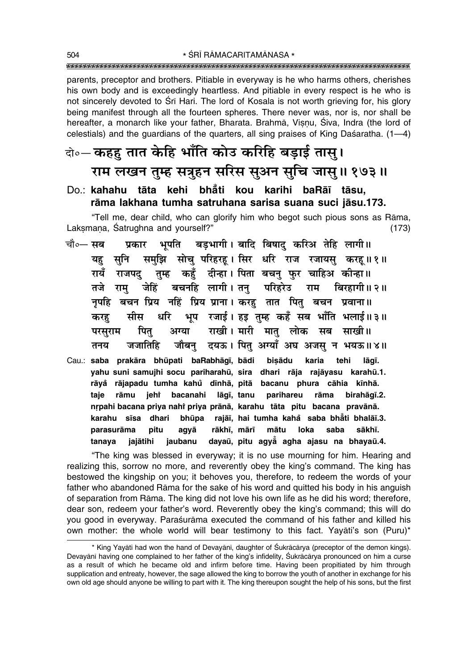parents, preceptor and brothers. Pitiable in everyway is he who harms others, cherishes his own body and is exceedingly heartless. And pitiable in every respect is he who is not sincerely devoted to Srī Hari. The lord of Kosala is not worth grieving for, his glory being manifest through all the fourteen spheres. There never was, nor is, nor shall be hereafter, a monarch like your father, Bharata. Brahmā, Visnu, Śiva, Indra (the lord of celestials) and the quardians of the quarters, all sing praises of King Dasaratha. (1–4)

### वे∘– कहह तात केहि भाँति कोउ करिहि बड़ाई तास् । राम लखन तुम्ह सत्रुहन सरिस सुअन सुचि जासु॥ १७३॥

#### Do.: kahahu tāta kehi bhåti kou karihi baRāī tāsu. rāma lakhana tumha satruhana sarisa suana suci jāsu.173.

"Tell me, dear child, who can glorify him who begot such pious sons as Rāma, Laksmana, Satrughna and yourself?"  $(173)$ 

- चौ०— सब भूपति बड़भागी। बादि बिषाद करिअ तेहि लागी॥ प्रकार समुझि सोचु परिहरहू। सिर धरि राज रजायसु करहू॥१॥ यह सूनि तम्ह कहँ दीन्हा। पिता बचन फर चाहिअ कीन्हा॥ गयँ राजपद जेहिं बचनहि लागी। तन परिहरेउ तजे राम राम बिरहागी ॥ २ ॥ नृपहि बचन प्रिय नहिं प्रिय प्राना। करह तात पितु बचन प्रवाना॥ भूष रजाई। हड़ तुम्ह कहँ सब भाँति भलाई॥३॥ मीस धरि करह राखी। मारी मात लोक सब साखी॥ अग्या परसराम पित् जौबन् दयऊ। पित् अग्याँ अघ अजस् न भयऊ॥४॥ जजातिहि तनय
- Cau.: saba prakāra bhūpati baRabhāqī, bādi bisādu karia tehi lāgī. yahu suni samujhi socu pariharahū, sira dhari rāja rajāyasu karahū.1. rāyå rājapadu tumha kahů dīnhā, pitā bacanu phura cāhia kīnhā. taje rāmu jehî bacanahi lāgī, tanu parihareu rāma birahāqī.2. nrpahi bacana priya nahi priya prānā, karahu tāta pitu bacana pravānā. karahu sīsa dhari bhūpa rajāī, hai tumha kaha saba bhati bhalāī.3. pitu parasurāma agyā rākhī, mārī mātu loka saba sākhī. jaubanu dayaū, pitu agya agha ajasu na bhayaū.4. tanaya jajātihi

"The king was blessed in everyway; it is no use mourning for him. Hearing and realizing this, sorrow no more, and reverently obey the king's command. The king has bestowed the kingship on you; it behoves you, therefore, to redeem the words of your father who abandoned Rāma for the sake of his word and quitted his body in his anguish of separation from Rāma. The king did not love his own life as he did his word; therefore, dear son, redeem your father's word. Reverently obey the king's command; this will do you good in everyway. Paraśurāma executed the command of his father and killed his own mother: the whole world will bear testimony to this fact. Yayati's son (Puru)\*

<sup>\*</sup> King Yayāti had won the hand of Devayānī, daughter of Śukrācārya (preceptor of the demon kings). Devayānī having one complained to her father of the king's infidelity, Śukrācārya pronounced on him a curse as a result of which he became old and infirm before time. Having been propitiated by him through supplication and entreaty, however, the sage allowed the king to borrow the youth of another in exchange for his own old age should anyone be willing to part with it. The king thereupon sought the help of his sons, but the first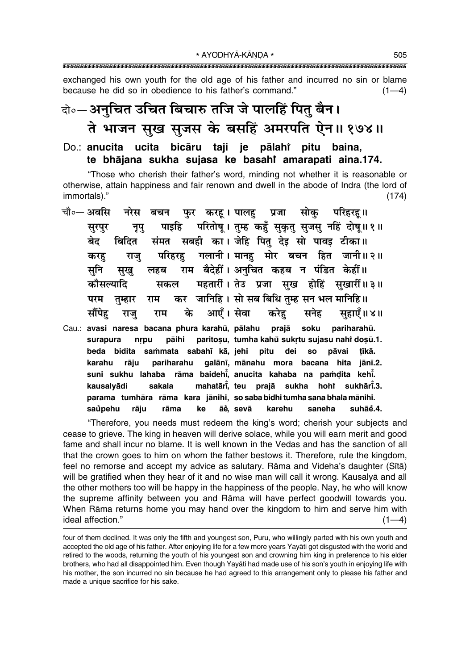exchanged his own youth for the old age of his father and incurred no sin or blame because he did so in obedience to his father's command."  $(1-4)$ 

## दो∘—अनुचित उचित बिचारु तजि जे पालहिं पितु बैन। ते भाजन सुख सुजस के बसहिं अमरपति ऐन॥ १७४॥

#### Do.: anucita ucita bicāru taji je pālahi pitu baina, te bhājana sukha sujasa ke basahi amarapati aina.174.

"Those who cherish their father's word, minding not whether it is reasonable or otherwise, attain happiness and fair renown and dwell in the abode of Indra (the lord of immortals)."  $(174)$ 

| सूरपुर |                              |  |  |  |                                            |                                                                                                                                                                                                                                                                                                                                                                                                                                                                                                                                                                                                      |
|--------|------------------------------|--|--|--|--------------------------------------------|------------------------------------------------------------------------------------------------------------------------------------------------------------------------------------------------------------------------------------------------------------------------------------------------------------------------------------------------------------------------------------------------------------------------------------------------------------------------------------------------------------------------------------------------------------------------------------------------------|
| बेद    |                              |  |  |  |                                            |                                                                                                                                                                                                                                                                                                                                                                                                                                                                                                                                                                                                      |
| करह    |                              |  |  |  |                                            |                                                                                                                                                                                                                                                                                                                                                                                                                                                                                                                                                                                                      |
| सनि    |                              |  |  |  |                                            |                                                                                                                                                                                                                                                                                                                                                                                                                                                                                                                                                                                                      |
|        |                              |  |  |  |                                            |                                                                                                                                                                                                                                                                                                                                                                                                                                                                                                                                                                                                      |
|        |                              |  |  |  |                                            |                                                                                                                                                                                                                                                                                                                                                                                                                                                                                                                                                                                                      |
|        |                              |  |  |  |                                            |                                                                                                                                                                                                                                                                                                                                                                                                                                                                                                                                                                                                      |
|        |                              |  |  |  |                                            |                                                                                                                                                                                                                                                                                                                                                                                                                                                                                                                                                                                                      |
|        |                              |  |  |  |                                            |                                                                                                                                                                                                                                                                                                                                                                                                                                                                                                                                                                                                      |
| beda   |                              |  |  |  |                                            | tīkā.                                                                                                                                                                                                                                                                                                                                                                                                                                                                                                                                                                                                |
|        | कौसल्यादि<br>परम<br>surapura |  |  |  | bidita sammata sabahī kā, jehi pitu dei so | चौ∘— अवसि   नरेस  बचन   फुर  करहू । पालहु   प्रजा   सोकु    परिहरहू॥<br>नृपु पाइहि परितोषू। तुम्ह कहुँ सुकृतु सुजसु नहिं दोषू॥१॥<br>बिदित संमत सबही का। जेहि पितु देइ सो पावइ टीका॥<br>राजु परिहरहु गलानी। मानहु मोर बचन हित जानी॥२॥<br>सुखु लहब राम बैदेहीं। अनुचित कहब न पंडित केहीं॥<br>्सकल महतारीं। तेउ प्रजा सुख होहिं सुखारीं॥३॥<br>तुम्हार राम कर जानिहि। सो सब बिधि तुम्ह सन भल मानिहि॥<br>सौंपेह राजु राम के आएँ।सेवा करेहु सनेह सुहाएँ॥४॥<br>Cau.: avasi naresa bacana phura karahū, pālahu prajā soku pariharahū.<br>nrpu pāihi paritosu, tumha kahů sukrtu sujasu nahi dosū.1.<br>pāvai |

galānī, mānahu mora bacana hita jānī.2. karahu rāju pariharahu suni sukhu lahaba rāma baidehi, anucita kahaba na pamdita kehi. mahatāri, teu prajā sukha hohr kausalvādi sakala sukhārī.3. parama tumhāra rāma kara jānihi, so saba bidhi tumha sana bhala mānihi. saůpehu rāiu rāma ke āĕ, sevā karehu saneha suhāĕ.4.

"Therefore, you needs must redeem the king's word; cherish your subjects and cease to grieve. The king in heaven will derive solace, while you will earn merit and good fame and shall incur no blame. It is well known in the Vedas and has the sanction of all that the crown goes to him on whom the father bestows it. Therefore, rule the kingdom, feel no remorse and accept my advice as salutary. Rāma and Videha's daughter (Sītā) will be gratified when they hear of it and no wise man will call it wrong. Kausalyā and all the other mothers too will be happy in the happiness of the people. Nay, he who will know the supreme affinity between you and Rāma will have perfect goodwill towards you. When Rāma returns home you may hand over the kingdom to him and serve him with ideal affection."  $(1-4)$ 

four of them declined. It was only the fifth and youngest son, Puru, who willingly parted with his own youth and accepted the old age of his father. After enjoying life for a few more years Yayati got disgusted with the world and retired to the woods, returning the youth of his youngest son and crowning him king in preference to his elder brothers, who had all disappointed him. Even though Yayati had made use of his son's youth in enjoying life with his mother, the son incurred no sin because he had agreed to this arrangement only to please his father and made a unique sacrifice for his sake.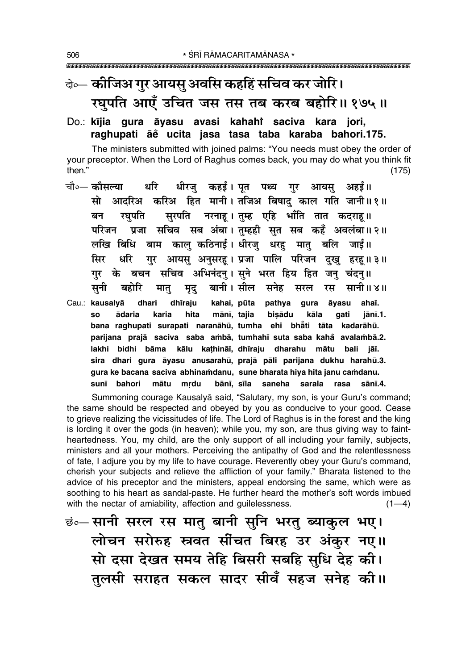## के— कोजिअ गुर आयसु अवसि कहहिं सचिव कर जोरि। रघुपति आएँ उचित जस तस तब करब बहोरि॥ १७५॥

#### Do.: kījia gura āyasu avasi kahahi saciva kara jori, raghupati āĕ ucita jasa tasa taba karaba bahori.175.

The ministers submitted with joined palms: "You needs must obey the order of your preceptor. When the Lord of Raghus comes back, you may do what you think fit then."  $(175)$ 

- धीरज कहर्ड। पत पथ्य गर आयस अहर्ड॥ चौ०— कौसल्या धरि सो आदरिअ करिअ हित मानी। तजिअ बिषादु काल गति जानी॥१॥ सुरपति नरनाह।तुम्ह एहि भाँति तात कदराह॥ बन रघपति परिजन प्रजा सचिव सब अंबा।तुम्हही सुत सब कहँ अवलंबा॥२॥ लखि बिधि बाम कालु कठिनाई। धीरजु धरहु मातु बलि जाई॥ गुर आयसु अनुसरह। प्रजा पालि परिजन दुखु हरह॥३॥ सिर धरि गुर के बचन सचिव अभिनंदनु। सुने भरत हिय हित जनु चंदनु॥ सनी बहोरि बानी। सील सनेह सरल रस सानी॥४॥ मात् मुद
- Cau.: kausalyā dhari dhīraju kahai, pūta pathya gura āyasu ahaī. mānī, tajia bisādu ādaria karia hita kāla qati **SO** jānī.1. bana raghupati surapati naranāhū, tumha ehi bhāti tāta kadarāhū. parijana prajā saciva saba ambā, tumhahī suta saba kahă avalambā.2. lakhi bidhi bāma kālu kathināi, dhīraju dharahu mātu bali jāī. sira dhari gura āyasu anusarahū, prajā pāli parijana dukhu harahū.3. gura ke bacana saciva abhinamdanu, sune bharata hiya hita janu camdanu. sunī bahori mātu mrdu bānī, sīla saneha sarala rasa sānī.4.

Summoning courage Kausalyā said, "Salutary, my son, is your Guru's command; the same should be respected and obeyed by you as conducive to your good. Cease to grieve realizing the vicissitudes of life. The Lord of Raghus is in the forest and the king is lording it over the gods (in heaven); while you, my son, are thus giving way to faintheartedness. You, my child, are the only support of all including your family, subjects, ministers and all your mothers. Perceiving the antipathy of God and the relentlessness of fate, I adjure you by my life to have courage. Reverently obey your Guru's command, cherish your subjects and relieve the affliction of your family." Bharata listened to the advice of his preceptor and the ministers, appeal endorsing the same, which were as soothing to his heart as sandal-paste. He further heard the mother's soft words imbued with the nectar of amiability, affection and guilelessness.  $(1-4)$ 

<u>छं०- सानी सरल रस मातु बानी सुनि भरतु ब्याकुल भए।</u> लोचन सरोरुह स्त्रवत सींचत बिरह उर अंकुर नए॥ सो दसा देखत समय तेहि बिसरी सबहि सुधि देह की। तुलसी सराहत सकल सादर सीवँ सहज सनेह की।।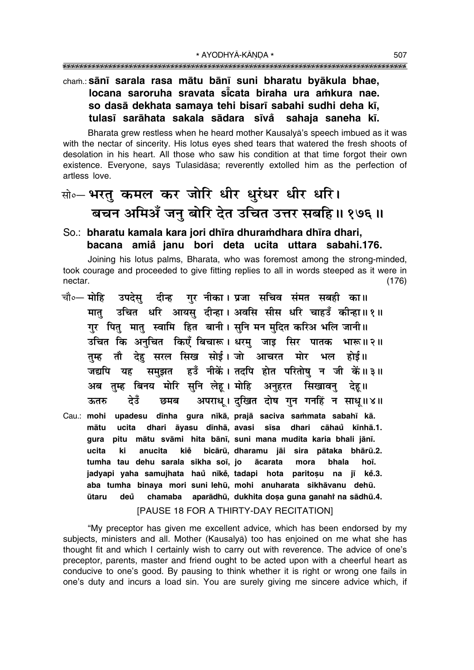#### cham.: sānī sarala rasa mātu bānī suni bharatu byākula bhae, locana saroruha sravata sicata biraha ura amkura nae. so dasā dekhata samaya tehi bisarī sabahi sudhi deha kī, tulasī sarāhata sakala sādara sīvå sahaja saneha kī.

Bharata grew restless when he heard mother Kausalya's speech imbued as it was with the nectar of sincerity. His lotus eves shed tears that watered the fresh shoots of desolation in his heart. All those who saw his condition at that time forgot their own existence. Everyone, says Tulasīdāsa; reverently extolled him as the perfection of artless love.

### सो॰– भरत् कमल कर जोरि धीर धुरंधर धीर धरि। बचन अमिअँ जनु बोरि देत उचित उत्तर सबहि॥ १७६॥

#### So.: bharatu kamala kara jori dhīra dhuramdhara dhīra dhari, bacana amiå janu bori deta ucita uttara sabahi.176.

Joining his lotus palms, Bharata, who was foremost among the strong-minded, took courage and proceeded to give fitting replies to all in words steeped as it were in  $(176)$ nectar.

- चौ०— मोहि उपदेस् दीन्ह गरननीका।प्रजा सचिव संमत सबही का॥ मात् उचित धरि आयस् दीन्हा। अवसि सीस धरि चाहउँ कीन्हा॥१॥ गर पितु मातु स्वामि हित बानी। सुनि मन मुदित करिअ भलि जानी॥ उचित कि अनुचित किएँ बिचारू। धरमु जाइ सिर पातक भारू॥२॥ तम्ह तौ देह सरल सिख सोई। जो आचरत मोर भल होई॥ जद्यपि यह समुझत हउँ नीकें। तदपि होत परितोषु न जी कें॥३॥ अब तुम्ह बिनय मोरि सुनि लेहू। मोहि अनुहरत सिखावनु देहू॥ अपराध् । दखित दोष गन गनहिं न साध् ॥४॥ ऊतरु देउँ छमब
- Cau.: mohi upadesu dīnha gura nīkā, prajā saciva sammata sabahī kā. mātu ucita dhari āyasu dīnhā, ayasi sīsa dhari cāhau kīnhā.1. gura pitu mātu svāmi hita bānī, suni mana mudita karia bhali jānī. ucita ki anucita kiě bicārū, dharamu jāi sira pātaka bhārū.2. tumha tau dehu sarala sikha soi, jo ācarata mora bhala hoī. jadyapi yaha samujhata haŭ nīkė, tadapi hota paritosu na jī kė.3. aba tumha binaya mori suni lehū, mohi anuharata sikhāvanu dehū. chamaba aparādhū, dukhita doșa guna ganahi na sādhū.4. ūtaru deů

#### [PAUSE 18 FOR A THIRTY-DAY RECITATION]

"My preceptor has given me excellent advice, which has been endorsed by my subjects, ministers and all. Mother (Kausalya) too has enjoined on me what she has thought fit and which I certainly wish to carry out with reverence. The advice of one's preceptor, parents, master and friend ought to be acted upon with a cheerful heart as conducive to one's good. By pausing to think whether it is right or wrong one fails in one's duty and incurs a load sin. You are surely giving me sincere advice which, if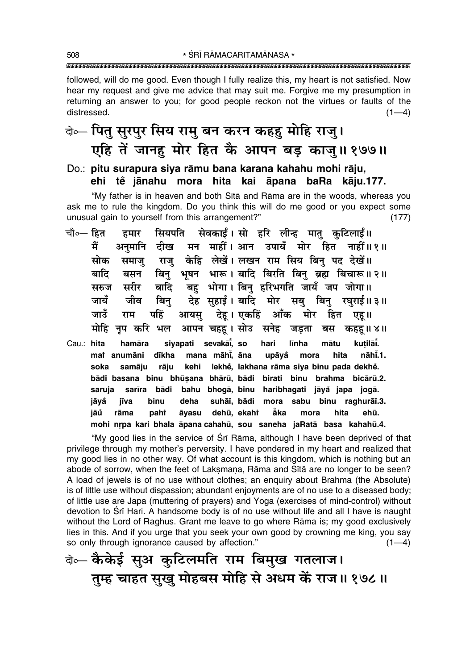followed, will do me good. Even though I fully realize this, my heart is not satisfied. Now hear my request and give me advice that may suit me. Forgive me my presumption in returning an answer to you; for good people reckon not the virtues or faults of the distressed.  $(1-4)$ 

### बे⊶ पितु सुरपुर सिय रामु बन करन कहहु मोहि राजु। एहि तें जानह़ मोर हित कै आपन बड़ काजु॥ १७७॥

Do.: pitu surapura siya rāmu bana karana kahahu mohi rāju, ehi tě jānahu mora hita kai āpana baRa kāju.177.

"My father is in heaven and both Sita and Rama are in the woods, whereas you ask me to rule the kingdom. Do you think this will do me good or you expect some unusual gain to yourself from this arrangement?"  $(177)$ 

- चौ०— हित हमार सियपति सेवकाईं।सो हरि लीन्ह मात् कुटिलाईं॥ मैं अनमानि दीख मन माहीं। आन उपायँ मोर हित नाहीं॥१॥ राज केहि लेखें। लखन राम सिय बिन पद देखें॥ मोक समाज बिनु भूषन भारू। बादि बिरति बिन् ब्रह्म बिचारू॥ २॥ बाटि बसन बहु भोगा। बिनु हरिभगति जायँ जप जोगा॥ सरुज सरीर बादि जायँ देह सहाई। बादि मोर सब बिन रघराई॥३॥ जीव बिन जाउँ पहिं आयस देह। एकहिं आँक मोर हित राम एह ॥ मोहि नप करि भल आपन चहह। सोउ सनेह जड़ता बस कहह॥४॥
- Cau.: hita siyapati sevakāi, so hari līnha kutilāi. hamāra mātu mat anumāni dīkha mana māhi, āna upāvå mora hita nāhī.1. soka samāiu rāiu kehi lekhě, lakhana rāma siya binu pada dekhě. bādi basana binu bhūṣana bhārū, bādi birati binu brahma bicārū.2. saruja sarīra bādi bahu bhogā, binu haribhagati jāyå japa jogā. suhāī, bādi mora sabu binu raghurāī.3. jāyå iīva binu deha dehū, ekahř ăka jāů rāma pahi āyasu mora hita ehū. mohi nrpa kari bhala āpana cahahū, sou saneha jaRatā basa kahahū.4.

"My good lies in the service of Sri Rama, although I have been deprived of that privilege through my mother's perversity. I have pondered in my heart and realized that my good lies in no other way. Of what account is this kingdom, which is nothing but an abode of sorrow, when the feet of Laksmana, Rāma and Sītā are no longer to be seen? A load of jewels is of no use without clothes; an enguiry about Brahma (the Absolute) is of little use without dispassion; abundant enjoyments are of no use to a diseased body; of little use are Japa (muttering of prayers) and Yoga (exercises of mind-control) without devotion to Sri Hari. A handsome body is of no use without life and all I have is naught without the Lord of Raghus. Grant me leave to go where Rama is; my good exclusively lies in this. And if you urge that you seek your own good by crowning me king, you say so only through ignorance caused by affection."  $(1-4)$ 

के- कैकेई सुअ कुटिलमति राम बिमुख गतलाज। तुम्ह चाहत सुखु मोहबस मोहि से अधम कें राज॥ १७८॥

508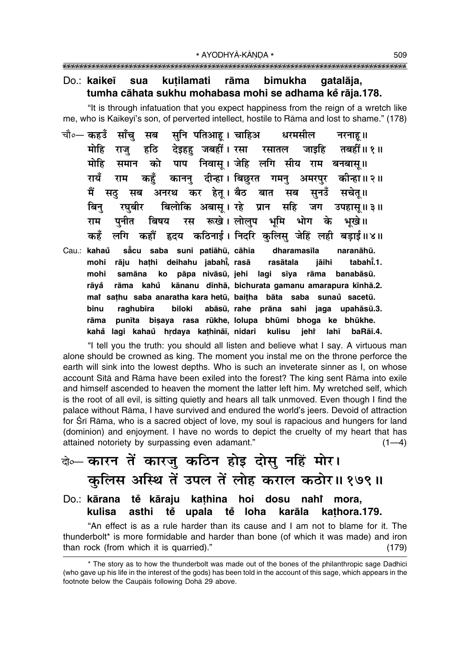#### Do.: kaikeī sua kutilamati rāma bimukha gatalāja, tumha cāhata sukhu mohabasa mohi se adhama kĕ rāja.178.

"It is through infatuation that you expect happiness from the reign of a wretch like me, who is Kaikeyi's son, of perverted intellect, hostile to Rāma and lost to shame." (178)

- चौ∘— कहउँ साँच सनि पतिआह । चाहिअ सब धरमसील नरनाह।। देइहह जबहीं । रसा मोहि राज हठि रसातल जाडहि तबद्गीं॥ १ ॥ समान को पाप निवास् । जेहि लगि सीय राम बनबास् ॥ मोहि काननु दीन्हा।विछुरत गमनु अमरपुर रायँ कहँ कोन्हा॥ २॥ राम अनरथ कर हेत् । बैठ सचेत् ॥ में सठ् सब बात सब सूनउँ बिलोकि अबास् । रहे सहि बिन रघबीर प्रान जग उपहास ॥ ३ ॥ पनीत रूखे । लोलप भूमि राम बिषय रस भोग के भखे।। कहँ लगि कहौँ हृदय कठिनाई । निदरि कलिस जेहिं लही बडाई॥४॥
- Cau.: kahaů săcu saba suni patiāhū, cāhia dharamasīla naranāhū. mohi rāju hathi deihahu jabahi, rasā tabahi.1. rasātala jāihi ko pāpa nivāsū, jehi lagi sīya rāma banabāsū. mohi samāna rāma kahů kānanu dīnhā, bichurata gamanu amarapura kīnhā.2. rāyå mai sathu saba anaratha kara hetū, baitha bāta saba sunaŭ sacetū. binu raghubīra biloki abāsū, rahe prāna sahi jaga upahāsū.3. rāma punīta bişaya rasa rūkhe, lolupa bhūmi bhoga ke bhūkhe. kahå lagi kahaů hrdaya kathināī, nidari kulisu jehr lahī baRāī.4.

"I tell you the truth: you should all listen and believe what I say. A virtuous man alone should be crowned as king. The moment you instal me on the throne perforce the earth will sink into the lowest depths. Who is such an inveterate sinner as I, on whose account Sītā and Rāma have been exiled into the forest? The king sent Rāma into exile and himself ascended to heaven the moment the latter left him. My wretched self, which is the root of all evil, is sitting quietly and hears all talk unmoved. Even though I find the palace without Rāma, I have survived and endured the world's jeers. Devoid of attraction for Srī Rāma, who is a sacred object of love, my soul is rapacious and hungers for land (dominion) and enjoyment. I have no words to depict the cruelty of my heart that has attained notoriety by surpassing even adamant."  $(1-4)$ 

# बे⊶ कारन तें कारज् कठिन होइ दोसु नहिं मोर। कुलिस अस्थि तें उपल तें लोह कराल कठोर॥१७९॥

#### Do.: kārana tě kāraju kathina hoi dosu nahi mora. tě upala tě loha karāla kulisa asthi kathora.179.

"An effect is as a rule harder than its cause and I am not to blame for it. The thunderbolt\* is more formidable and harder than bone (of which it was made) and iron than rock (from which it is quarried)."  $(179)$ 

<sup>\*</sup> The story as to how the thunderbolt was made out of the bones of the philanthropic sage Dadhīci (who gave up his life in the interest of the gods) has been told in the account of this sage, which appears in the footnote below the Caupais following Doha 29 above.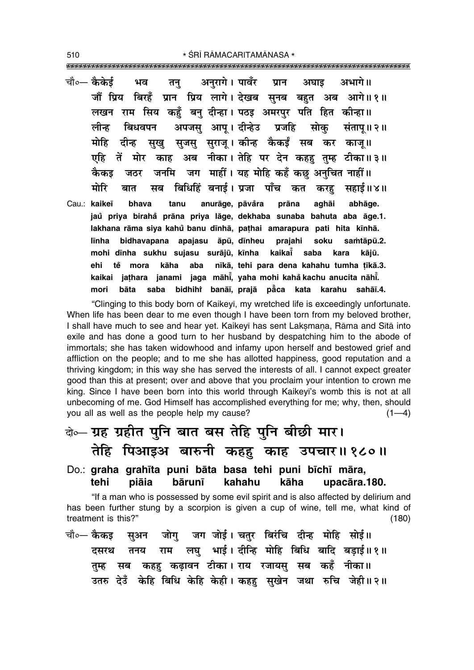\* ŚRĪ RĀMACARITAMĀNASA \* 

- चौ०- कैकेई अनरागे। पावँर अभागे ॥ ਮਕ प्रान तन् अघाड जौं प्रिय बिरहँ प्रान प्रिय लागे। देखब सुनब बहुत अब आगे॥१॥ लखन राम सिय कहँ बन् दीन्हा। पठइ अमरपुर पति हित कीन्हा॥ अपजस आप। दीन्हेउ प्रजहि लीन्ह बिधवपन सोक संताप॥२॥ सुजसु सुराजू। कीन्ह कैकईं सब कर काजू॥ मोहि दीन्ह सख काह अब नीका। तेहि पर देन कहह तुम्ह टीका॥३॥ एहि तें मोर जनमि जग माहीं। यह मोहि कहँ कछ अनुचित नाहीं॥ कैकड जठर बिधिहिं बनाई। प्रजा पाँच कत करह सहाई॥४॥ मोरि बात मब
- Cau · kaikeī anurāge, pāvåra bhava tanu prāna aghāi abhāge. jaů priya birahå prāna priya lāge, dekhaba sunaba bahuta aba āge.1. lakhana rāma siya kahů banu dīnhā, pathai amarapura pati hita kīnhā. bidhavapana apajasu āpū, dīnheu prajahi soku samtāpū.2. līnha mohi dīnha sukhu sujasu surājū, kīnha kaikai saba kara kājū. nīkā, tehi para dena kahahu tumha tīkā.3. ehi tě mora kāha aba kaikai jathara janami jaga māhi, yaha mohi kahå kachu anucita nāhi. bāta saba bidhihi banāi, prajā pāca kata karahu sahāi.4. mori

"Clinging to this body born of Kaikeyī, my wretched life is exceedingly unfortunate. When life has been dear to me even though I have been torn from my beloved brother, I shall have much to see and hear yet. Kaikeyī has sent Laksmana, Rāma and Sītā into exile and has done a good turn to her husband by despatching him to the abode of immortals; she has taken widowhood and infamy upon herself and bestowed grief and affliction on the people; and to me she has allotted happiness, good reputation and a thriving kingdom; in this way she has served the interests of all. I cannot expect greater good than this at present; over and above that you proclaim your intention to crown me king. Since I have been born into this world through Kaikeyi's womb this is not at all unbecoming of me. God Himself has accomplished everything for me; why, then, should you all as well as the people help my cause?  $(1-4)$ 

## बेञ्च ग्रह ग्रहीत पुनि बात बस तेहि पुनि बीछी मार। तेहि पिआइअ बारुनी कहह काह उपचार॥१८०॥

Do.: graha grahīta puni bāta basa tehi puni bīchī māra, tehi piāia bārunī kahahu kāha upacāra.180.

"If a man who is possessed by some evil spirit and is also affected by delirium and has been further stung by a scorpion is given a cup of wine, tell me, what kind of treatment is this?"  $(180)$ 

सुअन जोगु जग जोई। चतुर बिरंचि दीन्ह मोहि सोई॥ चौ०— कैकइ लघु भाई। दीन्हि मोहि बिधि बादि बड़ाई॥१॥ तनय राम दसरथ सब कहह़ कढ़ावन टीका। राय रजायसु सब कहँ नीका॥ तम्ह उतरु देउँ केहि बिधि केहि केही। कहहु सुखेन जथा रुचि जेही॥२॥

510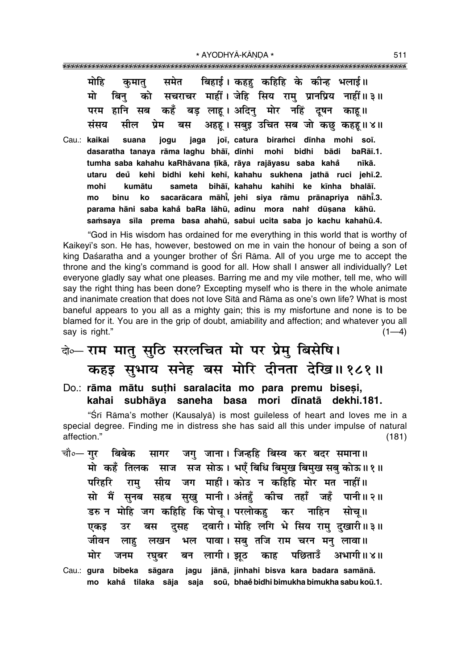| मोहि कुमातु समेत बिहाई।कहहु कहिहि के कीन्ह भलाई॥          |  |  |
|-----------------------------------------------------------|--|--|
| मो बिनु को सचराचर माहीं।जेहि सिय रामु प्रानप्रिय नाहीं॥३॥ |  |  |
| परम हानि सब कहँ बड़ लाहू। अदिनु मोर नहिं दूषन काहू॥       |  |  |
| संसय सील प्रेम बस अहहू। सबुइ उचित सब जो कछु कहहू॥४॥       |  |  |

Cau.: kaikai suana jogu jaga joī, catura biramci dīnha mohi soī. dasaratha tanaya rāma laghu bhāī, dīnhi bādi mohi bidhi baRāī.1. tumha saba kahahu kaRhāvana tīkā, rāya rajāyasu saba kahå nīkā. deů kehi bidhi kehi kehī, kahahu sukhena jathā ruci jehī.2. utaru mohi sameta bihāī kahahu kahihi ke kīnha bhalāī. kumātu sacarācara māhi, jehi siya rāmu prānapriya nāhi.3. mo binu ko parama hāni saba kahå baRa lāhū, adinu mora nahi dūsana kāhū. samsaya sila prema basa ahahū, sabui ucita saba jo kachu kahahū.4.

"God in His wisdom has ordained for me everything in this world that is worthy of Kaikeyi's son. He has, however, bestowed on me in vain the honour of being a son of king Daśaratha and a younger brother of Śrī Rāma. All of you urge me to accept the throne and the king's command is good for all. How shall I answer all individually? Let everyone gladly say what one pleases. Barring me and my vile mother, tell me, who will say the right thing has been done? Excepting myself who is there in the whole animate and inanimate creation that does not love Sītā and Rāma as one's own life? What is most baneful appears to you all as a mighty gain; this is my misfortune and none is to be blamed for it. You are in the grip of doubt, amiability and affection; and whatever you all sav is right."  $(1-4)$ 

### बेञ्चल राम मात् सुठि सरलचित मो पर प्रेम् बिसेषि। कहड़ सुभाय सनेह बस मोरि दीनता देखि॥१८१॥

Do.: rāma mātu suthi saralacita mo para premu bisesi, kahai subhāya saneha basa mori dīnatā dekhi.181.

"Śrī Rāma's mother (Kausalvā) is most quileless of heart and loves me in a special degree. Finding me in distress she has said all this under impulse of natural affection."  $(181)$ 

- सागर जग जाना। जिन्हु बिस्व कर बंदर समाना॥ चौ∘— गर कबिबेक मो कहँ तिलक साज सज सोऊ। भएँ बिधि बिमुख बिमुख सब कोऊ॥१॥ सीय जग माहीं। कोउ न कहिहि मोर मत नाहीं॥ परिहरि राम सो मैं सनब सहब सख मानी। अंतहँ कीच तहाँ जहँ पानी॥२॥ डरु न मोहि जग कहिहि कि पोच् । परलोकह कर नाहिन सोच् ॥ दुसह दवारी। मोहि लगि भे सिय रामु दखारी॥३॥ एकड उर बस भल पावा। सबु तजि राम चरन मनु लावा॥ जीवन लाह लखन मोर बन लागी। झठ पछिताउँ अभागी॥४॥ जनम रघबर काह
- Cau.: gura bibeka sāgara jagu jānā, jinhahi bisva kara badara samānā. mo kahå tilaka sāja saja soū, bhaė̃ bidhi bimukha bimukha sabu koū.1.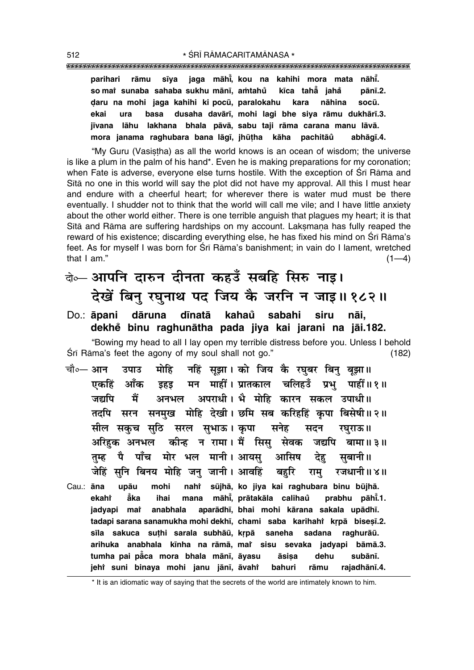**parihari råmu s∂ya jaga måh∂° , kou na kahihi mora mata nåh∂° . so mai` sunaba sahaba sukhu mānī, aṁtahů kīca tahẳ jaha° pån∂.2. Œaru na mohi jaga kahihi ki pocµu, paralokahu kara nåhina socµu. ekai ura basa dusaha davår∂, mohi lagi bhe siya råmu dukhår∂.3. j∂vana låhu lakhana bhala påvå, sabu taji råma carana manu låvå. mora janama raghubara bana låg∂, jhµu¢ha kåha pachitåu abhåg∂.4. °**

ìMy Guru (Vasi¶¢ha) as all the world knows is an ocean of wisdom; the universe is like a plum in the palm of his hand\*. Even he is making preparations for my coronation; when Fate is adverse, everyone else turns hostile. With the exception of Śrī Rāma and Sītā no one in this world will say the plot did not have my approval. All this I must hear and endure with a cheerful heart; for wherever there is water mud must be there eventually. I shudder not to think that the world will call me vile; and I have little anxiety about the other world either. There is one terrible anguish that plagues my heart; it is that Sītā and Rāma are suffering hardships on my account. Laksmana has fully reaped the reward of his existence; discarding everything else, he has fixed his mind on Śrī Rāma's feet. As for myself I was born for Śrī Rāma's banishment; in vain do I lament, wretched that I am."  $(1-4)$ 

दो**० आपनि दारुन दीनता कहउँ सबहि सिरु नाइ।** देखें बिन् रघुनाथ पद जिय कै जरनि न जाइ॥१८२॥

Do.: **åpani dåruna d∂natå kahau° sabahi siru nåi, dekhe° binu raghunåtha pada jiya kai jarani na jåi.182.** ìBowing my head to all I lay open my terrible distress before you. Unless I behold  $\overline{S}$ rī Rāma's feet the agony of my soul shall not go." (182)

- चौ०— आन उपाउ मोहि नहिं सूझा। को जिय कै रघुबर बिनु बूझा॥ <u>एकहिं आँक इहड मन माहीं। प्रातकाल चलिहउँ प्रभ पाहीं॥१॥</u> जद्यपि मैं अनभल अपराधी।**भै मोहि कारन सकल उपाधी**॥ तदपि सरन सनमुख मोहि देखी। छमि सब करिहहिं कृपा बिसेषी॥२॥ सील सकच सठि सरल सभाऊ। कपा सनेह सदन रघराऊ॥ अरिहक अनभल कीन्ह न रामा। मैं सिस सेवक जद्यपि बामा॥३॥ तुम्ह पै पाँच मोर भल मानी।अायस् आसिष देह सुबानी॥ <u>जेहिं स</u>नि बिनय मोहि जन् जानी। आवहिं बहरि राम् रजधानी॥४॥
- Cau.: **āna upāu mohi nahi sūjhā, ko jiya kai raghubara binu būjhā. ekahi å° ka ihai mana måh∂° , pråtakåla calihau prabhu påh∂ ° °** prabhu pāhī.1. **jadyapi** mat  **anabhala aparådh∂, bhai mohi kårana sakala upådh∂.** tadapi sarana sanamukha mohi dekhī, chami saba karihahi kṛpā biseṣī.2. sīla sakuca suțhi sarala subhāū, krpā saneha sadana raghurāū. **arihuka anabhala k∂nha na råmå, maiÚ sisu sevaka jadyapi båmå.3.** tumha pai pằ̃ca mora bhala mānī, āyasu āsiṣa dehu subānī. **jehiÚ suni binaya mohi janu jån∂, åvahiÚ bahuri råmu rajadhån∂.4.**

\* It is an idiomatic way of saying that the secrets of the world are intimately known to him.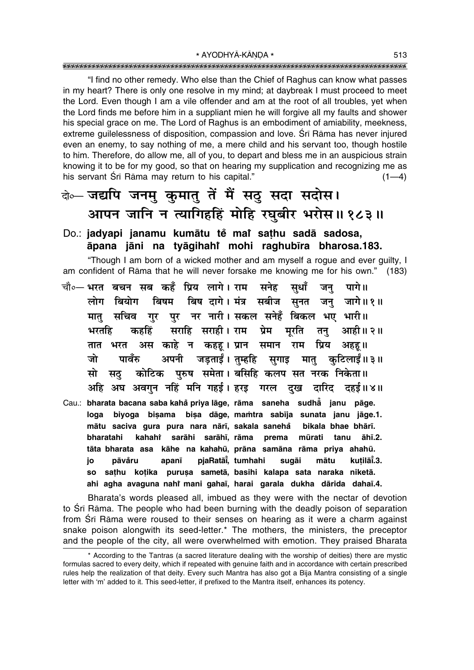"I find no other remedy. Who else than the Chief of Raghus can know what passes in my heart? There is only one resolve in my mind; at daybreak I must proceed to meet the Lord. Even though I am a vile offender and am at the root of all troubles, yet when the Lord finds me before him in a suppliant mien he will forgive all my faults and shower his special grace on me. The Lord of Raghus is an embodiment of amiability, meekness, extreme quilelessness of disposition, compassion and love. Srī Rāma has never injured even an enemy, to say nothing of me, a mere child and his servant too, though hostile to him. Therefore, do allow me, all of you, to depart and bless me in an auspicious strain knowing it to be for my good, so that on hearing my supplication and recognizing me as his servant Śrī Rāma may return to his capital."  $(1-4)$ 

#### बे∝ जद्यपि जनमु कुमातु तें मैं सठु सदा सदोस। आपन जानि न त्यागिहहिं मोहि रघुबीर भरोस॥ १८३॥

#### Do.: jadyapi janamu kumātu tě mař sathu sadā sadosa, āpana jāni na tyāqihahi mohi raghubīra bharosa.183.

"Though I am born of a wicked mother and am myself a rogue and ever guilty, I am confident of Rāma that he will never forsake me knowing me for his own." (183)

- चौ०— भरत बचन सब कहँ प्रिय लागे। राम सनेह सुधाँ जन् पागे॥ बिष दागे। मंत्र सबीज सुनत जनु जागे॥१॥ बिषम लोग बियोग पर नर नारी। सकल सनेहँ बिकल भए भारी॥ सचिव मात गुर सराहि सराही। राम प्रेम मूरति तनु आही।। २॥ भरतहि कहहिं अस काहे न कहह।प्रान समान राम प्रिय अहह॥ तात भरत अपनी जड़ताईं।तुम्हहि सुगाइ मातु जो पावँरु कटिलाईं॥ ३॥ कोटिक पुरुष समेता। बसिहि कलप सत नरक निकेता॥ सो सठ अहि अघ अवगुन नहिं मनि गहई। हरइ गरल दुख दारिद दहई॥४॥
- Cau.: bharata bacana saba kahå priya lāge, rāma saneha sudhå janu pāge. biyoga bişama bişa dāge, mamtra sabīja sunata janu jāge.1. loga mātu saciva gura pura nara nārī, sakala sanehå bikala bhae bhārī. kahahi sarāhi sarāhī, rāma bharatahi mūrati tanu āhī.2. prema tāta bharata asa kāhe na kahahū, prāna samāna rāma priya ahahū. pjaRatāi, tumhahi sugāi kutilāĩ.3. pāvåru apanī mātu io so sathu kotika purusa sametā, basihi kalapa sata naraka niketā. ahi agha avaguna nahi mani gahai, harai garala dukha dārida dahaī.4.

Bharata's words pleased all, imbued as they were with the nectar of devotion to Srī Rāma. The people who had been burning with the deadly poison of separation from Srī Rāma were roused to their senses on hearing as it were a charm against snake poison alongwith its seed-letter.\* The mothers, the ministers, the preceptor and the people of the city, all were overwhelmed with emotion. They praised Bharata

<sup>\*</sup> According to the Tantras (a sacred literature dealing with the worship of deities) there are mystic formulas sacred to every deity, which if repeated with genuine faith and in accordance with certain prescribed rules help the realization of that deity. Every such Mantra has also got a Bija Mantra consisting of a single letter with 'm' added to it. This seed-letter, if prefixed to the Mantra itself, enhances its potency.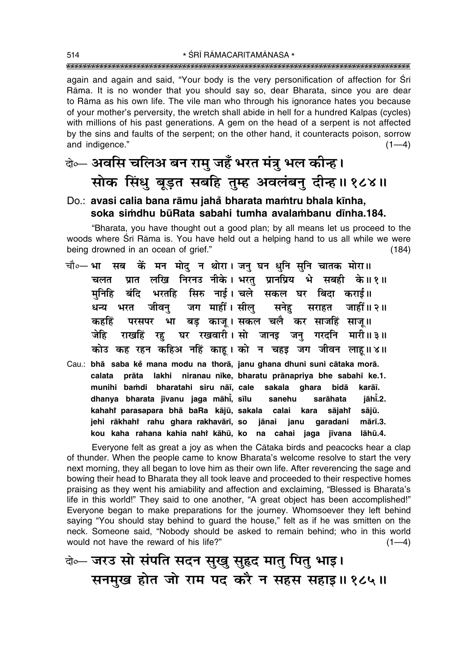\* ŚRĪ RĀMACARITAMĀNASA \* 

again and again and said, "Your body is the very personification of affection for Sri Rāma. It is no wonder that you should say so, dear Bharata, since you are dear to Rāma as his own life. The vile man who through his ignorance hates you because of your mother's perversity, the wretch shall abide in hell for a hundred Kalpas (cycles) with millions of his past generations. A gem on the head of a serpent is not affected by the sins and faults of the serpent; on the other hand, it counteracts poison, sorrow and indigence."  $(1-4)$ 

### के— अवसि चलिअ बन रामु जहँ भरत मंत्रु भल कीन्ह। सोक सिंधु बूड़त सबहि तुम्ह अवलंबनु दीन्ह।। १८४॥

#### Do.: avasi calia bana rāmu jahå bharata mamtru bhala kīnha, soka simdhu būRata sabahi tumha avalambanu dīnha.184.

"Bharata, you have thought out a good plan; by all means let us proceed to the woods where Sri Rama is. You have held out a helping hand to us all while we were being drowned in an ocean of grief."  $(184)$ 

- सब कें मन मोद् न थोरा। जन् घन धुनि सुनि चातक मोरा॥ चौ०— **भा** ग्रात लखि निरनउ नीके। भरत प्रानप्रिय भे सबही के॥१॥ चलत बंदि भरतहि सिरु नाई। चले सकल घर बिदा कराई॥ मनिहि धन्य भरत जीवन् जग माहीं।सील् सनेह सराहत जाहीं॥२॥ परसपर भा बड़ काजू।सकल चलै कर साजहिं साजू॥ कहहिं राखहिं रह़ घर रखवारी। सो जानइ जनु गरदनि मारी॥३॥ जेहि कोउ कह रहन कहिअ नहिं काहू। को न चहइ जग जीवन लाहू॥४॥
- Cau.: bhā saba kẻ mana modu na thorā, janu ghana dhuni suni cātaka morā. calata prāta lakhi niranau nīke, bharatu prānapriya bhe sabahī ke.1. munihi bamdi bharatahi siru nāī, cale sakala ghara bidā karāī. dhanya bharata jīvanu jaga māhi, sīlu sanehu sarāhata jāhī.2. kahahi parasapara bhā baRa kājū, sakala calai kara sājahr sājū. jehi rākhahi rahu ghara rakhavārī, so jānai janu qaradani mārī.3. kou kaha rahana kahia nahi kāhū, ko na cahai jaga jīvana lāhū.4.

Everyone felt as great a joy as when the Cataka birds and peacocks hear a clap of thunder. When the people came to know Bharata's welcome resolve to start the very next morning, they all began to love him as their own life. After reverencing the sage and bowing their head to Bharata they all took leave and proceeded to their respective homes praising as they went his amiability and affection and exclaiming, "Blessed is Bharata's life in this world!" They said to one another, "A great object has been accomplished!" Everyone began to make preparations for the journey. Whomsoever they left behind saying "You should stay behind to guard the house," felt as if he was smitten on the neck. Someone said, "Nobody should be asked to remain behind; who in this world would not have the reward of his life?"  $(1-4)$ 

बे-जरउ सो संपति सदन सुखु सुहृद मातु पितु भाइ। सनमुख होत जो राम पद करै न सहस सहाइ॥१८५॥

514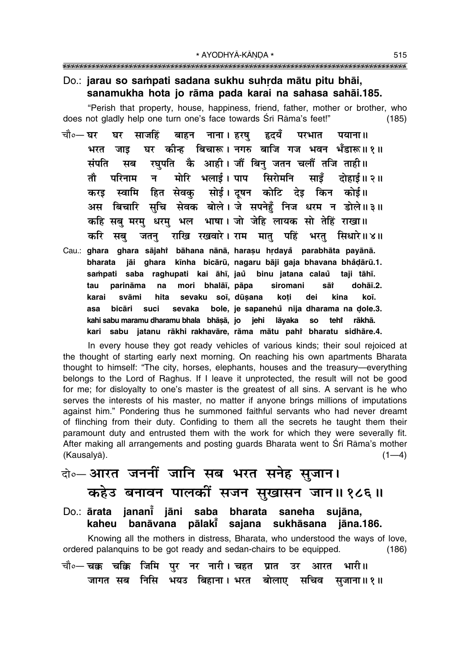\* AYODHYĀ-KĀNDA \* 

#### Do.: jarau so sampati sadana sukhu suhrda mātu pitu bhāi, sanamukha hota jo rāma pada karai na sahasa sahāi.185.

"Perish that property, house, happiness, friend, father, mother or brother, who does not gladly help one turn one's face towards Srī Rāma's feet!"  $(185)$ 

- चौ०— घर घर साजहिं बाहन नाना । हरष हृदयँ परभात पयाना ॥ घर कीन्ह बिचारू। नगरु बाजि गज भवन भँडारू॥१॥ भरत जाड रघपति कै आही। जौं बिन जतन चलौं तजि ताही॥ संपति मब मोरि भलाई। पाप सिरोमनि तौ परिनाम न $\overline{a}$ साडँ दोहाई॥ २॥ स्वामि हित सेवक् सोई।दृषन कोटि देइ किन कोई॥ करड अस बिचारि सुचि सेवक बोले।जे सपनेहुँ निज धरम न डोले॥३॥ कहि सब मरम धरम भल भाषा। जो जेहि लायक सो तेहिं राखा।। राखि रखवारे। राम मात पहिं भरत सिधारे॥४॥ करि सब जतन
- Cau.: ghara ghara sājahi bāhana nānā, harașu hrdayă parabhāta payānā. bharata jāi ghara kīnha bicārū, nagaru bāji gaja bhavana bhådārū.1. sampati saba raghupati kai āhī, jau binu jatana calau taji tāhī. parināma mori bhalāī, pāpa siromani sāt dohāī.2. tau na svāmi sevaku soī, dūsana karai hita koti dei kina koī. **hicāri** suci sevaka bole, je sapanehů nija dharama na dole.3. asa kahi sabu maramu dharamu bhala bhāṣā, jo jehi lāyaka **SO** rākhā. teht kari sabu jatanu rākhi rakhavāre, rāma mātu pahi bharatu sidhāre.4.

In every house they got ready vehicles of various kinds; their soul rejoiced at the thought of starting early next morning. On reaching his own apartments Bharata thought to himself: "The city, horses, elephants, houses and the treasury—everything belongs to the Lord of Raghus. If I leave it unprotected, the result will not be good for me; for disloyalty to one's master is the greatest of all sins. A servant is he who serves the interests of his master, no matter if anyone brings millions of imputations against him." Pondering thus he summoned faithful servants who had never dreamt of flinching from their duty. Confiding to them all the secrets he taught them their paramount duty and entrusted them with the work for which they were severally fit. After making all arrangements and posting quards Bharata went to Sri Rāma's mother (Kausalyā).  $(1-4)$ 

### के-आरत जननीं जानि सब भरत सनेह सुजान। कहेउ बनावन पालकीं सजन सुखासन जान॥१८६॥

Do.: ārata jananiઁ jāni saba bharata saneha sujāna, kaheu banāvana pālakī sajana sukhāsana jāna.186.

Knowing all the mothers in distress, Bharata, who understood the ways of love, ordered palanguins to be got ready and sedan-chairs to be equipped.  $(186)$ चौ०— चक्क चक्कि जिमि पुर नर नारी । चहत प्रात उर भारी॥ आरत जागत सब निसि भयउ बिहाना। भरत बोलाए सचिव सुजाना॥१॥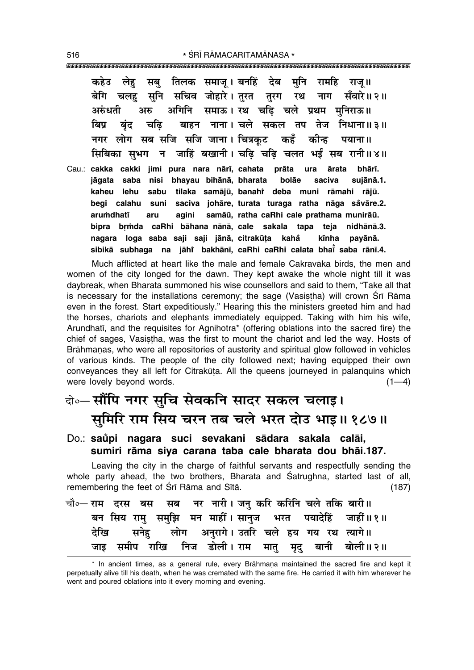कहेउ लेह सब तिलक समाज् । बनहिं देब मनि रामहि राज् ॥ चलह सनि सचिव जोहारे । तरत तरग रथ बेगि नाग सँवारे॥२॥ अगिनि समाऊ। रथ चढ़ि चले प्रथम मुनिराऊ॥ अरुंधती अरु बिप चढि बाहन नाना। चले सकल तप तेज निधाना॥३॥ बंद नगर लोग सब सजि सजि जाना। चित्रकुट कहँ कीन्ह पयाना ॥ सिबिका सुभग न जाहिं बखानी। चढि चढि चलत भईं सब रानी॥४॥ Cau.: cakka cakki jimi pura nara nārī, cahata prāta ura bhārī. ārata jāgata saba nisi bhayau bihānā, bharata bolāe saciva sujānā.1. sabu tilaka samājū, banahi deba muni rāmahi rājū. kaheu lehu begi calahu suni saciva johāre, turata turaga ratha nāga såvāre.2. arumdhatī agini samāū, ratha caRhi cale prathama munirāū.  $Arii$ bipra brmda caRhi bāhana nānā, cale sakala tapa teja nidhānā.3. nagara loga saba saji saji jānā, citrakūta kahå kīnha pavānā. sibikā subhaga na jāhi bakhānī, caRhi caRhi calata bhai saba rānī.4.

Much afflicted at heart like the male and female Cakravāka birds, the men and women of the city longed for the dawn. They kept awake the whole night till it was daybreak, when Bharata summoned his wise counsellors and said to them, "Take all that is necessary for the installations ceremony; the sage (Vasistha) will crown Sri Rama even in the forest. Start expeditiously." Hearing this the ministers greeted him and had the horses, chariots and elephants immediately equipped. Taking with him his wife, Arundhatī, and the requisites for Agnihotra\* (offering oblations into the sacred fire) the chief of sages, Vasistha, was the first to mount the chariot and led the way. Hosts of Brāhmanas, who were all repositories of austerity and spiritual glow followed in vehicles of various kinds. The people of the city followed next; having equipped their own conveyances they all left for Citrakūṭa. All the queens journeyed in palanquins which were lovely beyond words.  $(1-4)$ 

### वो॰– सौंपि नगर सुचि सेवकनि सादर सकल चलाइ। सुमिरि राम सिय चरन तब चले भरत दोउ भाइ॥ १८७॥

#### Do.: saŭpi nagara suci sevakani sādara sakala calāi, sumiri rāma siya carana taba cale bharata dou bhāi.187.

Leaving the city in the charge of faithful servants and respectfully sending the whole party ahead, the two brothers, Bharata and Satrughna, started last of all, remembering the feet of Srī Rāma and Sītā.  $(187)$ 

| चौ∘— राम दरस बस सब नर नारी। जनु करि करिनि चले तकि बारी॥ |  |                                                  |  |  |  |  |                                                         |  |
|---------------------------------------------------------|--|--------------------------------------------------|--|--|--|--|---------------------------------------------------------|--|
|                                                         |  |                                                  |  |  |  |  | बन सिय रामु समुझि मन माहीं। सानुज भरत पयादेहिं जाहीं॥१॥ |  |
|                                                         |  | देखि सनेह लोग अनुरागे। उतरि चले हय गय रथ त्यागे॥ |  |  |  |  |                                                         |  |
|                                                         |  |                                                  |  |  |  |  | जाइ समीप राखि निज डोली। राम मातु मृदु बानी बोली॥२॥      |  |

\* In ancient times, as a general rule, every Brāhmaṇa maintained the sacred fire and kept it perpetually alive till his death, when he was cremated with the same fire. He carried it with him wherever he went and poured oblations into it every morning and evening.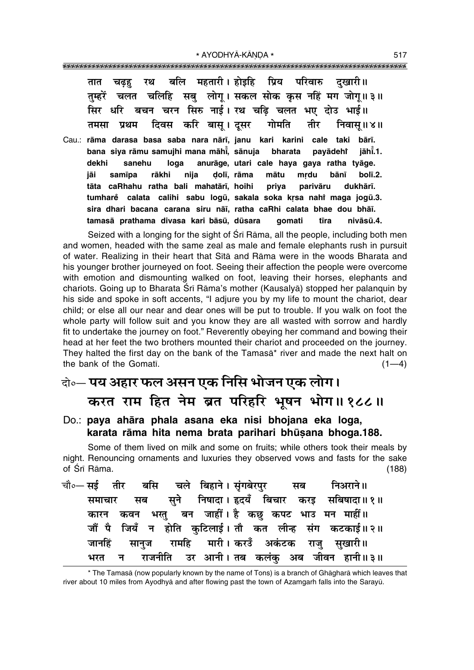| चढ़ह रथ बलि महतारी। होइहि प्रिय परिवारु दुखारी॥<br>तात                  |
|-------------------------------------------------------------------------|
|                                                                         |
| तुम्हरें चलत चलिहि सबु लोगू। सकल सोक कृस नहिं मग जोगू॥३॥                |
| सिर धरि बचन चरन सिरु नाई। रथ चढ़ि चलत भए दोउ भाई॥                       |
| तमसा प्रथम दिवस करि बासू।दूसर गोमति तीर निवासू॥४॥                       |
| Cau.: rāma darasa basa saba nara nārī, janu kari karini cale taki bārī. |
| bana siya rāmu samujhi mana māhi, sānuja bharata payādeht jāhi.1.       |
| dekhi sanehu loga anurāge, utari cale haya gaya ratha tyāge.            |
| jāi samīpa rākhi nija dolī, rāma mātu mṛdu bānī bolī.2.                 |
| tāta caRhahu ratha bali mahatārī, hoihi priya parivāru dukhārī.         |
| tumhare calata calihi sabu logū, sakala soka krsa nahi maga jogū.3.     |
| sira dhari bacana carana siru nāi, ratha caRhi calata bhae dou bhāi.    |
| tamasā prathama divasa kari bāsū, dūsara _ gomati _ tīra<br>nivāsū.4.   |

Seized with a longing for the sight of Sri Rama, all the people, including both men and women, headed with the same zeal as male and female elephants rush in pursuit of water. Realizing in their heart that Sita and Rama were in the woods Bharata and his younger brother journeyed on foot. Seeing their affection the people were overcome with emotion and dismounting walked on foot, leaving their horses, elephants and chariots. Going up to Bharata Śrī Rāma's mother (Kausalyā) stopped her palanguin by his side and spoke in soft accents, "I adjure you by my life to mount the chariot, dear child; or else all our near and dear ones will be put to trouble. If you walk on foot the whole party will follow suit and you know they are all wasted with sorrow and hardly fit to undertake the journey on foot." Reverently obeying her command and bowing their head at her feet the two brothers mounted their chariot and proceeded on the journey. They halted the first day on the bank of the Tamasa<sup>\*</sup> river and made the next halt on the bank of the Gomati.  $(1-4)$ 

### वे०- पय अहार फल असन एक निसि भोजन एक लोग। करत राम हित नेम ब्रत परिहरि भूषन भोग॥१८८॥

Do.: paya ahāra phala asana eka nisi bhojana eka loga, karata rāma hita nema brata parihari bhūsana bhoga.188.

Some of them lived on milk and some on fruits; while others took their meals by night. Renouncing ornaments and luxuries they observed vows and fasts for the sake of Śrī Rāma.  $(188)$ 

|  |  |  |  | चौ०—सई तीर बसि चले बिहाने।सुंगबेरपुर सब निअराने॥     |  |
|--|--|--|--|------------------------------------------------------|--|
|  |  |  |  | समाचार सब सुने निषादा।इदयँ बिचार करइ सबिषादा॥१॥      |  |
|  |  |  |  | कारन कवन भरतु बन जाहीं। है कछु कपट भाउ मन माहीं॥     |  |
|  |  |  |  | जौं पै जियँ न होति कुटिलाई। तौ कत लीन्ह संग कटकाई॥२॥ |  |
|  |  |  |  | जानहिं सानुज रामहि मारी।।करउँ अकंटक राजु सुखारी॥     |  |
|  |  |  |  | भरत न राजनीति उर आनी।तब कलंकु अब जीवन हानी॥३॥        |  |

\* The Tamasā (now popularly known by the name of Tons) is a branch of Ghāgharā which leaves that river about 10 miles from Ayodhyā and after flowing past the town of Azamgarh falls into the Sarayū.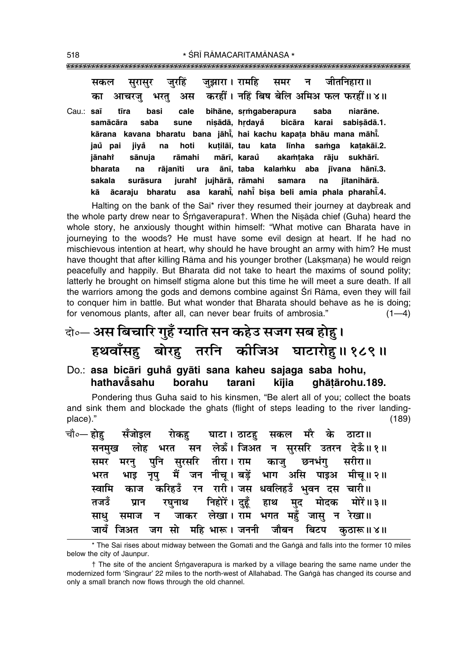| सकल                   | सुरासुर जुरहिं जुझारा । रामहि समर न जीतनिहारा ॥                     |
|-----------------------|---------------------------------------------------------------------|
| का                    | आचरजु भरतु अस करहीं। नहिं बिष बेलि अमिअ फल फरहीं॥४॥                 |
| Cau.: <b>saī tīra</b> | basi cale bihāne, srmgaberapura saba<br>niarāne.                    |
|                       | samācāra saba sune nisādā, hrdayå bicāra karai sabisādā.1.          |
|                       | kārana kavana bharatu bana jāhi, hai kachu kapata bhāu mana māhi.   |
| jaŭ pai               | jiyå na hoti kuțilāī, tau kata līnha samga kaṭakāī.2.               |
| jānahi                | sānuja rāmahi mārī, karau akamtaka rāju sukhārī.                    |
| bharata               | na rājanīti ura ānī, taba kalamku aba jīvana hānī.3.                |
| sakala                | surāsura jurahi jujhārā, rāmahi samara na<br>jītanihārā.            |
|                       | kā ācaraju bharatu asa karahi, nahi bisa beli amia phala pharahi.4. |

Halting on the bank of the Sai\* river they resumed their journey at daybreak and the whole party drew near to Srngaverapurat. When the Nisada chief (Guha) heard the whole story, he anxiously thought within himself: "What motive can Bharata have in journeying to the woods? He must have some evil design at heart. If he had no mischievous intention at heart, why should he have brought an army with him? He must have thought that after killing Rāma and his younger brother (Laksmana) he would reign peacefully and happily. But Bharata did not take to heart the maxims of sound polity; latterly he brought on himself stigma alone but this time he will meet a sure death. If all the warriors among the gods and demons combine against Sri Rāma, even they will fail to conquer him in battle. But what wonder that Bharata should behave as he is doing; for venomous plants, after all, can never bear fruits of ambrosia."  $(1-4)$ 

## केल- अस बिचारि गुहँ ग्याति सन कहेउ सजग सब होहु। हथवाँसह़ बोरह़ तरनि कीजिअ घाटारोहु॥१८९॥

Do.: asa bicāri guhå gyāti sana kaheu sajaga saba hohu, hathavåsahu borahu tarani kījia ghātārohu.189.

Pondering thus Guha said to his kinsmen, "Be alert all of you; collect the boats and sink them and blockade the ghats (flight of steps leading to the river landingplace)."  $(189)$ 

|  |  | चौ०— होह़ सँजोइल रोकहु घाटा। ठाटहु सकल मरै के ठाटा॥    |  |  |  |  |
|--|--|--------------------------------------------------------|--|--|--|--|
|  |  | सनमुख लोह भरत सन लेऊँ। जिअत न सुरसरि उतरन देऊँ॥१॥      |  |  |  |  |
|  |  | समर मरनु पुनि सुरसरि तीरा। राम काजु छनभंगु सरीरा॥      |  |  |  |  |
|  |  | भरत भाइ नृपु मैं जन नीचू।बड़ें भाग असि पाइअ मीचू॥२॥    |  |  |  |  |
|  |  | स्वामि काज करिहउँ रन रारी।जस धवलिहउँ भुवन दस चारी॥     |  |  |  |  |
|  |  | तजडँ प्रान रघुनाथ निहोरें। दुहूँ हाथ मुद मोदक मोरें॥३॥ |  |  |  |  |
|  |  | साधु समाज न जाकर लेखा। राम भगत महुँ जासु न रेखा॥       |  |  |  |  |
|  |  | जायँ जिअत जग सो महि भारू। जननी जौबन बिटप कुठारू॥४॥     |  |  |  |  |

<sup>\*</sup> The Sai rises about midway between the Gomati and the Ganga and falls into the former 10 miles below the city of Jaunpur.

<sup>†</sup> The site of the ancient Śrngaverapura is marked by a village bearing the same name under the modernized form 'Singraur' 22 miles to the north-west of Allahabad. The Ganga has changed its course and only a small branch now flows through the old channel.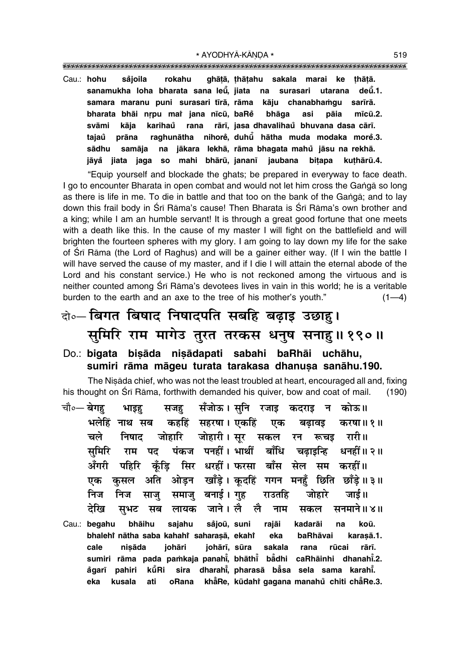\* AYODHYĀ-KĀNDA \* 

ghāṭā, ṭhāṭahu sakala marai ke Cau.: hohu såjoila rokahu thātā. sanamukha loha bharata sana leū, jiata na surasari utarana deū.1. samara maranu puni surasari tīrā rāma kāju chanabhamqu sarīrā. bharata bhai nrpu mai jana nīcū, baRe bhāga asi pāia  $m\bar{c}\bar{u}$ .2. svāmi kāia karihaů rana rārī, jasa dhavalihaŭ bhuvana dasa cārī. raghunātha nihorė, duhū hātha muda modaka morė.3. tajaů prāna sādhu samāja na jākara lekhā, rāma bhagata mahů jāsu na rekhā. jāyå jiata jaga so mahi bhārū, jananī jaubana bitapa kuthārū.4.

"Equip yourself and blockade the ghats; be prepared in everyway to face death. I go to encounter Bharata in open combat and would not let him cross the Ganga so long as there is life in me. To die in battle and that too on the bank of the Ganga; and to lay down this frail body in Srī Rāma's cause! Then Bharata is Srī Rāma's own brother and a king; while I am an humble servant! It is through a great good fortune that one meets with a death like this. In the cause of my master I will fight on the battlefield and will brighten the fourteen spheres with my glory. I am going to lay down my life for the sake of Srī Rāma (the Lord of Raghus) and will be a gainer either way. (If I win the battle I will have served the cause of my master, and if I die I will attain the eternal abode of the Lord and his constant service.) He who is not reckoned among the virtuous and is neither counted among Srī Rāma's devotees lives in vain in this world; he is a veritable burden to the earth and an axe to the tree of his mother's youth."  $(1-4)$ 

### वो० विगत बिषाद निषादपति सबहि बढ़ाइ उछाह। समिरि राम मागेउ तुरत तरकस धनुष सनाहु॥१९०॥

#### Do.: bigata bisāda nisādapati sabahi baRhāi uchāhu, sumiri rāma māgeu turata tarakasa dhanusa sanāhu.190.

The Nisada chief, who was not the least troubled at heart, encouraged all and, fixing his thought on Sri Rama, forthwith demanded his quiver, bow and coat of mail.  $(190)$ 

|        |        |  | चौ०— बेगहु भाइहु सजहु सँजोऊ। सुनि रजाइ कदराइ न कोऊ॥  |  |  |                                                                    |
|--------|--------|--|------------------------------------------------------|--|--|--------------------------------------------------------------------|
| भलेहिं |        |  |                                                      |  |  | नाथ सब कहहिं सहरषा। एकहिं एक बढ़ावइ करषा॥१॥                        |
| चले    |        |  | निषाद जोहारि जोहारी।सूर सकल रन रूचड़ रारी॥           |  |  |                                                                    |
|        |        |  |                                                      |  |  | सुमिरि राम पद पंकज पनहीं। भार्थी बाँधि चढ़ाइन्हि धनहीं॥ २॥         |
|        |        |  | अँगरी पहिरि कुँड़ि सिर धरहीं।फरसा बाँस सेल सम करहीं॥ |  |  |                                                                    |
| एक     |        |  |                                                      |  |  | कुसल अति ओड़न खाँड़े। कूदहिं गगन मनहुँ छिति छाँड़े॥३॥              |
| निज    |        |  | निज साजु समाजु बनाई। गुह राउतहि जोहारे जाई॥          |  |  |                                                                    |
|        |        |  |                                                      |  |  | देखि सुभट सब लायक जाने।।लै लै नाम सकल सनमाने॥४॥                    |
|        |        |  | Cau.: begahu bhāihu sajahu såjoū, suni rajāi kadarāi |  |  | koū.<br>na                                                         |
|        |        |  |                                                      |  |  | bhalehî nātha saba kahahî saharaşā, ekahî eka baRhāvai karaşā.1.   |
| cale   | nisāda |  | johāri johārī, sūra sakala rana                      |  |  | rūcai rārī.                                                        |
|        |        |  |                                                      |  |  | sumiri rāma pada pamkaja panahi, bhāthi badhi caRhāinhi dhanahi.2. |
| ågarī  |        |  |                                                      |  |  | pahiri kūRi sira dharahi, pharasā bāsa sela sama karahi.           |
| eka    |        |  |                                                      |  |  | kusala ati oBana khape kūdahtigagana manahu chiti chape 3.         |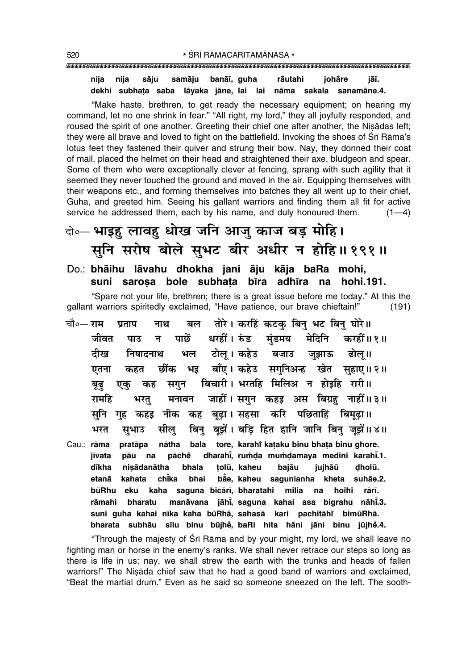#### nija nija sāju samāju banāī, guha rāutahi johāre jāī. dekhi subhata saba lāyaka jāne, lai lai nāma sakala sanamāne.4.

"Make haste, brethren, to get ready the necessary equipment; on hearing my command, let no one shrink in fear." "All right, my lord," they all joyfully responded, and roused the spirit of one another. Greeting their chief one after another, the Nisadas left; they were all brave and loved to fight on the battlefield. Invoking the shoes of Sri Rāma's lotus feet they fastened their quiver and strung their bow. Nay, they donned their coat of mail, placed the helmet on their head and straightened their axe, bludgeon and spear. Some of them who were exceptionally clever at fencing, sprang with such agility that it seemed they never touched the ground and moved in the air. Equipping themselves with their weapons etc., and forming themselves into batches they all went up to their chief, Guha, and greeted him. Seeing his gallant warriors and finding them all fit for active service he addressed them, each by his name, and duly honoured them.  $(1-4)$ 

### वे॰— भाइह लावह धोख जनि आजु काज बड़ मोहि। सुनि सरोष बोले सुभट बीर अधीर न होहि॥१९१॥

#### Do.: bhāihu lāvahu dhokha jani āju kāja baRa mohi, suni sarosa bole subhata bīra adhīra na hohi.191.

"Spare not your life, brethren; there is a great issue before me today." At this the gallant warriors spiritedly exclaimed, "Have patience, our brave chieftain!"  $(191)$ 

तोरे। करहिं कटक बिन भट बिन घोरे॥ चौ०— राम प्रताप नाथ बल पाछें धरहीं। रुंड मंडमय मेदिनि करहीं॥१॥ जीवत पाउ न भल टोलू। कहेउ बजाउ जुझाऊ ढोलू॥ दीख निषादनाथ भइ बाँए। कहेउ सगुनिअन्ह खेत सुहाए॥२॥ छींक एतना कहत सगन बिचारी। भरतहि मिलिअ न होइहि रारी॥ बूढ़ कह एक मनावन जाहीं। सगुन कहड़ अस बिग्रह नाहीं॥३॥ रामहि भरत गुह कहड़ नीक कह बूढ़ा। सहसा करि पछिताहिं बिमूढ़ा॥ सनि बिन् बुझें। बडि हित हानि जानि बिन् जुझें॥४॥ भरत सील सुभाउ nātha bala tore, karahi kataku binu bhata binu ghore. Cau.: rāma pratāpa dharahi, rumda mumdamaya medini karahi.1. pāu na pāchě iīvata dīkha nisādanātha bhala tolū, kaheu bajāu jujhāū dholū. chika bhai bae, kaheu sagunianha kheta suhāe.2. etanā kahata kaha saguna bicārī, bharatahi milia na hoihi būRhu eku rārī. manāvana jāhi, saguna kahai asa bigrahu nāhi.3. rāmahi bharatu suni guha kahai nīka kaha būRhā, sahasā kari pachitāhi bimūRhā. bharata subhāu sīlu binu būjhė, baRi hita hāni jāni binu jūjhė.4.

"Through the majesty of Sri Rama and by your might, my lord, we shall leave no fighting man or horse in the enemy's ranks. We shall never retrace our steps so long as there is life in us; nay, we shall strew the earth with the trunks and heads of fallen warriors!" The Nisada chief saw that he had a good band of warriors and exclaimed, "Beat the martial drum." Even as he said so someone sneezed on the left. The sooth-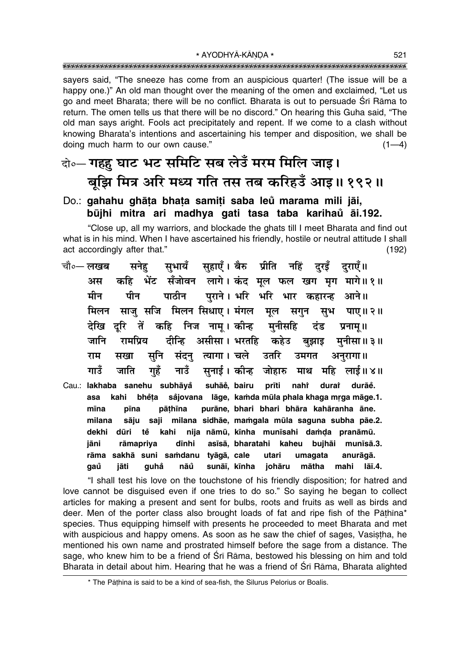\* AYODHYĀ-KĀNDA \* 

sayers said, "The sneeze has come from an auspicious quarter! (The issue will be a happy one.)" An old man thought over the meaning of the omen and exclaimed, "Let us go and meet Bharata; there will be no conflict. Bharata is out to persuade Srī Rāma to return. The omen tells us that there will be no discord." On hearing this Guha said, "The old man says aright. Fools act precipitately and repent. If we come to a clash without knowing Bharata's intentions and ascertaining his temper and disposition, we shall be doing much harm to our own cause."  $(1-4)$ 

### दो॰- गहहु घाट भट समिटि सब लेउँ मरम मिलि जाइ। बुझि मित्र अरि मध्य गति तस तब करिहउँ आइ॥ १९२॥

#### Do.: gahahu ghāta bhata samiti saba leů marama mili jāi, būjhi mitra ari madhya gati tasa taba karihaŭ āi.192.

"Close up, all my warriors, and blockade the ghats till I meet Bharata and find out what is in his mind. When I have ascertained his friendly, hostile or neutral attitude I shall act accordingly after that."  $(192)$ 

- सुभायँ सुहाएँ। बैरु प्रीति नहिं दुरड़ँ दुराएँ॥ चौ०— लखब सनेह कहि भेंट सँजोवन लागे।कंद मूल फल खग मृग मागे॥१॥ अस पाठीन पराने। भरि भरि भार कहारन्ह आने॥ मीन पीन साजु सजि मिलन सिधाए। मंगल मूल मिलन सगुन सूभ पाए।।२॥ दरि तें कहि निज नाम। कीन्ह मनीसहि देखि दंड प्रनाम ॥ दीन्हि असीसा। भरतहि कहेउ बझाइ मनीसा॥३॥ जानि रामप्रिय संदन् त्यागा। चले उतरि राम सखा सूनि उमगत अनुरागा॥ नाउँ सुनाई। कीन्ह जोहारु माथ महि लाई॥४॥ गाउँ जाति गहँ
- Cau.: lakhaba sanehu subhāyå suhāě, bairu prīti nahi durai durāe. bhěta såjovana lāge, kamda mūla phala khaga mrga māge.1. asa kahi mīna pīna pāthīna purāne, bhari bhari bhāra kahāranha āne. milana sāju saji milana sidhāe, mamgala mūla saguna subha pāe.2. kahi nija nāmū, kīnha munīsahi damda pranāmū. dekhi dūri tě iāni rāmapriya dīnhi asīsā, bharatahi kaheu bujhāi munīsā.3. rāma sakhā suni samdanu tyāgā, cale utari umagata anurāgā. qaů jāti quhẳ nāů sunāī, kīnha johāru mātha mahi  $I\bar{a}$ ī.4.

"I shall test his love on the touchstone of his friendly disposition; for hatred and love cannot be disguised even if one tries to do so." So saying he began to collect articles for making a present and sent for bulbs, roots and fruits as well as birds and deer. Men of the porter class also brought loads of fat and ripe fish of the Pāthina\* species. Thus equipping himself with presents he proceeded to meet Bharata and met with auspicious and happy omens. As soon as he saw the chief of sages, Vasistha, he mentioned his own name and prostrated himself before the sage from a distance. The sage, who knew him to be a friend of Srī Rāma, bestowed his blessing on him and told Bharata in detail about him. Hearing that he was a friend of Sri Rama, Bharata alighted

<sup>\*</sup> The Pāthīna is said to be a kind of sea-fish, the Silurus Pelorius or Boalis.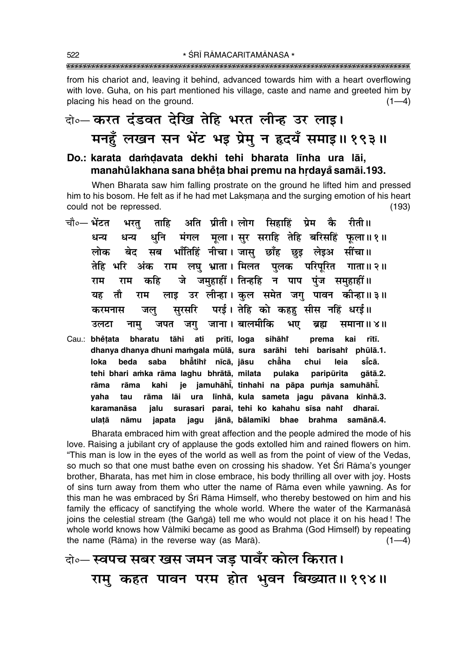from his chariot and, leaving it behind, advanced towards him with a heart overflowing with love. Guha, on his part mentioned his village, caste and name and greeted him by placing his head on the ground.  $(1-4)$ 

### को॰– करत दंडवत देखि तेहि भरत लीन्ह उर लाइ। मनहुँ लखन सन भेंट भइ प्रेमु न हृदयँ समाइ॥१९३॥

#### Do.: karata damdavata dekhi tehi bharata līnha ura lāi, manahůlakhana sana bhěta bhai premu na hrdayå samāi.193.

When Bharata saw him falling prostrate on the ground he lifted him and pressed him to his bosom. He felt as if he had met Laksmana and the surging emotion of his heart could not be repressed.  $(193)$ 

- ताहि अति प्रीती। लोग सिहाहिं प्रेम कै चौ०— भेंटत रीती ॥ भरत् धनि मंगल मुला। सुर सराहि तेहि बरिसहिं फुला॥१॥ धन्य धन्य बेद सब भाँतिहिं नीचा। जासु छाँह छुइ लेइअ सींचा॥ लोक तेहि भरि अंक राम लघु भ्राता।। मिलत पुलक परिपूरित गाता॥२॥ जे जमहाहीं। तिन्हहि न पाप पंज समहाहीं॥ कहि राम राम लाइ उर लीन्हा। कुल समेत जगु पावन कीन्हा॥३॥ तौ यह राम सुरसरि परई। तेहि को कहह सीस नहिं धरई॥ जल करमनास जपत जग जाना। बालमीकि भए उलटा नाम् ब्रह्म समाना ॥ ४ ॥
- Cau.: bhětata bharatu tāhi ati prītī, loga sihāhř prema kai rītī. dhanya dhanya dhuni mamgala mūlā, sura sarāhi tehi barisahi phūlā.1. si̇̃cā. loka beda saba bhătihi nīcā, jāsu chẵha chui leia tehi bhari amka rāma laghu bhrātā, milata pulaka paripūrita qātā.2. rāma kahi je jamuhāhi, tinhahi na pāpa pumja samuhāhi. rāma līnhā, kula sameta jagu pāvana kīnhā.3. yaha tau rāma lāi ura surasari parai, tehi ko kahahu sīsa nahi dharaī. karamanāsa jalu jānā, bālamīki bhae brahma samānā.4. ulatā nāmu japata jagu

Bharata embraced him with great affection and the people admired the mode of his love. Raising a jubilant cry of applause the gods extolled him and rained flowers on him. "This man is low in the eves of the world as well as from the point of view of the Vedas, so much so that one must bathe even on crossing his shadow. Yet Sri Rama's younger brother, Bharata, has met him in close embrace, his body thrilling all over with joy. Hosts of sins turn away from them who utter the name of Rama even while yawning. As for this man he was embraced by Sri Rama Himself, who thereby bestowed on him and his family the efficacy of sanctifying the whole world. Where the water of the Karmanasa joins the celestial stream (the Ganga) tell me who would not place it on his head! The whole world knows how Vālmīki became as good as Brahma (God Himself) by repeating the name (Rāma) in the reverse way (as Marā).  $(1-4)$ 

वे॰- स्वपच सबर खस जमन जड़ पावँर कोल किरात। राम् कहत पावन परम होत भुवन बिख्यात॥१९४॥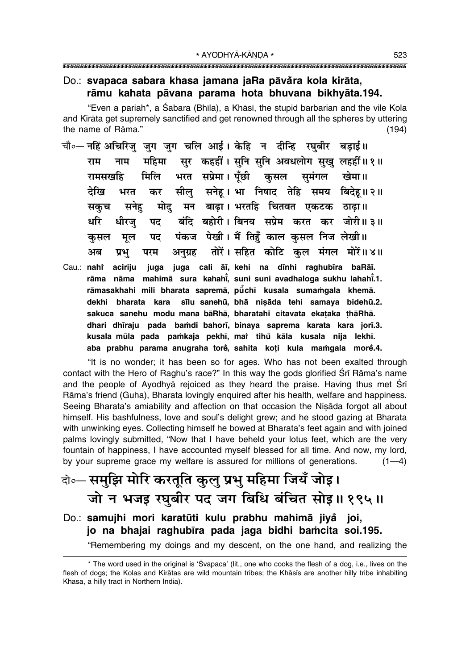#### Do.: svapaca sabara khasa jamana jaRa pāvåra kola kirāta, rāmu kahata pāvana parama hota bhuvana bikhyāta.194.

"Even a pariah\*, a Śabara (Bhīla), a Khāsī, the stupid barbarian and the vile Kola and Kirāta get supremely sanctified and get renowned through all the spheres by uttering the name of Rāma."  $(194)$ 

- चौ∘— नहिं अचिरिज जग जग चलि आई। केहि न दीन्हि रघबीर बडाई॥ सर कहहीं। सनि सनि अवधलोग सख लहहीं॥१॥ महिमा राम नाम भरत सप्रेमा। पूँछी कुसल सुमंगल खेमा॥ मिलि रामसखहि सीलु सनेह। भा निषाद तेहि समय बिदेह॥२॥ देखि भरत कर मोद् मन बाढ़ा। भरतहि चितवत एकटक ठाढ़ा॥ सनेह सकच बंदि बहोरी। बिनय सप्रेम करत कर जोरी॥३॥ धरि धीरज् पद पंकज पेखी। मैं तिहूँ काल कसल निज लेखी।। पद कसल मल तोरें। सहित कोटि कल मंगल मोरें॥४॥ अनग्रह अब प्रभ परम
- Cau.: nahi aciriju juga juga cali āī, kehi na dīnhi raghubīra baRāī. rāma nāma mahimā sura kahahi, suni suni avadhaloga sukhu lahahi.1. rāmasakhahi mili bharata sapremā, pūchī kusala sumamgala khemā. dekhi bharata kara sīlu sanehū, bhā nisāda tehi samaya bidehū.2. sakuca sanehu modu mana bāRhā, bharatahi citavata ekataka thāRhā. dhari dhiraju pada bamdi bahori, binaya saprema karata kara jori.3. kusala mūla pada pamkaja pekhī, mar tihu kāla kusala nija lekhī. aba prabhu parama anugraha torė, sahita koti kula mamgala morė.4.

"It is no wonder; it has been so for ages. Who has not been exalted through contact with the Hero of Raghu's race?" In this way the gods glorified Srī Rāma's name and the people of Ayodhya rejoiced as they heard the praise. Having thus met Sri Rāma's friend (Guha), Bharata lovingly enguired after his health, welfare and happiness. Seeing Bharata's amiability and affection on that occasion the Nisada forgot all about himself. His bashfulness, love and soul's delight grew; and he stood gazing at Bharata with unwinking eyes. Collecting himself he bowed at Bharata's feet again and with joined palms lovingly submitted, "Now that I have beheld your lotus feet, which are the very fountain of happiness, I have accounted myself blessed for all time. And now, my lord, by your supreme grace my welfare is assured for millions of generations.  $(1-4)$ 

### वे∘—समुझि मोरि करतूति कुलु प्रभु महिमा जियँ जोइ। जो न भजइ रघुबीर पद जग बिधि बंचित सोइ॥१९५॥

Do.: samujhi mori karatūti kulu prabhu mahimā jiyå joi, jo na bhajai raghubīra pada jaga bidhi bamcita soi.195.

"Remembering my doings and my descent, on the one hand, and realizing the

<sup>\*</sup> The word used in the original is 'Svapaca' (lit., one who cooks the flesh of a dog, i.e., lives on the flesh of dogs; the Kolas and Kirātas are wild mountain tribes; the Khāsīs are another hilly tribe inhabiting Khasa, a hilly tract in Northern India).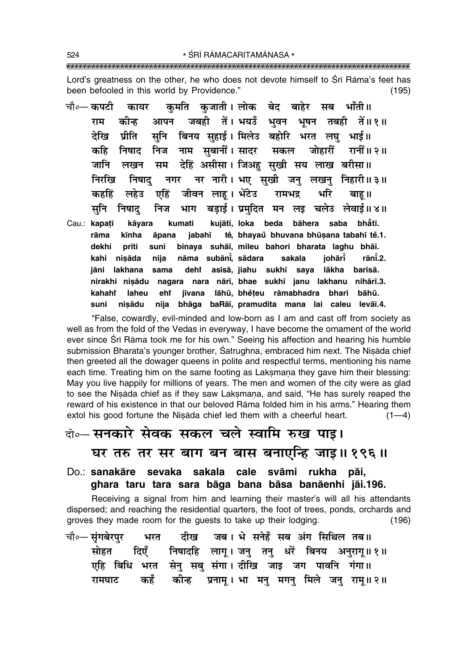Lord's greatness on the other, he who does not devote himself to Sri Rama's feet has been befooled in this world by Providence."  $(195)$ 

कमति कजाती।लोक बेद बाहेर सब भाँती॥ चौ०— कपटी कायर आपन जबही तें। भयउँ भवन भूषन तबही तें॥१॥ राम कोन्ह सनि बिनय सहाई। मिलेउ बहोरि भरत लघ भाई॥ देखि प्रीति कहि निषाद निज नाम सबानीं। सादर सकल जोहारीं रानीं ॥ २ ॥ देहिं असीसा। जिअहु सुखी सय लाख बरीसा॥ जानि लखन सम नगर नर नारी। भए सखी जन लखन निहारी॥३॥ निररिव निषाट जीवन लाह। भेंटेउ भरि कहहिं लहेउ एहिं रामभद्र बाह ॥ भाग बडाई। प्रमुदित मन लइ चलेउ लेवाई॥४॥ सनि निषाद निज kāyara Cau.: kapatī kumati kujātī, loka beda bāhera saba bhẳtī. tě, bhayaů bhuvana bhūșana tabahī tě.1. rāma kīnha āpana jabahī dekhi suni binaya suhāi, mileu bahori bharata laghu bhāi. prīti nāma subānī, sādara johārī rānī.2. kahi nisāda nija sakala iāni lakhana sama deht asīsā, jiahu sukhī saya lākha barīsā. nagara nara nārī, bhae sukhī janu lakhanu nihārī.3. nirakhi nisādu kahaht laheu jīvana lāhū, bhěteu rāmabhadra bhari bāhū. ehr suni nisādu nija bhāga baRāī, pramudita mana lai caleu levāī.4.

"False, cowardly, evil-minded and low-born as I am and cast off from society as well as from the fold of the Vedas in everyway, I have become the ornament of the world ever since Srī Rāma took me for his own." Seeing his affection and hearing his humble submission Bharata's younger brother, Satrughna, embraced him next. The Nisada chief then greeted all the dowager queens in polite and respectful terms, mentioning his name each time. Treating him on the same footing as Laksmana they gave him their blessing: May you live happily for millions of years. The men and women of the city were as glad to see the Nisada chief as if they saw Laksmana, and said, "He has surely reaped the reward of his existence in that our beloved Rama folded him in his arms." Hearing them extol his good fortune the Nisada chief led them with a cheerful heart.  $(1-4)$ 

#### वो॰-सनकारे सेवक सकल चले स्वामि रुख पाइ।

घर तरु तर सर बाग बन बास बनाएन्हि जाइ॥ १९६॥

#### Do.: sanakāre sevaka sakala cale svāmi rukha pāi, ghara taru tara sara bāga bana bāsa banāenhi jāi.196.

Receiving a signal from him and learning their master's will all his attendants dispersed; and reaching the residential quarters, the foot of trees, ponds, orchards and groves they made room for the guests to take up their lodging.  $(196)$ 

| चौ०— सुंगबेरपुर भरत दीख जब। भे सनेहँ सब अंग सिथिल तब॥ |  |                                                     |  |                                                         |
|-------------------------------------------------------|--|-----------------------------------------------------|--|---------------------------------------------------------|
|                                                       |  |                                                     |  | सोहत दिएँ निषादहि लागू । जनु तनु धरें बिनय अनुरागू ॥१॥  |
|                                                       |  | एहि बिधि भरत सेनु सबु संगा। दीखि जाइ जग पावनि गंगा॥ |  |                                                         |
|                                                       |  |                                                     |  | रामघाट कहँ कीन्ह प्रनामू। भा मनु मगनु मिले जनु रामू॥ २॥ |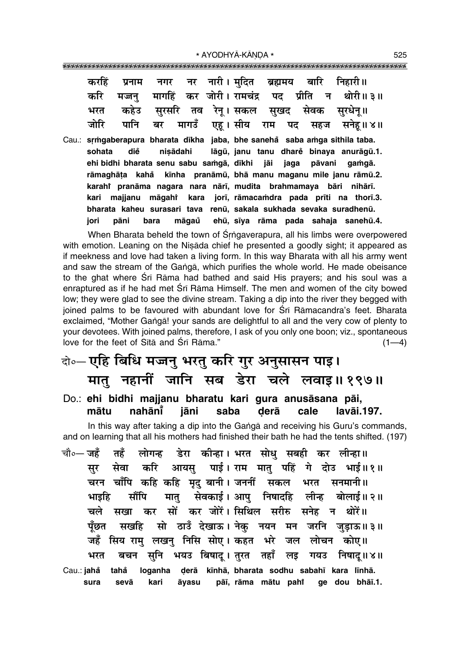|  | करहिं प्रनाम नगर नर नारी।मुदित ब्रह्ममय बारि निहारी॥ |  |  |  |                                                             |
|--|------------------------------------------------------|--|--|--|-------------------------------------------------------------|
|  |                                                      |  |  |  | करि मज्जनु मार्गाहें कर जोरी। रामचंद्र पद प्रीति न थोरी॥ ३॥ |
|  |                                                      |  |  |  | भरत कहेउ सुरसरि तव रेनू। सकल सुखद सेवक सुरधेनू॥             |
|  |                                                      |  |  |  | जोरि पानि बर मागउँ एह।सीय राम पद सहज सनेह॥४॥                |

Cau.: srmgaberapura bharata dīkha jaba, bhe saneha saba amga sithila taba. lāgū, janu tanu dharė binava anurāgū.1. sohata diě nisādahi ehi bidhi bharata senu sabu samgā, dīkhi jāi jaga pāvani gamgā. rāmaghāṭa kahå kīnha pranāmū, bhā manu maganu mile janu rāmū.2. karahi pranāma nagara nara nārī, mudita brahmamaya bāri nihārī. kara jorī, rāmacamdra pada prīti na thorī.3. kari majjanu māgahi bharata kaheu surasari tava renū, sakala sukhada sevaka suradhenū. pāni bara māgaů iori ehū, sīya rāma pada sahaja sanehū.4.

When Bharata beheld the town of Srngaverapura, all his limbs were overpowered with emotion. Leaning on the Nisada chief he presented a goodly sight; it appeared as if meekness and love had taken a living form. In this way Bharata with all his army went and saw the stream of the Ganga, which purifies the whole world. He made obeisance to the ghat where Srī Rāma had bathed and said His prayers; and his soul was a enraptured as if he had met Sri Rama Himself. The men and women of the city bowed low; they were glad to see the divine stream. Taking a dip into the river they begged with joined palms to be favoured with abundant love for Srī Rāmacandra's feet. Bharata exclaimed, "Mother Ganga! your sands are delightful to all and the very cow of plenty to your devotees. With joined palms, therefore, I ask of you only one boon; viz., spontaneous love for the feet of Sita and Sri Rama."  $(1-4)$ 

# वो०- एहि बिधि मज्जनु भरतु करि गुर अनुसासन पाइ। मातु नहानीं जानि सब डेरा चले लवाइ॥१९७॥

Do.: ehi bidhi majjanu bharatu kari gura anusāsana pāi, mātu nahānī iāni saba derā cale lavāi.197.

In this way after taking a dip into the Ganga and receiving his Guru's commands, and on learning that all his mothers had finished their bath he had the tents shifted. (197)

चौ०— **जहँ** डेरा कीन्हा। भरत सोध सबही कर लीन्हा॥ तहँ लोगन्ह सेवा करि आयस् पाई। राम मात् पहिं गे दोउ भाई॥१॥ सर चरन चाँपि कहि कहि मृद् बानी। जननीं सकल भरत सनमानी॥ मातु सेवकाई। आपु निषादहि लीन्ह बोलाई॥२॥ भाइहि मौंपि सखा कर सों कर जोरें। सिथिल सरीरु सनेह न थोरें॥ चले सखहि सो ठाउँ देखाऊ। नेक नयन मन जरनि जड़ाऊ॥३॥ पँछत जहँ सिय राम् लखन् निसि सोए। कहत भरे जल लोचन कोए॥ सनि भयउ बिषाद् । तुरत तहाँ लड़ भरत बचन गयउ निषाद॥४॥ Cau.: jahå tahå loganha derā kīnhā, bharata sodhu sabahī kara līnhā. sura sevā kari āvasu pāī, rāma mātu pahi qe dou bhāī.1.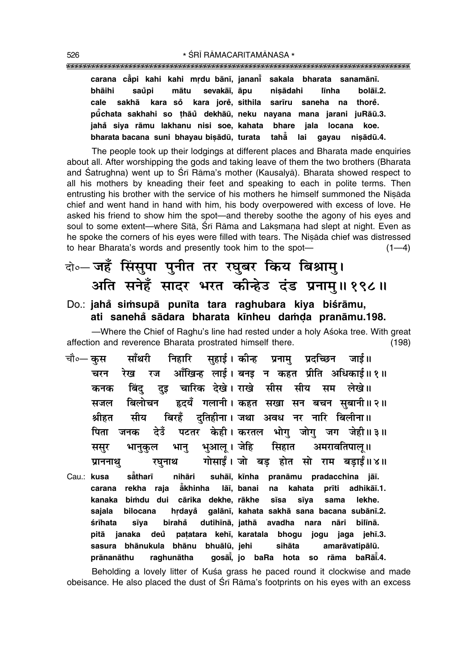**carana cå° pi kahi kahi mædu bån∂, janan∂° sakala bharata sanamån∂.** bhāihi saŭpi mātu sevakāī, āpu nisādahi līnha bolāī.2. **cale sakhå kara so° kara jore° , sithila sar∂ru saneha na thore° . pµu° chata sakhahi so ¢håu° dekhåµu, neku nayana mana jarani juRåµu.3. jaha° siya råmu lakhanu nisi soe, kahata bhare jala locana koe. bharata bacana suni bhayau bi¶ådµu, turata tahå° lai gayau ni¶ådµu.4.**

The people took up their lodgings at different places and Bharata made enquiries about all. After worshipping the gods and taking leave of them the two brothers (Bharata and Śatrughna) went up to Śrī Rāma's mother (Kausalyā). Bharata showed respect to all his mothers by kneading their feet and speaking to each in polite terms. Then entrusting his brother with the service of his mothers he himself summoned the Nisada chief and went hand in hand with him, his body overpowered with excess of love. He asked his friend to show him the spot—and thereby soothe the agony of his eyes and soul to some extent—where Sītā, Śrī Rāma and Laksmana had slept at night. Even as he spoke the corners of his eyes were filled with tears. The Nisāda chief was distressed to hear Bharata's words and presently took him to the spot— $(1-4)$ 

#### दो**०– जहँ सिंसुपा पुनीत तर रघुबर किय बिश्रामु।** अति सनेहँ सादर भरत कीन्हेउ दंड प्रनाम् ॥ १९८ ॥

#### Do.: **jahå simsupā punīta tara raghubara kiya biśrāmu, ati saneha sådara bharata k∂nheu da≈Œa pranåmu.198. °**

–Where the Chief of Raghu's line had rested under a holy Asoka tree. With great affection and reverence Bharata prostrated himself there. (198)

- चौ०— कस साँथरी निहारि सहाई । कीन्ह प्रनाम प्रदच्छिन जाई ॥ चरन रेख रज आँखिन्ह लाई। बनड न कहत प्रीति अधिकाई॥१॥  $\overline{x}$ कनक बिंद दइ चारिक देखे।**राखे सीस सीय सम लेखे**॥ सजल बिलोचन हृदयँ गलानी।**कहत सखा सन बचन सबानी॥२॥** <u>श्रीहत सीय बिरहँ दतिहीना। जथा अवध नर नारि बिलीना॥</u> <u>पिता जनक देउँ पटतर केही।वकरतल भोग जोग</u> जग जेही॥३॥ ससुर भानुकुल भानु भुआल् ।जेहि सिहात अमरावतिपाल् ॥ <mark>प्राननाथ</mark>़ रघुनाथ गोसाईं। जो बड़ होत सो राम बड़ाईं॥४॥
- Cau.: **kusa** såtharī **thar∂ nihåri suhå∂, k∂nha pranåmu pradacchina jå∂. carana rekha raja å° khinha lå∂, banai na kahata pr∂ti adhikå∂.1. kanaka bi≈du dui cårika dekhe, råkhe s∂sa s∂ya sama lekhe. sajala bilocana hædaya° galån∂, kahata sakhå sana bacana subån∂.2. ‹r∂hata s∂ya biraha° dutih∂nå, jathå avadha nara nåri bil∂nå. pitå janaka deu pa¢atara keh∂, ° karatala bhogu jogu jaga jeh∂.3.** sasura bhānukula bhānu bhuālū, jehi sihāta amarāvatipālū. **prånanåthu raghunåtha goså∂° , jo baRa hota so råma baRå∂° .4.**

Beholding a lovely litter of Kusa grass he paced round it clockwise and made obeisance. He also placed the dust of Śrī Rāma's footprints on his eyes with an excess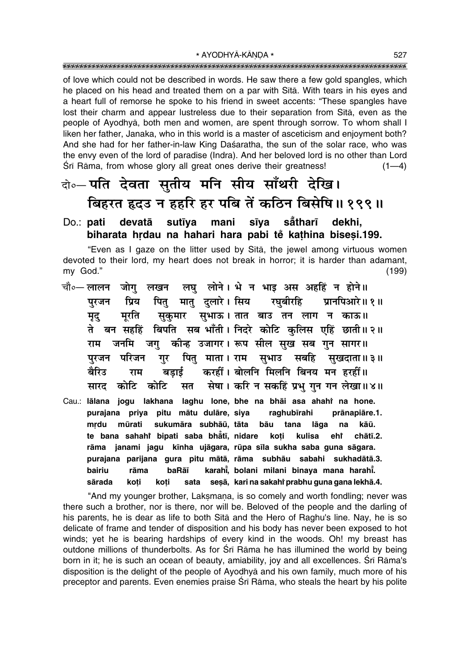of love which could not be described in words. He saw there a few gold spangles, which he placed on his head and treated them on a par with Sītā. With tears in his eyes and a heart full of remorse he spoke to his friend in sweet accents: "These spangles have lost their charm and appear lustreless due to their separation from Sita, even as the people of Ayodhya, both men and women, are spent through sorrow. To whom shall I liken her father, Janaka, who in this world is a master of asceticism and enjoyment both? And she had for her father-in-law King Dasaratha, the sun of the solar race, who was the envy even of the lord of paradise (Indra). And her beloved lord is no other than Lord Śrī Rāma, from whose glory all great ones derive their greatness!  $(1-4)$ 

#### वो०-पति देवता सुतीय मनि सीय साँथरी देखि। बिहरत हृदउ न हहरि हर पबि तें कठिन बिसेषि॥ १९९॥

#### devatā sutīva mani sīva sātharī dekhi, Do.: **pati** biharata hrdau na hahari hara pabi tě kathina bisesi.199.

"Even as I gaze on the litter used by Sita, the jewel among virtuous women devoted to their lord, my heart does not break in horror; it is harder than adamant, my God."  $(199)$ 

- लघु लोने। भे न भाइ अस अहहिं न होने॥ चौ∘— लालन जोग लखन मातु दुलारे। सिय रघुबीरहि पित् प्रानपिआरे॥ १॥ प्रिय पुरजन सुकुमार सुभाऊ। तात बाउ तन लाग न काऊ॥ मरति मुद् ते बन सहहिं बिपति सब भाँती। निदरे कोटि कुलिस एहिं छाती॥२॥ राम जनमि जगु कीन्ह उजागर। रूप सील सुख सब गुन सागर॥ गुर पितु माता। राम सुभाउ सबहि सुखदाता॥३॥ परजन परिजन करहीं। बोलनि मिलनि बिनय मन हरहीं॥ बैरिउ राम बडाई सेषा। करि न सकहिं प्रभु गुन गन लेखा॥४॥ कोटि कोटि सत सारद
- Cau.: lālana jogu lakhana laghu lone, bhe na bhāi asa ahahi na hone. purajana priya pitu mātu dulāre, siya raghubīrahi prānapiāre.1. mrdu mūrati sukumāra subhāū, tāta bāu tana lāga na kāū. te bana sahahi bipati saba bhati, nidare koti kulisa ehř chātī.2. rāma janami jagu kīnha ujāgara, rūpa sīla sukha saba guna sāgara. purajana parijana gura pitu mātā, rāma subhāu sabahi sukhadātā.3. karahi, bolani milani binaya mana harahi. bairiu rāma baRāī sata sesā, kari na sakahi prabhu guna gana lekhā.4. sārada koti koti

"And my younger brother, Laksmana, is so comely and worth fondling; never was there such a brother, nor is there, nor will be. Beloved of the people and the darling of his parents, he is dear as life to both Sita and the Hero of Raghu's line. Nay, he is so delicate of frame and tender of disposition and his body has never been exposed to hot winds; yet he is bearing hardships of every kind in the woods. Oh! my breast has outdone millions of thunderbolts. As for Srī Rāma he has illumined the world by being born in it; he is such an ocean of beauty, amiability, joy and all excellences. Srī Rāma's disposition is the delight of the people of Ayodhya and his own family, much more of his preceptor and parents. Even enemies praise Srī Rāma, who steals the heart by his polite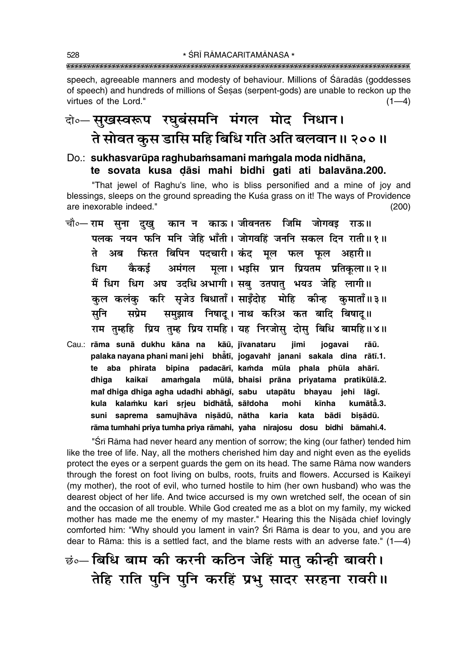speech, agreeable manners and modesty of behaviour. Millions of Śāradās (goddesses of speech) and hundreds of millions of Sesas (serpent-gods) are unable to reckon up the virtues of the Lord."  $(1-4)$ 

### वो० सुखस्वरूप रघुबंसमनि मंगल मोद निधान। ते सोवत कुस डासि महि बिधि गति अति बलवान॥ २००॥

#### Do.: sukhasvarūpa raghubamsamani mamgala moda nidhāna, te sovata kusa dāsi mahi bidhi gati ati balavāna.200.

"That jewel of Raghu's line, who is bliss personified and a mine of joy and blessings, sleeps on the ground spreading the Kuśa grass on it! The ways of Providence are inexorable indeed."  $(200)$ 

- चौ०— राम सुना दुखु कान न काऊ। जीवनतरु जिमि जोगवइ राऊ॥ पलक नयन फनि मनि जेहि भाँती। जोगवहिं जननि सकल दिन राती॥१॥ फिरत बिपिन पदचारी। कंद मूल फल फूल अहारी॥ ते अब अमंगल मूला। भइसि प्रान प्रियतम प्रतिकृला॥२॥ धिग कैकई मैं धिग धिग अघ उदधि अभागी। सबु उतपातु भयउ जेहि लागी॥ कल कलंक करि सजेउ बिधाताँ। साइँदोह मोहि कीन्ह कमाताँ॥३॥ समुझाव निषाद् । नाथ करिअ कत बादि बिषाद् ॥ सनि सप्रेम राम तुम्हहि प्रिय तुम्ह प्रिय रामहि। यह निरजोसु दोसु बिधि बामहि॥४॥
- Cau.: rāma sunā dukhu kāna na kāū, jīvanataru iimi jogavai rāū. palaka nayana phani mani jehi bhatī, jogavahi janani sakala dina rātī.1. te aba phirata bipina padacārī, kamda mūla phala phūla ahārī. dhiga kaikaī amamgala mūlā, bhaisi prāna priyatama pratikūlā.2. mai dhiga dhiga agha udadhi abhāgī, sabu utapātu bhayau jehi lāgī. kula kalamku kari srjeu bidhātā, sārdoha mohi kīnha kumātā.3. suni saprema samujhāva nisādū, nātha karia kata bādi bisādū. rāma tumhahi priya tumha priya rāmahi, yaha nirajosu dosu bidhi bāmahi.4.

"Srī Rāma had never heard any mention of sorrow; the king (our father) tended him like the tree of life. Nay, all the mothers cherished him day and night even as the evelids protect the eyes or a serpent quards the gem on its head. The same Rama now wanders through the forest on foot living on bulbs, roots, fruits and flowers. Accursed is Kaikeyī (my mother), the root of evil, who turned hostile to him (her own husband) who was the dearest object of her life. And twice accursed is my own wretched self, the ocean of sin and the occasion of all trouble. While God created me as a blot on my family, my wicked mother has made me the enemy of my master." Hearing this the Niṣāda chief lovingly comforted him: "Why should you lament in vain? Srī Rāma is dear to you, and you are dear to Rāma: this is a settled fact, and the blame rests with an adverse fate."  $(1-4)$ 

छं॰- बिधि बाम की करनी कठिन जेहिं मातु कीन्ही बावरी। तेहि राति पुनि पुनि करहिं प्रभु सादर सरहना रावरी ।।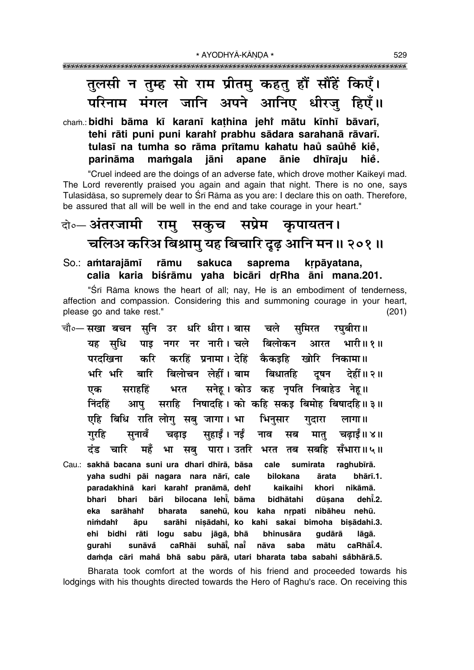### तुलसी न तुम्ह सो राम प्रीतमु कहतु हौं सौंहें किएँ। परिनाम मंगल जानि अपने आनिए धीरजु हिएँ॥

#### cham.: bidhi bāma kī karanī kathina jehr mātu kīnhī bāvarī, tehi rāti puni puni karahi prabhu sādara sarahanā rāvarī. tulasī na tumha so rāma prītamu kahatu haŭ saŭhe kie, parināma mamqala jāni apane ānie dhīraiu hie.

"Cruel indeed are the doings of an adverse fate, which drove mother Kaikeyī mad. The Lord reverently praised you again and again that night. There is no one, says Tulasīdāsa, so supremely dear to Śrī Rāma as you are: I declare this on oath. Therefore, be assured that all will be well in the end and take courage in your heart."

## केन्ट अंतरजामी रामु सकुच सप्रेम कृपायतन। चलिअ करिअ बिश्रामु यह बिचारि दृढ़ आनि मन॥ २०१॥

So.: amtarajāmī rāmu sakuca saprema krpāvatana, calia karia biśrāmu yaha bicāri drRha āni mana.201.

"Srī Rāma knows the heart of all; nay, He is an embodiment of tenderness, affection and compassion. Considering this and summoning courage in your heart, please go and take rest."  $(201)$ 

- चौ∘— सखा बचन सनि उर धरि धीरा। बास चले समिरत रघबीरा॥ पाइ नगर नर नारी। चले बिलोकन यह सधि आरत भारी॥ १॥ करहिं प्रनामा। देहिं कैकइहि खोरि निकामा॥ करि परदखिना बिलोचन लेहीं। बाम बिधातहि भरि भरि बारि दुषन देहीं॥ २॥ भरत सनेहू। कोउ कह नृपति निबाहेउ नेहू॥ सराहहिं एक निंदहिं आप सराहि निषादहि । को कहि सकइ बिमोह बिषादहि ॥ ३ ॥ एहि बिधि राति लोग सबु जागा। भा भिनुसार गुदारा लागा। सहार्ड । नई गरहि सनावँ चढाड नाव मात चढाईं॥ ४॥ सब भरत तब सबहि सँभारा॥५॥ ढंड चारि महँ भा सब पारा। उतरि
- Cau.: sakhā bacana suni ura dhari dhīrā, bāsa sumirata raghubīrā. cale yaha sudhi pāi nagara nara nārī, cale bilokana ārata bhārī.1. nikāmā. paradakhinā kari karahi pranāmā, dehi kaikaihi khori bilocana lehi, bāma dehi.2. bhari bāri bidhātahi dūsana bhari eka sarāhahi bharata sanehū, kou kaha nrpati nibāheu nehū. nimdahi āpu sarāhi nisādahi, ko kahi sakai bimoha bisādahi.3. ehi bidhi rāti logu sabu jāgā, bhā bhinusāra qudārā lāgā. suhāi, nai caRhāi.4. qurahi sunāvå caRhāi nāva saba mātu damda cāri mahă bhā sabu pārā, utari bharata taba sabahi såbhārā.5.

Bharata took comfort at the words of his friend and proceeded towards his lodgings with his thoughts directed towards the Hero of Raghu's race. On receiving this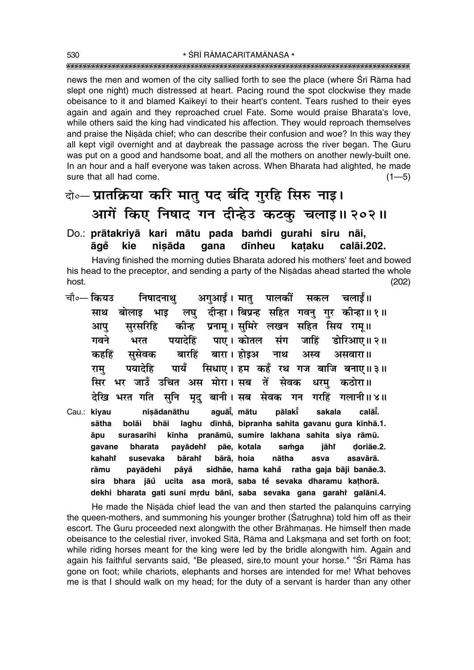news the men and women of the city sallied forth to see the place (where Sri Rama had slept one night) much distressed at heart. Pacing round the spot clockwise they made obeisance to it and blamed Kaikevi to their heart's content. Tears rushed to their eves again and again and they reproached cruel Fate. Some would praise Bharata's love, while others said the king had vindicated his affection. They would reproach themselves and praise the Nisada chief; who can describe their confusion and woe? In this way they all kept vigil overnight and at daybreak the passage across the river began. The Guru was put on a good and handsome boat, and all the mothers on another newly-built one. In an hour and a half everyone was taken across. When Bharata had alighted, he made sure that all had come.  $(1 - 5)$ 

### बे॰ प्रातक्रिया करि मातु पद बंदि गुरहि सिरु नाइ। आगें किए निषाद गन दीन्हेउ कटकू चलाइ॥ २०२॥

#### Do.: prātakriyā kari mātu pada bamdi gurahi siru nāi, āqě kie nisāda qana dīnheu calāi.202. kataku

Having finished the morning duties Bharata adored his mothers' feet and bowed his head to the preceptor, and sending a party of the Nisadas ahead started the whole host  $(202)$ 

|             | चौ०— कियउ       निषादनाथु       अगुआईं । मातु    पालकीं     सकल     चलाईं॥ |                                                    |  |  |  |                                                                      |
|-------------|----------------------------------------------------------------------------|----------------------------------------------------|--|--|--|----------------------------------------------------------------------|
|             |                                                                            |                                                    |  |  |  | साथ बोलाइ भाइ लघु दीन्हा।।बिप्रन्ह सहित गवनु गुर कीन्हा॥१॥           |
| आप          |                                                                            | सुरसरिहि कीन्ह प्रनाम् । सुमिरे लखन सहित सिय राम्॥ |  |  |  |                                                                      |
| गवने        |                                                                            |                                                    |  |  |  | भरत पयादेहिं पाए। कोतल संग जाहिं डोरिआए॥२॥                           |
|             | कहहिं सुसेवक बारहिं बारा। होइअ नाथ अस्व असवारा॥                            |                                                    |  |  |  |                                                                      |
| राम्        |                                                                            |                                                    |  |  |  | पयादेहि पायँ सिधाए। हम कहँ रथ गज बाजि बनाए॥३॥                        |
|             | सिर भर जाउँ उचित अस मोरा। सब तें सेवक धरमु कठोरा॥                          |                                                    |  |  |  |                                                                      |
|             |                                                                            |                                                    |  |  |  | देखि भरत गति सुनि मृदु बानी।सब सेवक गन गरहिं गलानी॥४॥                |
| Cau.: kiyau |                                                                            |                                                    |  |  |  | nişādanāthu aguāi̇̀, mātu pālaki̇̃ sakala calāi̇̃.                   |
| sātha       |                                                                            |                                                    |  |  |  | bolāi bhāi laghu dīnhā, bipranha sahita gavanu gura kīnhā.1.         |
|             |                                                                            |                                                    |  |  |  | āpu surasarihi kīnha pranāmū, sumire lakhana sahita siya rāmū.       |
|             |                                                                            |                                                    |  |  |  | gavane bharata payādehi pāe, kotala samga jāhi doriāe.2.             |
|             |                                                                            |                                                    |  |  |  | kahahi susevaka bārahi bārā,hoia nātha asva asavārā.                 |
| rāmu        |                                                                            |                                                    |  |  |  | payādehi pāyå sidhāe, hama kahå ratha gaja bāji banāe.3.             |
|             |                                                                            |                                                    |  |  |  | sira bhara jāŭ ucita asa morā, saba tě sevaka dharamu kathorā.       |
|             |                                                                            |                                                    |  |  |  | dekhi bharata gati suni mrdu bānī, saba sevaka gana garahi galānī.4. |

He made the Nisada chief lead the van and then started the palanguins carrying the queen-mothers, and summoning his younger brother (Satrughna) told him off as their escort. The Guru proceeded next alongwith the other Brāhmanas. He himself then made obeisance to the celestial river, invoked Sita, Rama and Laksmana and set forth on foot; while riding horses meant for the king were led by the bridle alongwith him. Again and again his faithful servants said, "Be pleased, sire, to mount your horse." "Srī Rāma has gone on foot; while chariots, elephants and horses are intended for me! What behoves me is that I should walk on my head; for the duty of a servant is harder than any other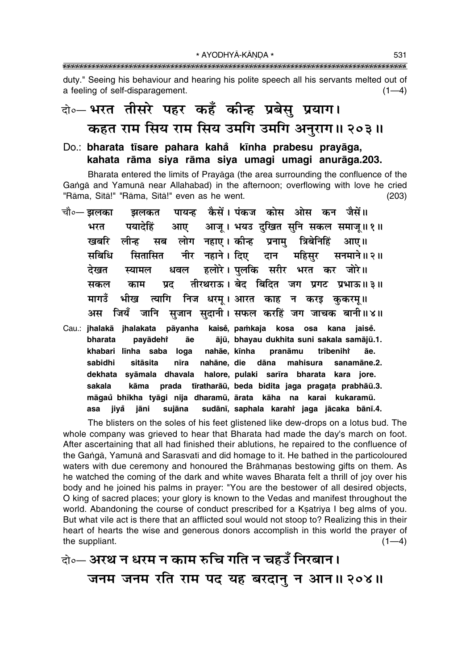duty." Seeing his behaviour and hearing his polite speech all his servants melted out of a feeling of self-disparagement.  $(1-4)$ 

### बो० भरत तीसरे पहर कहँ कीन्ह प्रबेसु प्रयाग। कहत राम सिय राम सिय उमगि उमगि अनुराग॥ २०३॥

#### Do.: bharata tīsare pahara kahå kīnha prabesu prayāga, kahata rāma siya rāma siya umagi umagi anurāga.203.

Bharata entered the limits of Prayāga (the area surrounding the confluence of the Ganga and Yamuna near Allahabad) in the afternoon; overflowing with love he cried "Rāma, Sītā!" "Rāma, Sītā!" even as he went.  $(203)$ 

|     | चौ०— झलका     झलकत    पायन्ह   कैसें । पंकज   कोस   ओस   कन   जैसें ॥ |  |  |  |  |
|-----|-----------------------------------------------------------------------|--|--|--|--|
| भरत | पयादेहिं आए आजू। भयउ दुखित सुनि सकल समाजू॥१॥                          |  |  |  |  |
|     | खबरि लीन्ह सब लोग नहाए।कीन्ह प्रनामु त्रिबेनिहिं आए॥                  |  |  |  |  |
|     | सबिधि सितासित नीर नहाने।।दिए दान महिसुर सनमाने॥२॥                     |  |  |  |  |
|     | देखत स्यामल धवल हलोरे।पुलकि सरीर भरत कर जोरे॥                         |  |  |  |  |
|     | सकल काम प्रद तीरथराऊ। बेद बिदित जग प्रगट प्रभाऊ॥३॥                    |  |  |  |  |
|     | मागउँ भीख त्यागि निज धरम्। आरत काह न करइ कुकरमू॥                      |  |  |  |  |
|     | अस जियँ जानि सुजान सुदानी। सफल करहिं जग जाचक बानी॥४॥                  |  |  |  |  |
|     |                                                                       |  |  |  |  |

Cau.: jhalakā jhalakata pāyanha kaisė, pamkaja kosa osa kana jaisė. bharata payādehi āe ājū, bhayau dukhita suni sakala samājū.1. khabari līnha saba loga nahāe, kīnha tribeniht pranāmu āе dāna sabidhi sitāsita nahāne, die nīra mahisura sanamāne.2. halore, pulaki sarīra bharata dekhata syāmala dhavala kara iore. prada tīratharāū, beda bidita jaga pragata prabhāū.3. sakala kāma māgaŭ bhīkha tyāgi nija dharamū, ārata kāha na karai kukaramū. jiyå jāni sujāna sudānī, saphala karahi jaga jācaka bānī.4. asa

The blisters on the soles of his feet glistened like dew-drops on a lotus bud. The whole company was grieved to hear that Bharata had made the day's march on foot. After ascertaining that all had finished their ablutions, he repaired to the confluence of the Ganga, Yamuna and Sarasvati and did homage to it. He bathed in the particoloured waters with due ceremony and honoured the Brāhmanas bestowing gifts on them. As he watched the coming of the dark and white waves Bharata felt a thrill of joy over his body and he joined his palms in prayer: "You are the bestower of all desired objects, O king of sacred places; your glory is known to the Vedas and manifest throughout the world. Abandoning the course of conduct prescribed for a Ksatriya I beg alms of you. But what vile act is there that an afflicted soul would not stoop to? Realizing this in their heart of hearts the wise and generous donors accomplish in this world the prayer of the suppliant.  $(1-4)$ 

को॰- अरथ न धरम न काम रुचि गति न चहउँ निरबान। जनम जनम रति राम पद यह बरदानु न आन॥ २०४॥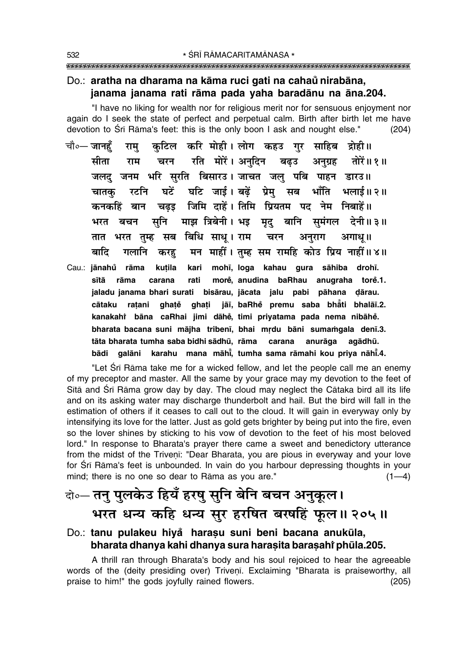#### Do.: aratha na dharama na kāma ruci gati na cahaŭ nirabāna, janama janama rati rāma pada yaha baradānu na āna.204.

"I have no liking for wealth nor for religious merit nor for sensuous enjoyment nor again do I seek the state of perfect and perpetual calm. Birth after birth let me have devotion to Srī Rāma's feet: this is the only boon I ask and nought else."  $(204)$ 

- कटिल करि मोही।लोग कहउ गर साहिब द्रोही॥ चौ∘— जानहँ राम चरन रति मोरें। अनदिन बढउ सीता राम अनग्रह तोरें॥ १॥ जलद जनम भरि सुरति बिसारउ। जाचत जलु पबि पाहन डारउ॥ घटें घटि जाई।बढ़ें प्रेमु सब भाँति भलाई॥२॥ चातक रटनि चढड़ जिमि दाहें। तिमि प्रियतम पद नेम निबाहें॥ कनकहिं बान माझ त्रिबेनी। भइ मृद् बानि समंगल देनी॥३॥ सनि भरत बचन तात भरत तम्ह सब बिधि साध्। राम चरन अनराग अगाध॥ मन माहीं। तुम्ह सम रामहि कोउ प्रिय नाहीं॥४॥ बादि गलानि करह kari mohī, loga kahau gura sāhiba drohī. Cau.: jānahů rāma kutila sītā morė, anudina baRhau anugraha torė.1. rāma carana rati jaladu janama bhari surati bisārau, jācata jalu pabi pāhana dārau. cātaku ratani ghatě ghati jāī, baRhě premu saba bhåti bhalāī.2.
	- kanakahî bāna caRhai jimi dāhě, timi priyatama pada nema nibāhě. bharata bacana suni mājha tribenī, bhai mrdu bāni sumamgala denī.3. tāta bharata tumha saba bidhi sādhū, rāma carana anurāga agādhū. galāni karahu mana māhi, tumha sama rāmahi kou priya nāhi.4. bādi

"Let Srī Rāma take me for a wicked fellow, and let the people call me an enemy of my preceptor and master. All the same by your grace may my devotion to the feet of Sita and Śrī Rāma grow day by day. The cloud may neglect the Cātaka bird all its life and on its asking water may discharge thunderbolt and hail. But the bird will fall in the estimation of others if it ceases to call out to the cloud. It will gain in everyway only by intensifying its love for the latter. Just as gold gets brighter by being put into the fire, even so the lover shines by sticking to his vow of devotion to the feet of his most beloved lord." In response to Bharata's prayer there came a sweet and benedictory utterance from the midst of the Triveni: "Dear Bharata, you are pious in everyway and your love for Srī Rāma's feet is unbounded. In vain do you harbour depressing thoughts in your mind; there is no one so dear to Rāma as you are."  $(1-4)$ 

### केञ्- तनु पुलकेउ हियँ हरषु सुनि बेनि बचन अनुकूल। भरत धन्य कहि धन्य सुर हरषित बरषहिं फूल॥ २०५॥

#### Do.: tanu pulakeu hiyå harasu suni beni bacana anukūla, bharata dhanya kahi dhanya sura harasita barasahi phula.205.

A thrill ran through Bharata's body and his soul rejoiced to hear the agreeable words of the (deity presiding over) Triveni. Exclaiming "Bharata is praiseworthy, all praise to him!" the gods joyfully rained flowers.  $(205)$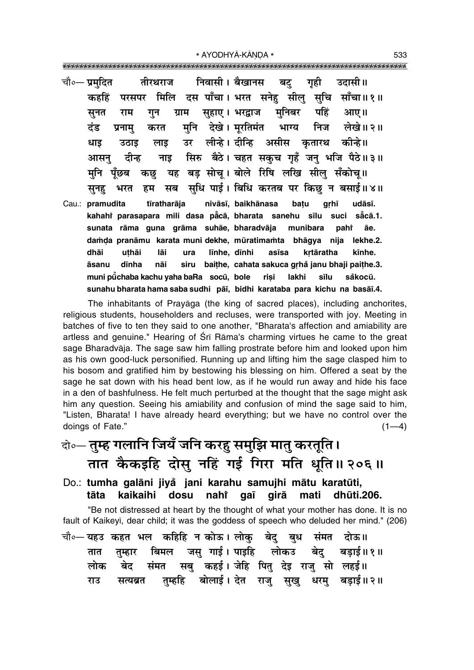\* AYODHYĀ-KĀNDA \* 

- निवासी। बैखानस चौ∘— प्रमदित तीरथराज गही उदासी ॥ बट् परसपर मिलि दस पाँचा। भरत सनेह सीलु सुचि साँचा॥१॥ कहहिं मनिबर पहिं आए।। ग्राम सहाए। भरद्वाज सनत राम गन मनि देखे। मरतिमंत भाग्य निज लेखे।। २॥ टंड करत प्रनाम उर लीन्हे। दीन्हि असीस कतारथ कीन्हे॥ धाड़ लाड उठाड सिरु बैठे। चहत सकुच गुहँ जन भजि पैठे॥३॥ आसन टीन्ह नाड यह बड़ सोचू। बोले रिषि लखि सीलु सँकोच्॥ मनि पॅछब कछ सधि पाई। बिधि करतब पर किछ न बसाई॥४॥ सब सनह भरत हम
- nivāsī, baikhānasa Cau.: pramudita tīratharāja batu grhī udāsī. kahahi parasapara mili dasa paca, bharata sanehu sīlu såcā.1. suci sunata rāma guna grāma suhāe, bharadvāja munibara pahř āe. damda pranāmu karata muni dekhe, mūratimamta bhāgya nija lekhe.2. līnhe, dīnhi dhāi uthāi lāi ura asīsa krtāratha kīnhe. dīnha nāi siru baithe, cahata sakuca grhå janu bhaji paithe.3. āsanu muni pūchaba kachu vaha baRa socū, bole risi lakhi sīlu såkocū. sunahu bharata hama saba sudhi pāī, bidhi karataba para kichu na basāī.4.

The inhabitants of Prayaga (the king of sacred places), including anchorites, religious students, householders and recluses, were transported with joy. Meeting in batches of five to ten they said to one another, "Bharata's affection and amiability are artless and genuine." Hearing of Srī Rāma's charming virtues he came to the great sage Bharadvāja. The sage saw him falling prostrate before him and looked upon him as his own good-luck personified. Running up and lifting him the sage clasped him to his bosom and gratified him by bestowing his blessing on him. Offered a seat by the sage he sat down with his head bent low, as if he would run away and hide his face in a den of bashfulness. He felt much perturbed at the thought that the sage might ask him any question. Seeing his amiability and confusion of mind the sage said to him, "Listen, Bharata! I have already heard everything; but we have no control over the doings of Fate."  $(1-4)$ 

- वे०— तुम्ह गलानि जियँ जनि करह समुझि मातु करतुति। तात कैकइहि दोसु नहिं गई गिरा मति धुति॥ २०६॥
- Do.: tumha galāni jiyå jani karahu samujhi mātu karatūti, kaikaihi dosu nahi qaī qirā mati dhūti.206. tāta

"Be not distressed at heart by the thought of what your mother has done. It is no fault of Kaikeyī, dear child; it was the goddess of speech who deluded her mind." (206)

|  | चौ०— यहउ कहत भल  कहिहि न कोऊ। लोकु  बेदु  बुध  संमत  दोऊ॥ |  |  |  |                                                        |  |
|--|-----------------------------------------------------------|--|--|--|--------------------------------------------------------|--|
|  |                                                           |  |  |  | तात तुम्हार बिमल जसु गाई। पाइहि  लोकउ  बेदु  बड़ाई॥१॥  |  |
|  |                                                           |  |  |  | लोक बेद संमत सबु कहई।जेहि पितु देइ राजु सो लहई॥        |  |
|  |                                                           |  |  |  | राउ सत्यब्रत तुम्हहि बोलाई।देत राजु सुखु धरमु बड़ाई॥२॥ |  |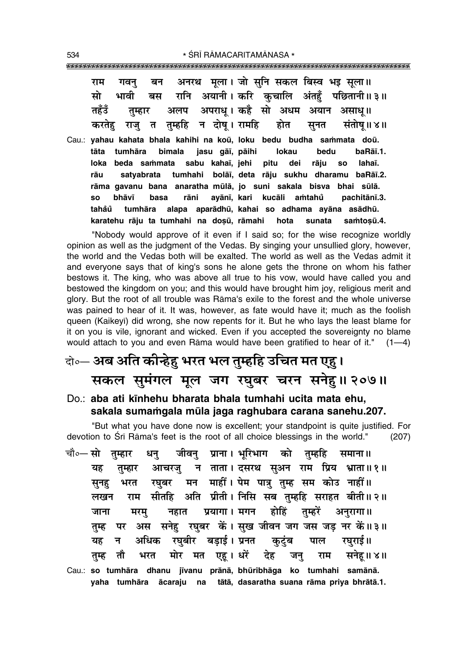|  |  | राम गवनु बन अनरथ मूला। जो सुनि सकल बिस्व भइ सूला॥         |  |  |
|--|--|-----------------------------------------------------------|--|--|
|  |  | सो भावी बस रानि अयानी।करि कुचालि अंतहुँ पछितानी॥३॥        |  |  |
|  |  | तहँउँ तुम्हार अलप अपराध् ।कहै सो अधम अयान असाधू॥          |  |  |
|  |  | करतेहु राजु त तुम्हहि न दोषू। रामहि  होत  सुनत  संतोषू॥४॥ |  |  |

Cau.: yahau kahata bhala kahihi na koū, loku bedu budha sammata doū. **tåta tumhåra bimala jasu gå∂, påihi lokau bedu baRå∂.1. loka beda sa≈mata sabu kaha∂, jehi pitu dei råju so laha∂. råu satyabrata tumhahi bolå∂, deta råju sukhu dharamu baRå∂.2.** rāma gavanu bana anaratha mūlā, jo suni sakala bisva bhai sūlā. **so bhåv∂ basa råni ayån∂, kari kucåli a≈tahu pachitån∂.3. ° taha° u tumhåra alapa ° aparådhµu, kahai so adhama ayåna asådhµu.** karatehu rāju ta tumhahi na dosū, rāmahi hota sunata samtosū.4.

"Nobody would approve of it even if I said so; for the wise recognize worldly opinion as well as the judgment of the Vedas. By singing your unsullied glory, however, the world and the Vedas both will be exalted. The world as well as the Vedas admit it and everyone says that of king's sons he alone gets the throne on whom his father bestows it. The king, who was above all true to his vow, would have called you and bestowed the kingdom on you; and this would have brought him joy, religious merit and glory. But the root of all trouble was Råma's exile to the forest and the whole universe was pained to hear of it. It was, however, as fate would have it; much as the foolish queen (Kaikeyī) did wrong, she now repents for it. But he who lays the least blame for it on you is vile, ignorant and wicked. Even if you accepted the sovereignty no blame would attach to you and even Rāma would have been gratified to hear of it."  $(1-4)$ 

### दो**०— अब अति कीन्हेहु भरत भल तुम्हहि उचित मत एहू।** सकल सुमंगल मूल जग रघुबर चरन सने<u>ह</u>।। २०७॥

Do.: **aba ati k∂nhehu bharata bhala tumhahi ucita mata ehu,** sakala sumamgala mūla jaga raghubara carana sanehu.207.

"But what you have done now is excellent; your standpoint is quite justified. For devotion to Śrī Rāma's feet is the root of all choice blessings in the world." (207) चौ०— सो तुम्हार धनु जीवनु प्राना। भूरिभाग को तुम्हहि समाना॥ यह तुम्हार आचरज् न ताता।दसरथ सुअन राम प्रिय भ्राता॥१॥ सूनह भरत रघुबर मन माहीं।**पेम पात्रु तुम्ह सम कोउ नाहीं**॥ लखन राम सीतहि अति प्रीती।**निसि सब तम्हहि सराहत बीती॥२॥** जाना मरम् नहात प्रयागा**।** मगन होहिं तुम्हरें अनुरागा॥ तुम्ह पर अस सनेह रघुबर कें। सुख जीवन जग जस जड़ नर कें॥३॥ यह न अधिक रघुबीर बडाई। प्रनत कुटुंब पाल रघुराई॥ तुम्ह तौ भरत मोर मत एह**। धरें देह जन् राम सनेह**॥४॥

Cau.: **so tumhåra dhanu j∂vanu prånå, bhµuribhåga ko tumhahi samånå. yaha tumhåra åcaraju na tåtå, dasaratha suana råma priya bhråtå.1.**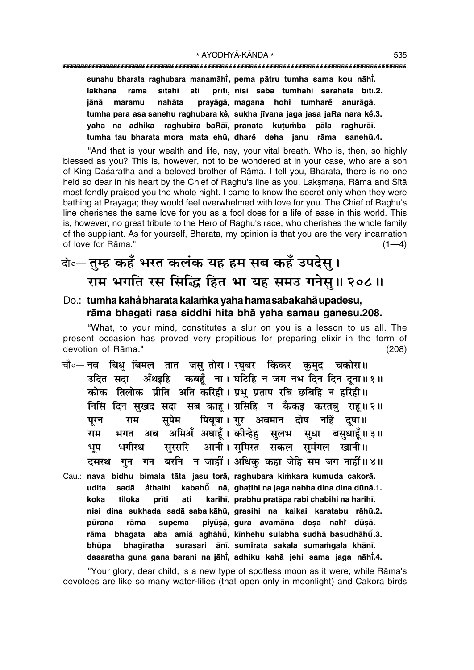sunahu bharata raghubara manamāhi, pema pātru tumha sama kou nāhi. ati prītī, nisi saba tumhahi sarāhata bītī.2. lakhana rāma sītahi iānā maramu nahāta pravāgā, magana hohi tumhare anurāgā. tumha para asa sanehu raghubara kě, sukha jīvana jaga jasa jaRa nara kě.3. vaha na adhika raghubīra baRāī, pranata kutumba pāla raghurāī. tumha tau bharata mora mata ehū, dhare deha janu rāma sanehū.4.

"And that is your wealth and life, nay, your vital breath. Who is, then, so highly blessed as you? This is, however, not to be wondered at in your case, who are a son of King Daśaratha and a beloved brother of Rāma. I tell you, Bharata, there is no one held so dear in his heart by the Chief of Raghu's line as you. Laksmana, Rāma and Sītā most fondly praised you the whole night. I came to know the secret only when they were bathing at Pravāga; they would feel overwhelmed with love for you. The Chief of Raghu's line cherishes the same love for you as a fool does for a life of ease in this world. This is, however, no great tribute to the Hero of Raghu's race, who cherishes the whole family of the suppliant. As for yourself, Bharata, my opinion is that you are the very incarnation of love for Rāma."  $(1-4)$ 

### वो॰- तुम्ह कहँ भरत कलंक यह हम सब कहँ उपदेस् । राम भगति रस सिद्धि हित भा यह समउ गनेसु॥ २०८॥

#### Do.: tumha kahå bharata kalamka yaha hamasaba kahå upadesu, rāma bhagati rasa siddhi hita bhā yaha samau ganesu.208.

"What, to your mind, constitutes a slur on you is a lesson to us all. The present occasion has proved very propitious for preparing elixir in the form of devotion of Rāma."  $(208)$ 

- चौ०— नव बिधु बिमल तात जसु तोरा । रघुबर किंकर कुमुद चकोरा॥ अँथइहि कबहूँ ना। घटिहि न जग नभ दिन दिन दूना॥१॥ उदित सदा कोक तिलोक प्रीति अति करिही। प्रभ प्रताप रबि छबिहि न हरिही॥ निसि दिन सुखद सदा सब काह। ग्रसिहि न कैकइ करतबु राह॥२॥ पियुषा। गर अवमान दोष नहिं दुषा॥ सपेम राम पुरन भगत अब अमिअँ अघाहँ। कीन्हेह सलभ सधा बसधाहँ॥३॥ राम सरसरि आनी। समिरत सकल समंगल खानी॥ भगीरथ भूप गुन गन बरनि न जाहीं। अधिक कहा जेहि सम जग नाहीं॥४॥ दसरथ
- Cau.: nava bidhu bimala tāta jasu torā, raghubara kimkara kumuda cakorā. sadā kabahū nā, ghatihi na jaga nabha dina dina dūnā.1. udita åthaihi koka tiloka karihī, prabhu pratāpa rabi chabihi na harihī. prīti ati nisi dina sukhada sadā saba kāhū, grasihi na kaikai karatabu rāhū.2. pūrana rāma supema piyūsā, gura avamāna dosa nahi dūsā. rāma bhagata aba amiå aghāhū, kīnhehu sulabha sudhā basudhāhū.3. surasari ānī, sumirata sakala sumamgala khānī. bhūpa bhagīratha dasaratha guna gana barani na jāhi, adhiku kahā jehi sama jaga nāhi.4.

"Your glory, dear child, is a new type of spotless moon as it were; while Rāma's devotees are like so many water-lilies (that open only in moonlight) and Cakora birds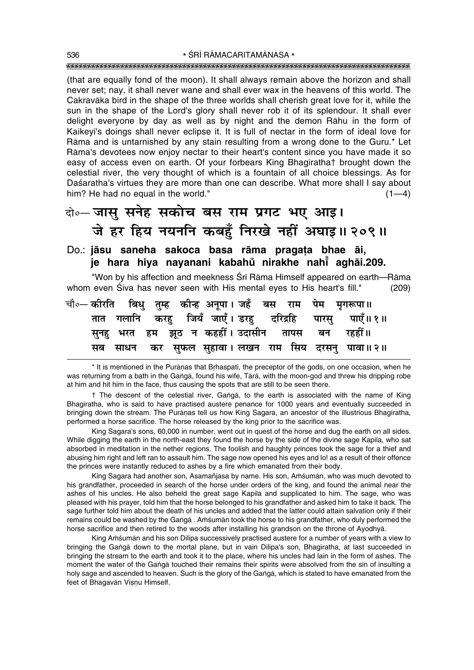(that are equally fond of the moon). It shall always remain above the horizon and shall never set; nay, it shall never wane and shall ever wax in the heavens of this world. The Cakravaka bird in the shape of the three worlds shall cherish great love for it, while the sun in the shape of the Lord's glory shall never rob it of its splendour. It shall ever delight everyone by day as well as by night and the demon Rāhu in the form of Kaikeyī's doings shall never eclipse it. It is full of nectar in the form of ideal love for Rāma and is untarnished by any stain resulting from a wrong done to the Guru.\* Let Rāma's devotees now enjoy nectar to their heart's content since you have made it so easy of access even on earth. Of your forbears King Bhagirathat brought down the celestial river, the very thought of which is a fountain of all choice blessings. As for Daśaratha's virtues they are more than one can describe. What more shall I say about him? He had no equal in the world."  $(1-4)$ 

### वो॰– जासु सनेह सकोच बस राम प्रगट भए आइ। जे हर हिय नयननि कबहुँ निरखे नहीं अघाइ॥ २०९॥

#### Do.: jāsu saneha sakoca basa rāma pragata bhae āi, je hara hiya nayanani kabahů nirakhe nahi aghāi.209.

"Won by his affection and meekness Srī Rāma Himself appeared on earth---Rāma whom even Siva has never seen with His mental eves to His heart's fill."  $(209)$ 

|  |  |  |  |  | चौ∘— कीरति   बिधु   तुम्ह   कीन्ह  अनूपा । जहँ   बस   राम   पेम   मृगरूपा॥ |
|--|--|--|--|--|----------------------------------------------------------------------------|
|  |  |  |  |  | तात गलानि करहु जियँ जाएँ। डरहु दरिद्रहि पारसु पाएँ॥१॥                      |
|  |  |  |  |  | सुनहु भरत हम झूठ न कहहीं। उदासीन तापस बन रहहीं॥                            |
|  |  |  |  |  | सब साधन कर सुफल सुहावा।लखन राम सिय दरसनु पावा॥२॥                           |

\* It is mentioned in the Purānas that Brhaspati, the preceptor of the gods, on one occasion, when he was returning from a bath in the Ganga, found his wife, Tara, with the moon-god and threw his dripping robe at him and hit him in the face, thus causing the spots that are still to be seen there.

† The descent of the celestial river, Ganga, to the earth is associated with the name of King Bhagiratha, who is said to have practised austere penance for 1000 years and eventually succeeded in bringing down the stream. The Purānas tell us how King Sagara, an ancestor of the illustrious Bhagīratha, performed a horse sacrifice. The horse released by the king prior to the sacrifice was.

King Sagara's sons, 60,000 in number, went out in quest of the horse and dug the earth on all sides. While digging the earth in the north-east they found the horse by the side of the divine sage Kapila, who sat absorbed in meditation in the nether regions. The foolish and haughty princes took the sage for a thief and abusing him right and left ran to assault him. The sage now opened his eyes and lo! as a result of their offence the princes were instantly reduced to ashes by a fire which emanated from their body.

King Sagara had another son, Asamañjasa by name. His son, Amsuman, who was much devoted to his grandfather, proceeded in search of the horse under orders of the king, and found the animal near the ashes of his uncles. He also beheld the great sage Kapila and supplicated to him. The sage, who was pleased with his prayer, told him that the horse belonged to his grandfather and asked him to take it back. The sage further told him about the death of his uncles and added that the latter could attain salvation only if their remains could be washed by the Ganga . Amsuman took the horse to his grandfather, who duly performed the horse sacrifice and then retired to the woods after installing his grandson on the throne of Ayodhyā.

King Amsuman and his son Dilipa successively practised austere for a number of years with a view to bringing the Ganga down to the mortal plane, but in vain Dilipa's son, Bhagiratha, at last succeeded in bringing the stream to the earth and took it to the place, where his uncles had lain in the form of ashes. The moment the water of the Ganga touched their remains their spirits were absolved from the sin of insulting a holy sage and ascended to heaven. Such is the glory of the Ganga, which is stated to have emanated from the feet of Bhagavān Visnu Himself.

536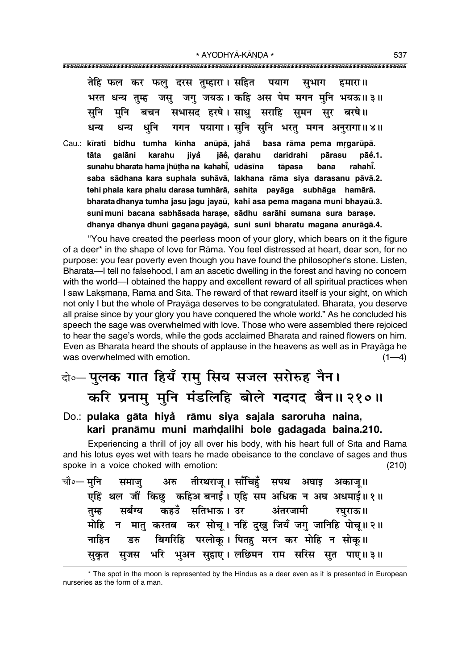| भरत  |      | जस्<br>तम्ह | तेहि फल कर फलु दरस तुम्हारा। सहित पयाग<br>जगु जयऊ। कहि अस पेम मगन मुनि भयऊ॥३॥                    |  | सुभाग |                | हमारा ॥ |                   |
|------|------|-------------|--------------------------------------------------------------------------------------------------|--|-------|----------------|---------|-------------------|
| सनि  |      |             | मुनि बचन सभासद हरषे।साधु सराहि सुमन सुर बरषे॥                                                    |  |       |                |         |                   |
| धन्य | धन्य |             | धुनि गगन पयागा। सुनि सुनि भरतु मगन अनुरागा॥४॥                                                    |  |       |                |         |                   |
|      |      |             | Cau.: kīrati bidhu tumha kīnha anūpā, jahå basa rāma pema mrgarūpā.                              |  |       |                |         |                   |
| tāta |      |             | galāni karahu jiyå jāe, darahu daridrahi<br>sunahu bharata hama jhūṭha na kahahī, udāsīna tāpasa |  |       | pārasu<br>bana |         | pāĕ.1.<br>rahahī. |
|      |      |             | saba sādhana kara suphala suhāvā, lakhana rāma siya darasanu pāvā.2.                             |  |       |                |         |                   |
|      |      |             | tehi phala kara phalu darasa tumhārā, sahita payāga subhāga hamārā.                              |  |       |                |         |                   |
|      |      |             | bharata dhanya tumha jasu jagu jayaū, kahi asa pema magana muni bhayaū.3.                        |  |       |                |         |                   |
|      |      |             | suni muni bacana sabhāsada harase, sādhu sarāhi sumana sura barase.                              |  |       |                |         |                   |
|      |      |             | dhanya dhanya dhuni gagana payāgā, suni suni bharatu magana anurāgā.4.                           |  |       |                |         |                   |

"You have created the peerless moon of your glory, which bears on it the figure of a deer\* in the shape of love for Råma. You feel distressed at heart, dear son, for no purpose: you fear poverty even though you have found the philosopher's stone. Listen, Bharata—I tell no falsehood, I am an ascetic dwelling in the forest and having no concern with the world—I obtained the happy and excellent reward of all spiritual practices when I saw Laksmana, Rāma and Sītā. The reward of that reward itself is your sight, on which not only I but the whole of Prayåga deserves to be congratulated. Bharata, you deserve all praise since by your glory you have conquered the whole world.î As he concluded his speech the sage was overwhelmed with love. Those who were assembled there rejoiced to hear the sage's words, while the gods acclaimed Bharata and rained flowers on him. Even as Bharata heard the shouts of applause in the heavens as well as in Prayåga he was overwhelmed with emotion.  $(1-4)$ 

## दो०– **पुलक गात हियँ रामु सिय सजल सरोरुह नैन। करि प्रनामु मुनि मंडलिहि बोले गदगद बैन॥२१०॥**

#### Do.: **pulaka gāta hiyå rāmu siya sajala saroruha naina,** kari pranāmu muni mamdalihi bole gadagada baina.210.

Experiencing a thrill of joy all over his body, with his heart full of Sītā and Rāma and his lotus eyes wet with tears he made obeisance to the conclave of sages and thus spoke in a voice choked with emotion: (210)

|  | चौ०— मुनि समाजु अरु तीरथराजू । साँचिहुँ सपथ अघाइ अकाजू॥ |  |  |                                                             |
|--|---------------------------------------------------------|--|--|-------------------------------------------------------------|
|  |                                                         |  |  | एहिं थल जौं किछु कहिअ बनाई। एहि सम अधिक न अघ अधमाई॥१॥       |
|  | तुम्ह सर्बग्य कहउँ सतिभाऊ।उर अंतरजामी रघुराऊ॥           |  |  |                                                             |
|  |                                                         |  |  | मोहि न मातु करतब कर सोचू। नहिं दुखु जियँ जगु जानिहि पोचू॥२॥ |
|  | नाहिन डरु बिगरिहि परलोकू। पितहु मरन कर मोहि न सोकू॥     |  |  |                                                             |
|  |                                                         |  |  | सुकृत सुजस भरि भुअन सुहाए।लछिमन राम सरिस सुत पाए॥३॥         |

<sup>\*</sup> The spot in the moon is represented by the Hindus as a deer even as it is presented in European nurseries as the form of a man.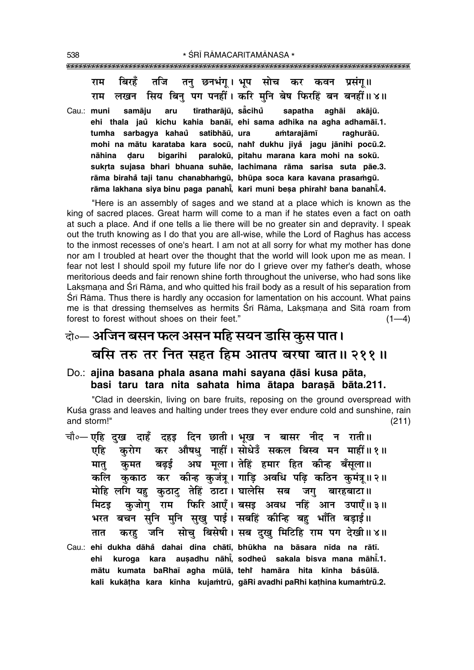बिरहें तजि तन छनभंग्। भूष सोच कर कवन प्रसंग्॥ राम लखन सिय बिन पग पनहीं। करि मनि बेष फिरहिं बन बनहीं॥४॥ राम tīratharājū, sācihů Cau.: muni samāju aru sapatha aghāi akājū. ehi thala jaů kichu kahia banāī, ehi sama adhika na agha adhamāī.1. tumha sarbagya kahaů satibhāū, ura amtarajāmī raghurāū. mohi na mātu karataba kara socū, nahi dukhu jiyå jagu jānihi pocū.2. nāhina daru bigarihi paralokū, pitahu marana kara mohi na sokū. sukrta sujasa bhari bhuana suhāe, lachimana rāma sarisa suta pāe.3. rāma birahå taji tanu chanabhamqū, bhūpa soca kara kavana prasamqū. rāma lakhana siya binu paga panahī, kari muni besa phirahi bana banahī.4.

"Here is an assembly of sages and we stand at a place which is known as the king of sacred places. Great harm will come to a man if he states even a fact on oath at such a place. And if one tells a lie there will be no greater sin and depravity. I speak out the truth knowing as I do that you are all-wise, while the Lord of Raghus has access to the inmost recesses of one's heart. I am not at all sorry for what my mother has done nor am I troubled at heart over the thought that the world will look upon me as mean. I fear not lest I should spoil my future life nor do I grieve over my father's death, whose meritorious deeds and fair renown shine forth throughout the universe, who had sons like Laksmana and Sri Rama, and who quitted his frail body as a result of his separation from Śrī Rāma. Thus there is hardly any occasion for lamentation on his account. What pains me is that dressing themselves as hermits Srī Rāma, Lakṣmaṇa and Sītā roam from forest to forest without shoes on their feet."  $(1-4)$ 

### वो०— अजिन बसन फल असन महि सयन डासि कुस पात। बसि तरु तर नित सहत हिम आतप बरषा बात॥ २११॥

Do.: ajina basana phala asana mahi sayana dāsi kusa pāta, basi taru tara nita sahata hima ātapa barasā bāta.211.

"Clad in deerskin, living on bare fruits, reposing on the ground overspread with Kuśa grass and leaves and halting under trees they ever endure cold and sunshine, rain and storm!"  $(211)$ 

चौ०- एहि दुख दाहँ दहइ दिन छाती। भूख न बासर नीद न राती॥ कर औषधु नाहीं। सोधेउँ सकल बिस्व मन माहीं॥१॥ करोग एहि बढ़ई अघ मूला। तेहिं हमार हित कीन्ह बँसूला॥ कुमत मात कलि कुकाठ कर कीन्ह कुजंत्र्। गाडि अवधि पढि कठिन कुमंत्र्॥२॥ मोहि लगि यहु कुठाटु तेहिं ठाटा। घालेसि सब जगु बारहबाटा॥ कजोग राम फिरि आएँ। बसड़ अवध नहिं आन उपाएँ॥३॥ मिटड भरत बचन सुनि मुनि सुखु पाई। सबहिं कीन्हि बहु भाँति बड़ाई॥ करहु जनि सोचु बिसेषी। सब दुखु मिटिहि राम पग देखी॥४॥ तात Cau.: ehi dukha dāhå dahai dina chātī, bhūkha na bāsara nīda na rātī. kuroga kara ausadhu nāhi, sodheu sakala bisva mana māhi.1. ehi mātu kumata baRhaī agha mūlā, tehr hamāra hita kīnha båsūlā. kali kukātha kara kīnha kujamtrū, gāRi avadhi paRhi kathina kumamtrū.2.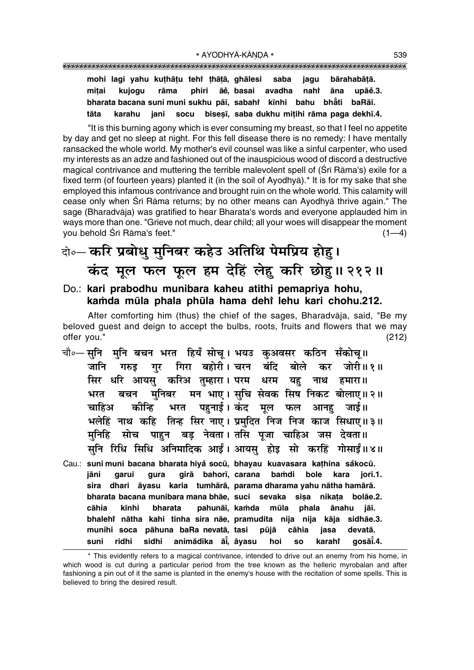**mohi lagi yahu ku¢hå¢u tehiÚ ¢hå¢å, ghålesi saba jagu bårahabå¢å. mi¢ai kujogu råma phiri åe°, basai avadha nahiÚ åna upåe°.3. bharata bacana suni muni sukhu på∂, sabahiÚ k∂nhi bahu bhå° ti baRå∂.** tāta karahu jani socu biseṣī, saba dukhu miṭihi rāma paga dekhī.4.

"It is this burning agony which is ever consuming my breast, so that I feel no appetite by day and get no sleep at night. For this fell disease there is no remedy: I have mentally ransacked the whole world. My mother's evil counsel was like a sinful carpenter, who used my interests as an adze and fashioned out of the inauspicious wood of discord a destructive magical contrivance and muttering the terrible malevolent spell of (Śrī Rāma's) exile for a fixed term (of fourteen years) planted it (in the soil of Ayodhyå).\* It is for my sake that she employed this infamous contrivance and brought ruin on the whole world. This calamity will cease only when Śrī Rāma returns; by no other means can Ayodhyā thrive again." The sage (Bharadvåja) was gratified to hear Bharata's words and everyone applauded him in ways more than one. "Grieve not much, dear child; all your woes will disappear the moment you behold Śrī Rāma's feet." (1—4)

## दो**० करि प्रबोधु मुनिबर कहेउ अतिथि पेमप्रिय होहु। कंद मूल फल फूल हम देहिं लेहू करि छोह।। २१२।।**

Do.: **kari prabodhu munibara kaheu atithi pemapriya hohu, ka≈da mµula phala phµula hama dehiÚ lehu kari chohu.212.**

After comforting him (thus) the chief of the sages, Bharadvåja, said, "Be my beloved guest and deign to accept the bulbs, roots, fruits and flowers that we may offer you." (212)

- <sub>ेचौ०</sub>— सुनि मुनि बचन भरत हियँ सोच् । भयउ कुअवसर कठिन सँकोच्॥ जानि गरुइ गर गिरा बहोरी।**चरन बंदि बोले कर जोरी॥१॥** सिर धरि आयसु करिअ तुम्हारा। परम धरम यहु नाथ हमारा॥ भरत बचन मुनिबर मन भाए । सुचि सेवक सिष निकट बोलाए॥२॥ <mark>र्चा</mark>हिअ कीन्हि भरत पहुनाई। कंद मूल फल आनहु जाई।। भलेहिं नाथ कहि तिन्ह सिर नाए। प्रमुदित निज निज काज सिधाए॥३॥ <u>मनिहि सोच पाहन बड नेवता।तसि पजा चाहिअ जस देवता॥</u> सुनि रिधि सिधि अनिमादिक आईं। आयसु होइ सो करहिं गोसाईं॥४॥
- Cau.: **suni muni bacana bharata hiya° socµu, bhayau kuavasara ka¢hina sa°kocµu. jåni garui gura girå bahor∂, carana ba≈di bole kara jor∂.1. sira dhari åyasu karia tumhårå, parama dharama yahu nåtha hamårå. bharata bacana munibara mana bhāe, suci sevaka siṣa nikaṭa bolāe.2. cåhia k∂nhi bharata pahunå∂, ka≈da mµula phala ånahu jå∂. bhalehiÚ nåtha kahi tinha sira nåe, pramudita nija nija kåja sidhåe.3. munihi soca påhuna baRa nevatå, tasi pµujå cåhia jasa devatå. suni ridhi sidhi animådika å∂° , åyasu hoi so karahiÚ goså∂° .4.**

<sup>\*</sup> This evidently refers to a magical contrivance, intended to drive out an enemy from his home, in which wood is cut during a particular period from the tree known as the helleric myrobalan and after fashioning a pin out of it the same is planted in the enemy's house with the recitation of some spells. This is believed to bring the desired result.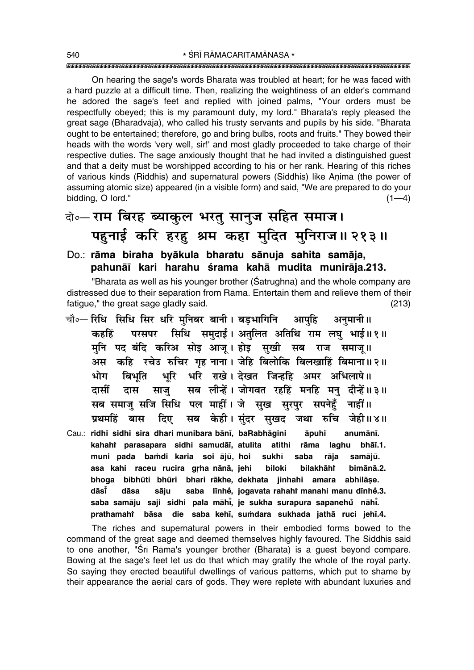On hearing the sage's words Bharata was troubled at heart; for he was faced with a hard puzzle at a difficult time. Then, realizing the weightiness of an elder's command he adored the sage's feet and replied with joined palms, "Your orders must be respectfully obeyed; this is my paramount duty, my lord." Bharata's reply pleased the great sage (Bharadvåja), who called his trusty servants and pupils by his side. "Bharata ought to be entertained; therefore, go and bring bulbs, roots and fruits." They bowed their heads with the words 'very well, sir!' and most gladly proceeded to take charge of their respective duties. The sage anxiously thought that he had invited a distinguished guest and that a deity must be worshipped according to his or her rank. Hearing of this riches of various kinds (Riddhis) and supernatural powers (Siddhis) like Animā (the power of assuming atomic size) appeared (in a visible form) and said, "We are prepared to do your bidding,  $O$  lord."  $(1-4)$ 

## दो०– **राम बिरह ब्याकुल भरतु सानुज सहित समाज।** पहनाई करि हरह श्रम कहा मुदित मुनिराज॥ २१३॥

#### Do.: **råma biraha byåkula bharatu sånuja sahita samåja,** pahunāī kari harahu śrama kahā mudita munirāja.213.

"Bharata as well as his younger brother (Satrughna) and the whole company are distressed due to their separation from Råma. Entertain them and relieve them of their fatigue," the great sage gladly said. (213)

- चौ०— रिधि सिधि सिर धरि मनिबर बानी। बडभागिनि आपहि अनुमानी॥ **कहहिं परसपर सिधि समदाई। अतलित अतिथि राम लघ भाई॥१॥** <u>म</u>नि पद बंदि करिअ सोइ आज् । होइ सुखी सब राज समाज् ॥ अस कहि रचेउ रुचिर गृह नाना। जेहि बिलोकि बिलखाहिं बिमाना॥२॥ **÷Ùª Á'÷ÍÁà ÷ÍÁ⁄ U ÷Á⁄U ⁄Êπ – Œπà Á¡ã"UÁ"U •◊⁄U •Á÷‹Ê·H** दासीं दास साजु सब लीन्हें। जोगवत रहहिं मनहि मनु दीन्हें॥३॥ सब समाज़ सजि सिधि पल माहीं। जे सुख सुरपुर सपनेहुँ नाहीं॥ **प्रथमहिं बास दिए सब केही।** संदर सुखद जथा रुचि जेही॥४॥
- Cau.: **ridhi sidhi sira dhari munibara bån∂, baRabhågini åpuhi anumån∂.** kahah† parasapara sidhi samudāī, atulita atithi rāma laghu bhāī.1. muni pada bamdi karia soi ājū, hoi sukhī saba rāja samājū. asa kahi raceu rucira grha nānā, jehi biloki bilakhāhî  **bimånå.2. bhoga bibhµuti bhµuri bhari råkhe, dekhata jinhahi amara abhilå¶e. dås∂° dåsa såju saba l∂nhe°, jogavata rahahiÚ manahi manu d∂nhe°.3. saba samåju saji sidhi pala måh∂° , je sukha surapura sapanehu nåh∂ ° ° . prathamahiÚ båsa die saba keh∂, su≈dara sukhada jathå ruci jeh∂.4.**

The riches and supernatural powers in their embodied forms bowed to the command of the great sage and deemed themselves highly favoured. The Siddhis said to one another, "Śrī Rāma's younger brother (Bharata) is a guest beyond compare. Bowing at the sage's feet let us do that which may gratify the whole of the royal party. So saying they erected beautiful dwellings of various patterns, which put to shame by their appearance the aerial cars of gods. They were replete with abundant luxuries and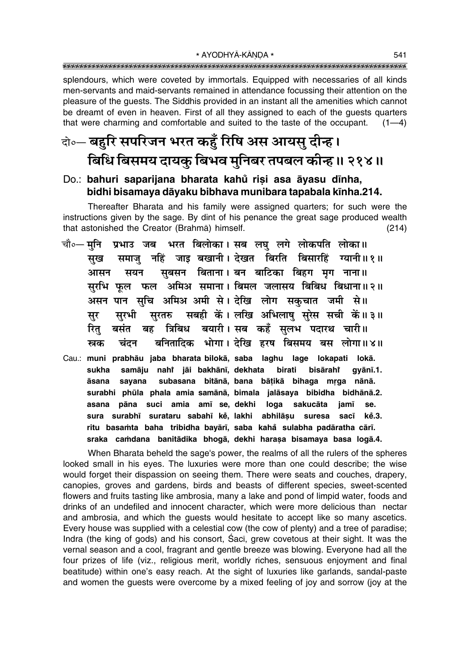\* AYODHYĀ-KĀNDA \* 

splendours, which were coveted by immortals. Equipped with necessaries of all kinds men-servants and maid-servants remained in attendance focussing their attention on the pleasure of the quests. The Siddhis provided in an instant all the amenities which cannot be dreamt of even in heaven. First of all they assigned to each of the guests quarters that were charming and comfortable and suited to the taste of the occupant.  $(1-4)$ 

### केन्च बहुरि सपरिजन भरत कहुँ रिषि अस आयसु दीन्ह। बिधि बिसमय दायकू बिभव मुनिबर तपबल कीन्हु ॥ २१४॥

#### Do.: bahuri saparijana bharata kahů risi asa āyasu dīnha, bidhi bisamaya dāyaku bibhava munibara tapabala kīnha.214.

Thereafter Bharata and his family were assigned quarters; for such were the instructions given by the sage. By dint of his penance the great sage produced wealth that astonished the Creator (Brahma) himself.  $(214)$ 

- प्रभाउ जब भरत बिलोका। सब लघु लगे लोकपति लोका॥ चौ∘— मनि समाज् नहिं जाइ बखानी। देखत बिरति बिसारहिं ग्यानी॥१॥ सख सबसन बिताना। बन बाटिका बिहग मृग नाना॥ आसन सयन सुरभि फूल फल अमिअ समाना। बिमल जलासय बिबिध बिधाना॥२॥ असन पान सुचि अमिअ अमी से। देखि लोग सकुचात जमी से॥ सबही कें। लखि अभिलाष सरेस सची कें।।३॥ सरभी सरतरु सर त्रिबिध बयारी। सब कहँ सुलभ पदारथ चारी॥ रित बसंत बह बनितादिक भोगा। देखि हरष बिसमय बस लोगा॥४॥ स्रक चंदन
- Cau.: muni prabhāu jaba bharata bilokā, saba laghu lage lokapati lokā. sukha samāju nahi jāi bakhānī, dekhata birati bisāraht gyānī.1. āsana sayana subasana bitānā, bana bāṭikā bihaga mrga nānā. surabhi phūla phala amia samānā, bimala jalāsaya bibidha bidhānā.2. asana pāna suci amia amī se, dekhi loga sakucāta iamī se. sura surabhī surataru sabahī ke, lakhi abhilāsu suresa sacī kě.3. ritu basamta baha tribidha bayārī, saba kahă sulabha padāratha cārī. sraka camdana banitādika bhogā, dekhi haraṣa bisamaya basa logā.4.

When Bharata beheld the sage's power, the realms of all the rulers of the spheres looked small in his eyes. The luxuries were more than one could describe; the wise would forget their dispassion on seeing them. There were seats and couches, drapery, canopies, groves and gardens, birds and beasts of different species, sweet-scented flowers and fruits tasting like ambrosia, many a lake and pond of limpid water, foods and drinks of an undefiled and innocent character, which were more delicious than nectar and ambrosia, and which the guests would hesitate to accept like so many ascetics. Every house was supplied with a celestial cow (the cow of plenty) and a tree of paradise; Indra (the king of gods) and his consort, Saci, grew covetous at their sight. It was the vernal season and a cool, fragrant and gentle breeze was blowing. Everyone had all the four prizes of life (viz., religious merit, worldly riches, sensuous enjoyment and final beatitude) within one's easy reach. At the sight of luxuries like garlands, sandal-paste and women the quests were overcome by a mixed feeling of joy and sorrow (joy at the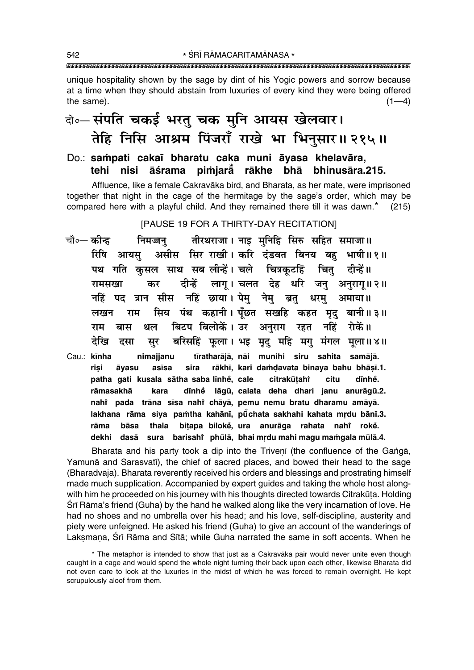unique hospitality shown by the sage by dint of his Yogic powers and sorrow because at a time when they should abstain from luxuries of every kind they were being offered the same).  $(1-4)$ 

### वे० संपति चकई भरतु चक मुनि आयस खेलवार। तेहि निसि आश्रम पिंजराँ राखे भा भिनुसार॥ २१५॥

Do.: sampati cakaī bharatu caka muni āyasa khelavāra, nisi āśrama pimjarå rākhe bhā bhinusāra.215. tehi

Affluence, like a female Cakravāka bird, and Bharata, as her mate, were imprisoned together that night in the cage of the hermitage by the sage's order, which may be compared here with a playful child. And they remained there till it was dawn.\* (215)

[PAUSE 19 FOR A THIRTY-DAY RECITATION]

- चौ०— कीन्ह तीरथराजा। नाइ मुनिहि सिरु सहित समाजा॥ निमज्जन् असीस सिर राखी। करि दंडवत बिनय बह भाषी॥१॥ रिषि आयस पथ गति कुसल साथ सब लीन्हें। चले चित्रकुटहिं चितु दीन्हें॥ दीन्हें लागू। चलत देह धरि जनु अनुरागू॥२॥ रामसखा कर पद त्रान सीस नहिं छाया।ऐपेमु नेमु ब्रतु धरमु अमाया॥ नहिं सिय पंथ कहानी। पूँछत सखहि कहत मृदु बानी॥३॥ राम लखन बिटप बिलोकें। उर अनुराग रहत नहिं रोकें॥ राम बास थल बरिसहिं फूला। भइ मृदु महि मगु मंगल मूला॥४॥ देखि सूर दसा
- tīratharājā, nāi munihi siru sahita samājā. Cau.: kīnha nimajjanu rākhī, kari damdavata binaya bahu bhāsī.1. risi asīsa sira āyasu patha qati kusala sātha saba līnhe, cale citrakūtahi citu dīnhe. rāmasakhā dīnhe lāgū, calata deha dhari janu anurāgū.2. kara nahi pada trāna sīsa nahi chāyā, pemu nemu bratu dharamu amāyā. lakhana rāma siya pamtha kahānī, pūchata sakhahi kahata mrdu bānī.3. bāsa thala bitapa bilokė, ura anurāga rahata nahi rokė. rāma dekhi dasā sura barisahi phūlā, bhai mrdu mahi magu mamgala mūlā.4.

Bharata and his party took a dip into the Triveni (the confluence of the Ganga, Yamuna and Sarasvati), the chief of sacred places, and bowed their head to the sage (Bharadvāja). Bharata reverently received his orders and blessings and prostrating himself made much supplication. Accompanied by expert guides and taking the whole host alongwith him he proceeded on his journey with his thoughts directed towards Citrakūta. Holding Śrī Rāma's friend (Guha) by the hand he walked along like the very incarnation of love. He had no shoes and no umbrella over his head; and his love, self-discipline, austerity and piety were unfeigned. He asked his friend (Guha) to give an account of the wanderings of Laksmana, Śrī Rāma and Sītā; while Guha narrated the same in soft accents. When he

<sup>\*</sup> The metaphor is intended to show that just as a Cakravāka pair would never unite even though caught in a cage and would spend the whole night turning their back upon each other, likewise Bharata did not even care to look at the luxuries in the midst of which he was forced to remain overnight. He kept scrupulously aloof from them.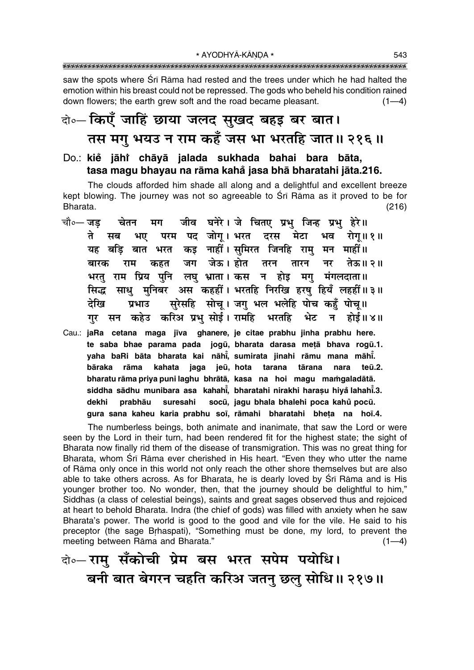saw the spots where Srī Rāma had rested and the trees under which he had halted the emotion within his breast could not be repressed. The gods who beheld his condition rained down flowers; the earth grew soft and the road became pleasant.  $(1-4)$ 

### वो०- किएँ जाहिं छाया जलद सुखद बहइ बर बात। तस मगु भयउ न राम कहँ जस भा भरतहि जात॥ २१६॥

Do.: kie jāhi chāyā jalada sukhada bahai bara bāta, tasa magu bhayau na rāma kahå jasa bhā bharatahi jāta.216.

The clouds afforded him shade all along and a delightful and excellent breeze kept blowing. The journey was not so agreeable to Srī Rāma as it proved to be for Bharata.  $(216)$ 

- जीव घनेरे। जे चितए प्रभु जिन्ह प्रभु हेरे॥ चौ०— जड चेतन मग भए परम पद जोग्। भरत दरस ते मेटा भव रोग॥१॥ सब यह बड़ि बात भरत कइ नाहीं। सुमिरत जिनहि राम् मन माहीं॥ जग जेऊ।होत तरन कहत तारन नर बारक राम तेऊ॥ २॥ भरतु राम प्रिय पुनि लघु भ्राता। कस न होइ मगु मंगलदाता॥ साध मनिबर अस कहहीं। भरतहि निरखि हरष हियँ लहहीं॥३॥ सिद्ध सुरेसहि सोचू। जगु भल भलेहि पोच कहुँ पोचू॥ देखि प्रभाउ गुर सन कहेउ करिअ प्रभु सोई। रामहि भरतहि भेट ् न ।<br>प होई॥४॥
- Cau.: jaRa cetana maga jīva ghanere, je citae prabhu jinha prabhu here. te saba bhae parama pada jogū, bharata darasa metā bhava rogū.1. yaha baRi bāta bharata kai nāhi, sumirata jinahi rāmu mana māhi. bāraka rāma kahata jaga jeū, hota tarana tārana nara teū.2. bharatu rāma priya puni laghu bhrātā, kasa na hoi magu mamgaladātā. siddha sādhu munibara asa kahahi, bharatahi nirakhi harașu hiyă lahahi.3. socū, jagu bhala bhalehi poca kahů pocū. dekhi prabhāu suresahi gura sana kaheu karia prabhu soi, rāmahi bharatahi bheta na hoi.4.

The numberless beings, both animate and inanimate, that saw the Lord or were seen by the Lord in their turn, had been rendered fit for the highest state; the sight of Bharata now finally rid them of the disease of transmigration. This was no great thing for Bharata, whom Srī Rāma ever cherished in His heart. "Even they who utter the name of Rāma only once in this world not only reach the other shore themselves but are also able to take others across. As for Bharata, he is dearly loved by Srī Rāma and is His younger brother too. No wonder, then, that the journey should be delightful to him," Siddhas (a class of celestial beings), saints and great sages observed thus and rejoiced at heart to behold Bharata. Indra (the chief of gods) was filled with anxiety when he saw Bharata's power. The world is good to the good and vile for the vile. He said to his preceptor (the sage Brhaspati), "Something must be done, my lord, to prevent the meeting between Rāma and Bharata."  $(1-4)$ 

### वे० रामु सँकोची प्रेम बस भरत सपेम पयोधि। बनी बात बेगरन चहति करिअ जतन् छल् सोधि॥ २१७॥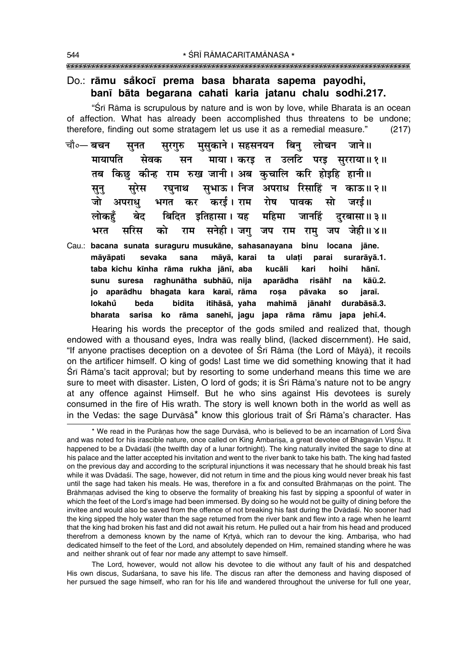#### Do.: rāmu såkocī prema basa bharata sapema payodhi, banī bāta begarana cahati karia jatanu chalu sodhi.217.

"Srī Rāma is scrupulous by nature and is won by love, while Bharata is an ocean of affection. What has already been accomplished thus threatens to be undone; therefore, finding out some stratagem let us use it as a remedial measure."  $(217)$ 

- चौ∘— **बचन** मुसुकाने । सहसनयन बिन् लोचन जाने ॥ सूनत सरगरु मायापति माया। करड त उलटि परड सरराया॥१॥ सेवक सन किछ कीन्ह राम रुख जानी। अब कुचालि करि होइहि हानी॥ तब सभाऊ। निज अपराध रिसाहिं सुरेस रघुनाथ न काऊ॥२॥ सन जो करई। राम अपराध् रोष पावक सो जरई।। भगत कर लोकहॅ बिदित इतिहासा । यह महिमा बेद जानहिं दरबासा॥ ३॥ सनेही। जगु जप राम रामु जप जेही॥४॥ भरत सरिस को राम
- Cau.: bacana sunata suraguru musukāne, sahasanayana binu locana jāne. māyāpati sevaka sana māyā, karai ta ulati parai surarāyā.1. taba kichu kīnha rāma rukha jānī, aba kucāli kari hoihi hānī. sunu suresa raghunātha subhāū, nija aparādha risāhi na kāū.2. jo aparādhu bhagata kara karaī, rāma rosa pāvaka **SO** iaraī. lokahů itihāsā, yaha beda bidita mahimā jānahr durabāsā.3. bharata sarisa ko rāma sanehī, jagu japa rāma rāmu japa jehī.4.

Hearing his words the preceptor of the gods smiled and realized that, though endowed with a thousand eves, Indra was really blind, (lacked discernment). He said, "If anyone practises deception on a devotee of Srī Rāma (the Lord of Māyā), it recoils on the artificer himself. O king of gods! Last time we did something knowing that it had Śrī Rāma's tacit approval; but by resorting to some underhand means this time we are sure to meet with disaster. Listen, O lord of gods; it is Srī Rāma's nature not to be angry at any offence against Himself. But he who sins against His devotees is surely consumed in the fire of His wrath. The story is well known both in the world as well as in the Vedas: the sage Durvāsā\* know this glorious trait of Śrī Rāma's character. Has

The Lord, however, would not allow his devotee to die without any fault of his and despatched His own discus, Sudarśana, to save his life. The discus ran after the demoness and having disposed of her pursued the sage himself, who ran for his life and wandered throughout the universe for full one year,

<sup>\*</sup> We read in the Purānas how the sage Durvāsā, who is believed to be an incarnation of Lord Śiva and was noted for his irascible nature, once called on King Ambarisa, a great devotee of Bhagavān Visnu. It happened to be a Dvādaśī (the twelfth day of a lunar fortnight). The king naturally invited the sage to dine at his palace and the latter accepted his invitation and went to the river bank to take his bath. The king had fasted on the previous day and according to the scriptural injunctions it was necessary that he should break his fast while it was Dvādaśī. The sage, however, did not return in time and the pious king would never break his fast until the sage had taken his meals. He was, therefore in a fix and consulted Brāhmanas on the point. The Brāhmanas advised the king to observe the formality of breaking his fast by sipping a spoonful of water in which the feet of the Lord's image had been immersed. By doing so he would not be guilty of dining before the invitee and would also be saved from the offence of not breaking his fast during the Dvadaśi. No sooner had the king sipped the holy water than the sage returned from the river bank and flew into a rage when he learnt that the king had broken his fast and did not await his return. He pulled out a hair from his head and produced therefrom a demoness known by the name of Krtya, which ran to devour the king. Ambarisa, who had dedicated himself to the feet of the Lord, and absolutely depended on Him, remained standing where he was and neither shrank out of fear nor made any attempt to save himself.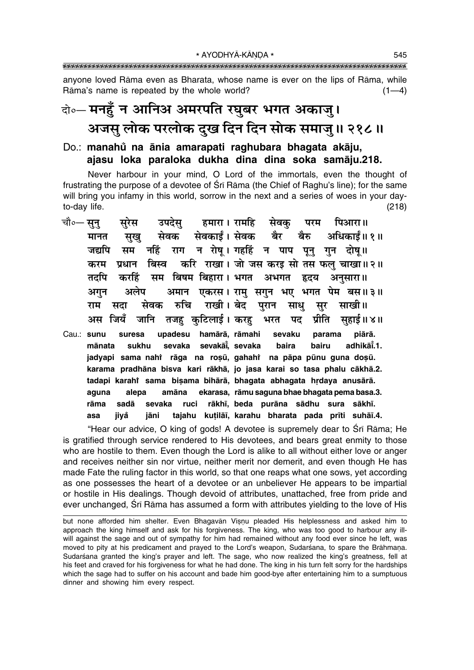anyone loved Rāma even as Bharata, whose name is ever on the lips of Rāma, while Rāma's name is repeated by the whole world?  $(1-4)$ 

## केञ्- मनहुँ न आनिअ अमरपति रघुबर भगत अकाजु। अजस् लोक परलोक दुख दिन दिन सोक समाज् ॥ २१८ ॥

#### Do.: manahů na ānia amarapati raghubara bhagata akāju, ajasu loka paraloka dukha dina dina soka samāju.218.

Never harbour in your mind, O Lord of the immortals, even the thought of frustrating the purpose of a devotee of Srī Rāma (the Chief of Raghu's line); for the same will bring you infamy in this world, sorrow in the next and a series of woes in your dayto-day life.  $(218)$ 

- चौ०— सून् हमारा । रामहि सरेस उपदेस सेवक् परम पिआरा॥ सेवकार्डं। सेवक सख सेवक बैर बैरु अधिकार्डं॥ १॥ मानत राग न रोष्। गहहिं न पाप पूनु गुन दोष्।। सम नहिं जद्यपि प्रधान बिस्व करि राखा। जो जस करइ सो तस फल चाखा॥२॥ करम सम बिषम बिहारा। भगत अभगत हृदय तदपि करहिं अनसारा ॥ अलेप अमान एकरस। राम सगन भए भगत पेम बस॥३॥ अगन सेवक रुचि राखी । बेट परान साध साखी।। राम सदा मर जानि तजह कुटिलाई। करह अस जियँ भरत पद प्रीति सहाई ॥ ४ ॥
- Cau.: sunu upadesu hamārā, rāmahi piārā. suresa sevaku parama mānata sukhu sevaka sevakāi, sevaka baira bairu adhikāī.1. jadyapi sama nahi rāga na rosū, gahahi na pāpa pūnu guna dosū. karama pradhāna bisva kari rākhā, jo jasa karai so tasa phalu cākhā.2. tadapi karahi sama bisama bihārā, bhagata abhagata hrdaya anusārā. ekarasa, rāmu saguna bhae bhagata pema basa.3. aguna alepa amāna rākhī, beda purāna sādhu sura sākhī. rāma sadā sevaka ruci tajahu kutilāi, karahu bharata pada prīti suhāi.4. asa iivå jāni

"Hear our advice, O king of gods! A devotee is supremely dear to Srī Rāma; He is gratified through service rendered to His devotees, and bears great enmity to those who are hostile to them. Even though the Lord is alike to all without either love or anger and receives neither sin nor virtue, neither merit nor demerit, and even though He has made Fate the ruling factor in this world, so that one reaps what one sows, yet according as one possesses the heart of a devotee or an unbeliever He appears to be impartial or hostile in His dealings. Though devoid of attributes, unattached, free from pride and ever unchanged, Srī Rāma has assumed a form with attributes yielding to the love of His

but none afforded him shelter. Even Bhagavān Vișņu pleaded His helplessness and asked him to approach the king himself and ask for his forgiveness. The king, who was too good to harbour any illwill against the sage and out of sympathy for him had remained without any food ever since he left, was moved to pity at his predicament and prayed to the Lord's weapon, Sudarśana, to spare the Brāhmana. Sudarśana granted the king's prayer and left. The sage, who now realized the king's greatness, fell at his feet and craved for his forgiveness for what he had done. The king in his turn felt sorry for the hardships which the sage had to suffer on his account and bade him good-bye after entertaining him to a sumptuous dinner and showing him every respect.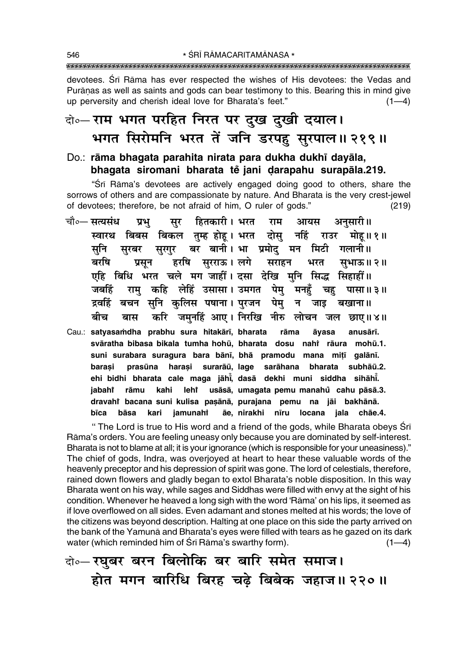devotees. Śrī Rāma has ever respected the wishes of His devotees: the Vedas and Purānas as well as saints and gods can bear testimony to this. Bearing this in mind give up perversity and cherish ideal love for Bharata's feet."  $(1-4)$ 

### बे. राम भगत परहित निरत पर दुख दुखी दयाल। भगत सिरोमनि भरत तें जनि डरपह सुरपाल॥ २१९॥

#### Do.: rāma bhagata parahita nirata para dukha dukhī dayāla, bhagata siromani bharata tě jani darapahu surapāla.219.

"Srī Rāma's devotees are actively engaged doing good to others, share the sorrows of others and are compassionate by nature. And Bharata is the very crest-jewel of devotees; therefore, be not afraid of him, O ruler of gods."  $(219)$ 

- चौ०— सत्यसंध हितकारी। भरत राम अनुसारी॥ प्रभ सुर आयस स्वारथ बिबस बिकल तुम्ह होह। भरत दोसु नहिं राउर मोह॥१॥ सुरबर सुरगुर बर बानी।शभा प्रमोदु मन मिटी गलानी॥ सनि बरषि हरषि सुरराऊ।लगे सराहन प्रसन भरत सभाऊ॥२॥ एहि बिधि भरत चले मग जाहीं। दसा देखि मुनि सिद्ध सिहाहीं॥ राम् कहि लेहिं उसासा। उमगत पेमु मनहुँ चहु पासा॥३॥ जबहिं द्रवहिं बचन सुनि कुलिस पषाना। पुरजन पेमु न जाइ बखाना॥ करि जमुनहिं आए। निरखि नीरु लोचन जल छाए॥४॥ ਕੀਦ बास
- Cau.: satyasamdha prabhu sura hitakārī, bharata rāma āyasa anusārī. svāratha bibasa bikala tumha hohū, bharata dosu nahi rāura mohū.1. suni surabara suragura bara bānī, bhā pramodu mana mițī galānī. prasūna harasi surarāū, lage sarāhana bharata subhāū.2. barasi ehi bidhi bharata cale maga jāhi, dasā dekhi muni siddha sihāhi. rāmu kahi lehi usāsā, umagata pemu manahů cahu pāsā.3. jabahi dravahi bacana suni kulisa pasānā, purajana pemu na jāi bakhānā. ãe, nirakhi nīru locana jala chāe.4. bīca bāsa kari jamunahi

" The Lord is true to His word and a friend of the gods, while Bharata obeys Sri Rāma's orders. You are feeling uneasy only because you are dominated by self-interest. Bharata is not to blame at all; it is your ignorance (which is responsible for your uneasiness)." The chief of gods, Indra, was overjoyed at heart to hear these valuable words of the heavenly preceptor and his depression of spirit was gone. The lord of celestials, therefore, rained down flowers and gladly began to extol Bharata's noble disposition. In this way Bharata went on his way, while sages and Siddhas were filled with envy at the sight of his condition. Whenever he heaved a long sigh with the word 'Rama' on his lips, it seemed as if love overflowed on all sides. Even adamant and stones melted at his words; the love of the citizens was beyond description. Halting at one place on this side the party arrived on the bank of the Yamuna and Bharata's eyes were filled with tears as he gazed on its dark water (which reminded him of Sri Rama's swarthy form).  $(1-4)$ 

वो०- रघुबर बरन बिलोकि बर बारि समेत समाज। होत मगन बारिधि बिरह चढे बिबेक जहाज॥ २२०॥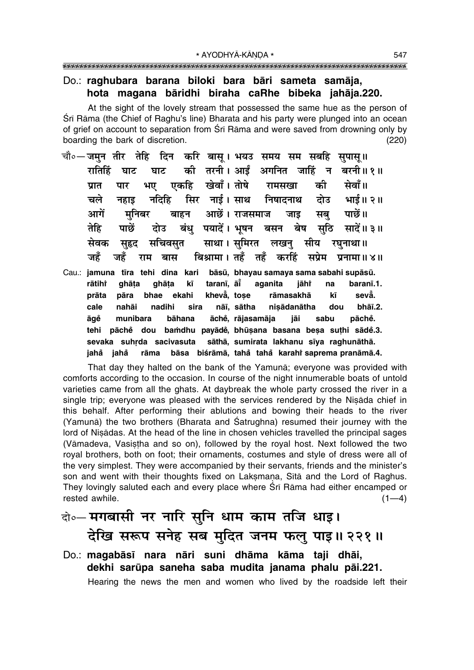#### Do.: raghubara barana biloki bara bāri sameta samāja, hota magana bāridhi biraha caRhe bibeka jahāja.220.

At the sight of the lovely stream that possessed the same hue as the person of Śrī Rāma (the Chief of Raghu's line) Bharata and his party were plunged into an ocean of grief on account to separation from Sri Rama and were saved from drowning only by boarding the bark of discretion.  $(220)$ 

- चौ०— जमुन तीर तेहि दिन करि बासू। भयउ समय सम सबहि सुपासू॥ की तरनी। आईं अगनित जाहिं न बरनी॥१॥ रातिहिं घाट घाट सेवाँ ॥ भए एकहि खेवाँ । तोषे को प्रात पार रामसखा निषादनाथ सिर नाई। साथ दोउ चले नहाड नदिहि भाई॥ २॥ आगें आछें। राजसमाज पाछें।। मनिबर बाहन जाड सब बंध पयादें। भूषन सठि सादें॥३॥ तेहि पाछें बसन बेष दोउ सचिवसूत साथा। सुमिरत लखनु सेवक सीय सहद रघनाथा ॥ बिश्रामा। तहँ तहँ जद्रँ जहँ करहिं सप्रेम प्रनामा ॥ ४ ॥ राम बास
- Cau.: jamuna tīra tehi dina kari bāsū, bhayau samaya sama sabahi supāsū. taranī, āī aganita baranī.1. rātihř ghāta qhāta kī jāhř na prāta pāra bhae ekahi kheva, tose rāmasakhā kī sevå. nadihi cale nahāi sira nāī, sātha nisādanātha dou bhāī.2. pāchě. āchě, rājasamāja sabu āqě munibara bāhana jāi pāchě dou bamdhu payādě, bhūṣana basana beṣa suṭhi sādě.3. tehi sevaka suhrda sacivasuta sāthā, sumirata lakhanu sīya raghunāthā. jahå jahå rāma bāsa biśrāmā, tahå tahå karahi saprema pranāmā.4.

That day they halted on the bank of the Yamuna; everyone was provided with comforts according to the occasion. In course of the night innumerable boats of untold varieties came from all the ghats. At daybreak the whole party crossed the river in a single trip; everyone was pleased with the services rendered by the Nisada chief in this behalf. After performing their ablutions and bowing their heads to the river (Yamuna) the two brothers (Bharata and Satrughna) resumed their journey with the lord of Nisādas. At the head of the line in chosen vehicles travelled the principal sages (Vāmadeva, Vasistha and so on), followed by the royal host. Next followed the two royal brothers, both on foot; their ornaments, costumes and style of dress were all of the very simplest. They were accompanied by their servants, friends and the minister's son and went with their thoughts fixed on Laksmana, Sita and the Lord of Raghus. They lovingly saluted each and every place where Srī Rāma had either encamped or rested awhile.  $(1-4)$ 

### दो०- मगबासी नर नारि सुनि धाम काम तजि धाइ। देखि सरूप सनेह सब मुदित जनम फलु पाइ॥ २२१॥

Do.: magabāsī nara nāri suni dhāma kāma taji dhāi, dekhi sarūpa saneha saba mudita janama phalu pāi.221. Hearing the news the men and women who lived by the roadside left their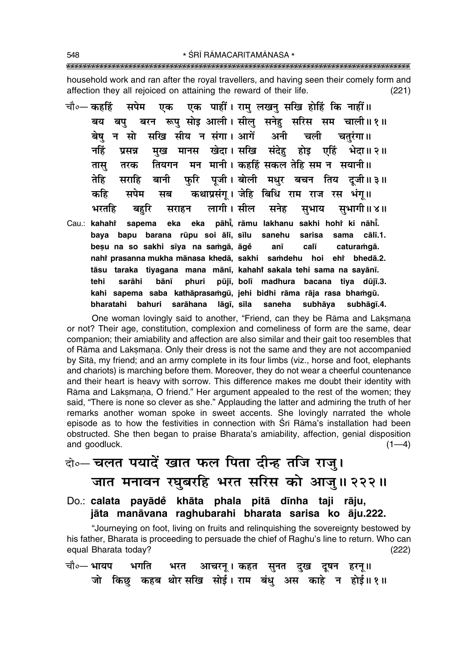household work and ran after the royal travellers, and having seen their comely form and affection they all rejoiced on attaining the reward of their life.  $(221)$ 

एक पाहीं। राम् लखन् सखि होहिं कि नाहीं॥ चौ०— कहहिं सपेम एक बरन रूप सोइ आली। सील सनेह सरिस सम चाली॥१॥ बय बप बेष न सो सखि सीय न संगा। आगें अनी चली चतरंगा।। नहिं मख मानस खेदा।सखि संदेह होड एहिं भेदा॥ २॥ प्रसन्न तियगन मन मानी। कहहिं सकल तेहि सम न सयानी॥ तास तरक फरि पजी। बोली मधर बचन तिय दजी॥३॥ तेहि सराहि बानी कथाप्रसंग् । जेहि बिधि राम राज रस भंग॥ कहि सपेम मब लागी। सील सनेह भरतहि सभागी ॥ ४ ॥ सुभाय बहरि सराहन eka pāhi, rāmu lakhanu sakhi hohr ki nāhi. Cau.: kahahi sapema eka baya bapu barana rūpu soi ālī, sīlu sanehu sarisa sama cālī.1. besu na so sakhi sīya na samgā, āgě calī caturamgā. anī nahi prasanna mukha mānasa khedā, sakhi samdehu hoi ehi bhedā.2. tāsu taraka tiyagana mana mānī, kahahi sakala tehi sama na sayānī. pūjī, bolī tehi sarāhi bānī phuri madhura bacana tiya dūjī.3. kahi sapema saba kathāprasamgū, jehi bidhi rāma rāja rasa bhamgū. bharatahi bahuri sarāhana lāgī, sīla saneha subhāya subhāqī.4.

One woman lovingly said to another, "Friend, can they be Rāma and Laksmana or not? Their age, constitution, complexion and comeliness of form are the same, dear companion; their amiability and affection are also similar and their gait too resembles that of Rāma and Laksmana. Only their dress is not the same and they are not accompanied by Sītā, my friend; and an army complete in its four limbs (viz., horse and foot, elephants and chariots) is marching before them. Moreover, they do not wear a cheerful countenance and their heart is heavy with sorrow. This difference makes me doubt their identity with Rāma and Laksmana, O friend." Her argument appealed to the rest of the women; they said, "There is none so clever as she." Applauding the latter and admiring the truth of her remarks another woman spoke in sweet accents. She lovingly narrated the whole episode as to how the festivities in connection with Sri Rama's installation had been obstructed. She then began to praise Bharata's amiability, affection, genial disposition and goodluck.  $(1-4)$ 

# बे॰-चलत पयादें खात फल पिता दीन्ह तजि राजु। जात मनावन रघुबरहि भरत सरिस को आजु॥ २२२॥

Do.: calata payādě khāta phala pitā dīnha taji rāju, jāta manāvana raghubarahi bharata sarisa ko āju.222.

"Journeying on foot, living on fruits and relinguishing the sovereignty bestowed by his father, Bharata is proceeding to persuade the chief of Raghu's line to return. Who can equal Bharata today?  $(222)$ 

|  |  | चौ०— भायप     भगति      भरत    आचरनू । कहत   सुनत   दुख   दूषन   हरनू॥ |  |  |                                                    |  |
|--|--|------------------------------------------------------------------------|--|--|----------------------------------------------------|--|
|  |  |                                                                        |  |  | जो किछु कहब थोर-सखि सोई। राम बंधु अस काहे न होई॥१॥ |  |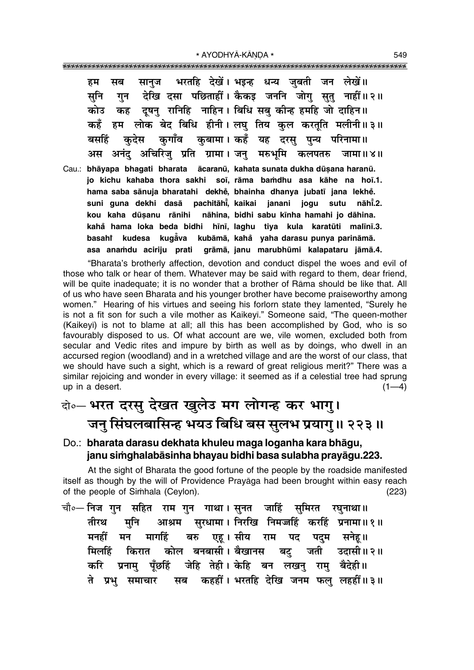\* AYODHYĀ-KĀNDA \* 

भरतहि देखें। भइन्ह धन्य जबती जन लेखें॥ सानज हम सब देखि दसा पछिताहीं। कैकड़ जननि जोग सतु नाहीं॥२॥ सनि गन कह दूषनु रानिहि नाहिन। बिधि सबु कीन्ह हमहि जो दाहिन॥ कोउ हम लोक बेद बिधि हीनी। लघु तिय कुल करतुति मलीनी॥३॥ कहँ कुगाँव कुबामा। कहँ यह दरसु पुन्य परिनामा॥ बसहिं कदेस अनंद अचिरिज् प्रति ग्रामा। जन् मरुभूमि कलपतरु अस जामा ॥ ४॥ Cau.: bhāyapa bhagati bharata ācaranū, kahata sunata dukha dūsana haranū. jo kichu kahaba thora sakhi soi, rāma bamdhu asa kāhe na hoī.1. hama saba sānuja bharatahi dekhe, bhainha dhanya jubatī jana lekhe. suni quna dekhi dasā pachitāhi, kaikai janani jogu sutu nāhi.2. kou kaha dūsanu rānihi nāhina, bidhi sabu kīnha hamahi jo dāhina. kahå hama loka beda bidhi hīnī, laghu tiya kula karatūti malīnī.3. basahi kudesa kugava kubāmā, kaha yaha-darasu-punya-parināmā. asa anamdu aciriju prati grāmā, janu marubhūmi kalapataru jāmā.4.

"Bharata's brotherly affection, devotion and conduct dispel the woes and evil of those who talk or hear of them. Whatever may be said with regard to them, dear friend, will be quite inadequate; it is no wonder that a brother of Rāma should be like that. All of us who have seen Bharata and his younger brother have become praiseworthy among women." Hearing of his virtues and seeing his forlorn state they lamented, "Surely he is not a fit son for such a vile mother as Kaikeyi." Someone said, "The queen-mother (Kaikeyī) is not to blame at all; all this has been accomplished by God, who is so favourably disposed to us. Of what account are we, vile women, excluded both from secular and Vedic rites and impure by birth as well as by doings, who dwell in an accursed region (woodland) and in a wretched village and are the worst of our class, that we should have such a sight, which is a reward of great religious merit?" There was a similar rejoicing and wonder in every village: it seemed as if a celestial tree had sprung up in a desert.  $(1-4)$ 

### बे॰ भरत दरसु देखत खुलेउ मग लोगन्ह कर भागु। जन् सिंघलबासिन्ह भयउ बिधि बस सुलभ प्रयागु॥ २२३॥

#### Do.: bharata darasu dekhata khuleu maga loganha kara bhāgu, janu simghalabāsinha bhayau bidhi basa sulabha prayāgu.223.

At the sight of Bharata the good fortune of the people by the roadside manifested itself as though by the will of Providence Prayaga had been brought within easy reach of the people of Simhala (Ceylon).  $(223)$ 

चौ०— निज गुन सहित राम गुन गाथा । सुनत जाहिं सुमिरत रघुनाथा॥ आश्रम सुरधामा । निरखि निमज्जहिं करहिं प्रनामा ॥ १ ॥ तीरथ मनि एह। सीय मनहीं मन मार्गाहे बरु राम पद पदम सनेह।। किरात कोल बनबासी। बैखानस ਸ਼ਿलहिं बट् जती उदासी॥२॥ जेहि तेही। केहि बन लखनु रामु बैदेही॥ करि प्रनाम पॅछर्हि ते प्रभु समाचार सब कहहीं। भरतहि देखि जनम फलु लहहीं॥३॥

549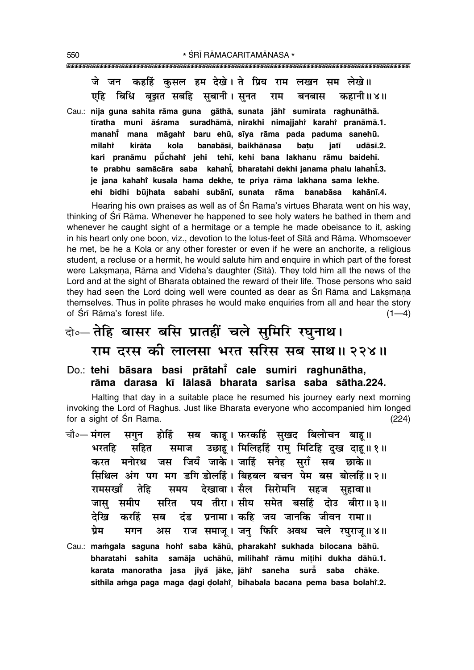जे जन कहहिं कसल हम देखे। ते प्रिय राम लखन सम लेखे।। एहि बिधि बझत सबहि सबानी। सनत कहानी॥४॥ राम बनबास Cau.: nija guna sahita rāma guna gāthā, sunata jāhi sumirata raghunāthā. tīratha muni āśrama suradhāmā, nirakhi nimajjahi karahi pranāmā.1. manahi̇̃ mana māgaht baru ehū, sīva rāma pada paduma sanehū. kirāta kola banabāsī. baikhānasa milaht batu iatī  $ud\bar{a}s\bar{a}.2.$ kari pranāmu pūchahi jehi tehī, kehi bana lakhanu rāmu baidehī. te prabhu samācāra saba kahahī, bharatahi dekhi janama phalu lahahī,3. je jana kahahi kusala hama dekhe, te priya rāma lakhana sama lekhe. ehi bidhi būjhata sabahi subānī, sunata rāma banabāsa kahānī.4.

Hearing his own praises as well as of Sri Rama's virtues Bharata went on his way, thinking of Srī Rāma. Whenever he happened to see holy waters he bathed in them and whenever he caught sight of a hermitage or a temple he made obeisance to it, asking in his heart only one boon, viz., devotion to the lotus-feet of Sita and Rama. Whomsoever he met, be he a Kola or any other forester or even if he were an anchorite, a religious student, a recluse or a hermit, he would salute him and enquire in which part of the forest were Laksmana, Rāma and Videha's daughter (Sītā). They told him all the news of the Lord and at the sight of Bharata obtained the reward of their life. Those persons who said they had seen the Lord doing well were counted as dear as Srī Rāma and Laksmana themselves. Thus in polite phrases he would make enquiries from all and hear the story of Śrī Rāma's forest life.  $(1-4)$ 

## बो०-तेहि बासर बसि प्रातहीं चले सुमिरि रघुनाथ। राम दरस की लालसा भरत सरिस सब साथ॥ २२४॥

#### Do.: tehi bāsara basi prātahi cale sumiri raghunātha, rāma darasa kī lālasā bharata sarisa saba sātha.224.

Halting that day in a suitable place he resumed his journey early next morning invoking the Lord of Raghus. Just like Bharata everyone who accompanied him longed for a sight of Srī Rāma.  $(224)$ 

- चौ०— मंगल सब काहू। फरकहिं सुखद बिलोचन बाहू॥ होहिं सगन उछाहू। मिलिहर्हि रामु मिटिहि दुख दाहू॥१॥ भरतहि सहित समाज करत मनोरथ जस जियँ जाके।जजाहिं सनेह सुराँ सब छाके॥ सिथिल अंग पग मग डगि डोलहिं। बिहबल बचन पेम बस बोलहिं॥२॥ समय देखावा।सैल सिरोमनि सहज सहावा॥ रामसखाँ तेहि पय तीरा।सीय समेत बसहिं दोउ बीरा॥३॥ जास समीप सरित दंड प्रनामा। कहि जय जानकि जीवन रामा॥ देखि करहिं सब ਧੇਸ਼ राज समाज् । जन फिरि अवध चले रघराज् ॥४॥ मगन अस
- Cau.: mamgala saguna hohi saba kāhū, pharakahi sukhada bilocana bāhū. bharatahi sahita samāja uchāhū, milihahi rāmu mițihi dukha dāhū.1. karata manoratha jasa jiyå jāke, jāhi saneha surā saba chāke. sithila amga paga maga dagi dolahi bihabala bacana pema basa bolahi.2.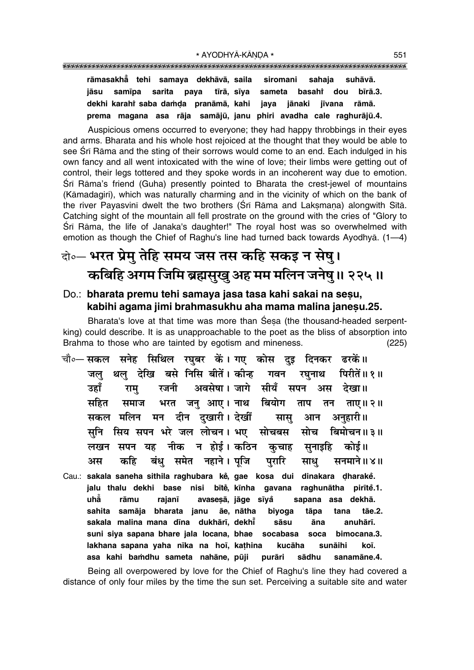#### 

rāmasakhā tehi samaya dekhāvā, saila siromani sahaja suhāvā. samīpa sarita paya tīrā, sīva sameta basaht dou bīrā.3. iāsu jaya jānaki dekhi karahi saba damda pranāmā, kahi iīvana rāmā. prema magana asa rāja samājū, janu phiri avadha cale raghurājū.4.

Auspicious omens occurred to everyone; they had happy throbbings in their eyes and arms. Bharata and his whole host rejoiced at the thought that they would be able to see Srī Rāma and the sting of their sorrows would come to an end. Each indulged in his own fancy and all went intoxicated with the wine of love; their limbs were getting out of control, their legs tottered and they spoke words in an incoherent way due to emotion. Srī Rāma's friend (Guha) presently pointed to Bharata the crest-jewel of mountains (Kāmadagiri), which was naturally charming and in the vicinity of which on the bank of the river Payasvinī dwelt the two brothers (Srī Rāma and Lakṣmaṇa) alongwith Sītā. Catching sight of the mountain all fell prostrate on the ground with the cries of "Glory to Śrī Rāma, the life of Janaka's daughter!" The royal host was so overwhelmed with emotion as though the Chief of Raghu's line had turned back towards Ayodhyā. (1-4)

### वो०- भरत प्रेमु तेहि समय जस तस कहि सकइ न सेषु। कबिहि अगम जिमि ब्रह्मसुखु अह मम मलिन जनेषु ॥ २२५ ॥

#### Do.: bharata premu tehi samaya jasa tasa kahi sakai na sesu, kabihi agama jimi brahmasukhu aha mama malina janesu.25.

Bharata's love at that time was more than Sesa (the thousand-headed serpentking) could describe. It is as unapproachable to the poet as the bliss of absorption into Brahma to those who are tainted by egotism and mineness.  $(225)$ 

- चौ∘—सकल सनेह सिथिल रघुबर कें।गए कोस दुइ दिनकर ढरकें॥ थल देखि बसे निसि बीतें। कीन्ह गवन जल रघनाथ पिरीतें॥ १॥ अवसेषा। जागे सीयँ सपन उहाँ राम रजनी अस देखा॥ भरत जन् आए। नाथ बियोग सहित समाज ताप तन ताए। । २। सकल मलिन मन दीन दखारी। देखीं सास आन अनहारी॥ सिय सपन भरे जल लोचन। भए सोचबस सोच सनि बिमोचन॥३॥ न होई । कठिन कुचाह नीक लखन सपन यह सनाइहि कोई।। बंध समेत नहाने। पुजि पुरारि अस कहि साध सनमाने ॥ ४ ॥ Cau.: sakala saneha sithila raghubara ke, gae kosa dui dinakara dharake.
- jalu thalu dekhi base nisi bītě, kīnha gavana raghunātha pirīte.1. uhằ rāmu avasesā, jāge sīyå sapana asa dekhā. rajanī sahita samāja bharata janu āe, nātha tana tāe.2. biyoga tāpa sakala malina mana dīna dukhārī, dekhī sāsu anuhārī. āna suni siya sapana bhare jala locana, bhae socabasa soca bimocana.3. lakhana sapana yaha nīka na hoī, kathina kucāha sunāihi koī. asa kahi bamdhu sameta nahāne, pūji purāri sādhu sanamāne.4.

Being all overpowered by love for the Chief of Raghu's line they had covered a distance of only four miles by the time the sun set. Perceiving a suitable site and water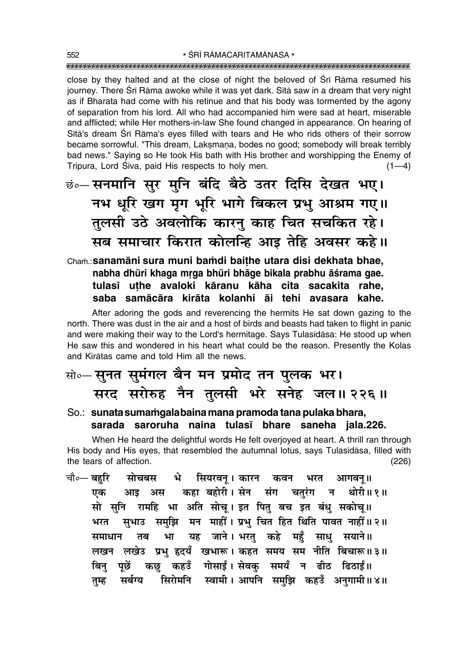close by they halted and at the close of night the beloved of Sri Rama resumed his journey. There Śrī Rāma awoke while it was yet dark. Sītā saw in a dream that very night as if Bharata had come with his retinue and that his body was tormented by the agony of separation from his lord. All who had accompanied him were sad at heart, miserable and afflicted; while Her mothers-in-law She found changed in appearance. On hearing of Sita's dream Sri Rama's eves filled with tears and He who rids others of their sorrow became sorrowful. "This dream, Laksmana, bodes no good; somebody will break terribly bad news." Saying so He took His bath with His brother and worshipping the Enemy of Tripura, Lord Śiva, paid His respects to holy men.  $(1-4)$ 

छं० सनमानि सुर मुनि बंदि बैठे उतर दिसि देखत भए। नभ धूरि खग मृग भूरि भागे बिकल प्रभु आश्रम गए।। तुलसी उठे अवलोकि कारन् काह चित सचकित रहे। सब समाचार किरात कोलन्हि आड़ तेहि अवसर कहे।।

Cham.: Sanamāni sura muni bamdi baithe utara disi dekhata bhae, nabha dhūri khaga mrga bhūri bhāge bikala prabhu āśrama gae. tulasī uthe avaloki kāranu kāha cita sacakita rahe, saba samācāra kirāta kolanhi āi tehi avasara kahe.

After adoring the gods and reverencing the hermits He sat down gazing to the north. There was dust in the air and a host of birds and beasts had taken to flight in panic and were making their way to the Lord's hermitage. Says Tulasidasa: He stood up when He saw this and wondered in his heart what could be the reason. Presently the Kolas and Kirātas came and told Him all the news.

- सो॰-सूनत सुमंगल बैन मन प्रमोद तन पुलक भर। सरद सरोरुह नैन तुलसी भरे सनेह जल॥ २२६॥
- So.: sunata sumamgala baina mana pramoda tana pulaka bhara, sarada saroruha naina tulasī bhare saneha jala.226.

When He heard the delightful words He felt overjoyed at heart. A thrill ran through His body and His eyes, that resembled the autumnal lotus, says Tulasidasa, filled with the tears of affection.  $(226)$ 

चौ∘— बहरि मोचबस भे सियरवन् । कारन कवन भरत आगवन् ।। आइ अस कहा बहोरी।सेन संग चतुरंग न थोरी॥१॥ एक सो सुनि रामहि भा अति सोच् । इत पितु बच इत बंधु सकोच् ॥ सुभाउ समुझि मन माहीं। प्रभु चित हित थिति पावत नाहीं॥ २॥ भरत यह जाने। भरतु कहे महँ साधु सयाने॥ समाधान तब भा लखन लखेउ प्रभु हृदयँ खभारू। कहत समय सम नीति बिचारू॥३॥ कछु कहउँ गोसाईं। सेवकु समयँ न ढीठ ढिठाईं॥ पछें बिन सर्बग्य सिरोमनि स्वामी।अापनि समझि कहउँ अनगामी॥४॥ तम्ह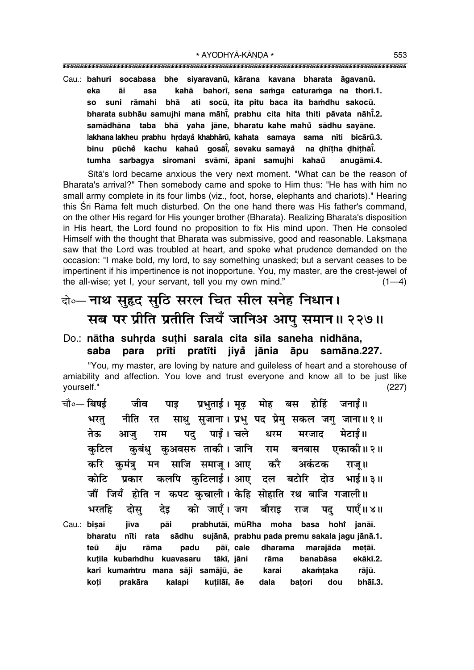Cau.: bahuri socabasa bhe siyaravanū, kārana kavana bharata āgavanū. bahorī, sena samga caturamga na thorī.1. kahā eka āi asa ati socū, ita pitu baca ita bamdhu sakocū. so suni rāmahi bhā bharata subhāu samujhi mana māhi, prabhu cita hita thiti pāvata nāhi.2. samādhāna taba bhā yaha jāne, bharatu kahe mahů sādhu sayāne. lakhana lakheu prabhu hrdayå khabhārū, kahata samaya sama nīti bicārū.3. binu pūchė kachu kahaů gosāi, sevaku-samayå na dhītha dhithāi. tumha sarbagya siromani svāmī, āpani samujhi kahau anugāmī.4.

Sita's lord became anxious the very next moment. "What can be the reason of Bharata's arrival?" Then somebody came and spoke to Him thus: "He has with him no small army complete in its four limbs (viz., foot, horse, elephants and chariots)." Hearing this Srī Rāma felt much disturbed. On the one hand there was His father's command, on the other His regard for His younger brother (Bharata). Realizing Bharata's disposition in His heart, the Lord found no proposition to fix His mind upon. Then He consoled Himself with the thought that Bharata was submissive, good and reasonable. Laksmana saw that the Lord was troubled at heart, and spoke what prudence demanded on the occasion: "I make bold, my lord, to say something unasked; but a servant ceases to be impertinent if his impertinence is not inopportune. You, my master, are the crest-jewel of the all-wise; yet I, your servant, tell you my own mind."  $(1-4)$ 

### वे॰- नाथ सुहृद सुठि सरल चित सील सनेह निधान। सब पर प्रीति प्रतीति जियँ जानिअ आपु समान॥ २२७॥

Do.: nātha suhrda suthi sarala cita sīla saneha nidhāna, saba para prīti pratīti jivå jānia āpu samāna.227.

"You, my master, are loving by nature and quileless of heart and a storehouse of amiability and affection. You love and trust everyone and know all to be just like vourself."  $(227)$ 

प्रभुताई। मूढ़ मोह बस होहिं जनाई॥ चौ०- बिषई जीव पाड साधु सजाना। प्रभु पद प्रेमु सकल जगु जाना॥१॥ नीति रत भरत तेऊ आज राम पद पाई। चले धरम मेटाई।। मरजाद कुबंधु कुअवसरु ताकी। जानि कटिल बनबास एकाकी॥२॥ राम करि कमंत्र मन साजि समाज् । आए कौ अकंटक राजु ॥ कलपि कुटिलाई। आए दल कोटि प्रकार बटोरि दोउ भाई ॥ ३ ॥ जौं जियँ होति न कपट कुचाली। केहि सोहाति रथ बाजि गजाली॥ को जाएँ। जग बौराइ भरतहि देड़ दोस् पाएँ ॥ ४ ॥ राज पद prabhutāi, mūRha moha basa hohi janāi. Cau.: bisaī jīva pāi bharatu nīti rata sādhu sujānā, prabhu pada premu sakala jagu jānā.1. teū padu pāī, cale dharama marajāda metāī. āju rāma kutila kubamdhu kuavasaru tākī, jāni banabāsa ekākī.2. rāma

kuțilāī, āe

akamtaka

dou

batori

karai

dala

rājū.

bhāī.3.

kari kumamtru mana sāji samājū, āe

prakāra

koti

kalapi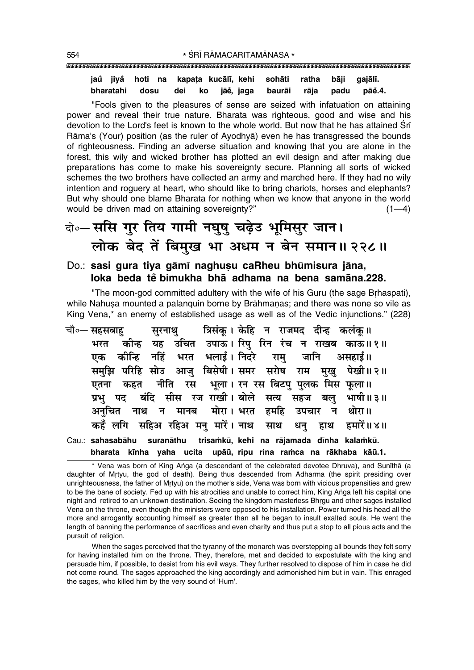#### jaů jiyå hoti na kapata kucālī, kehi sohāti ratha bāji gajālī. bharatahi dosu dei ko jāě, jaga baurāi padu pāĕ.4. rāja

"Fools given to the pleasures of sense are seized with infatuation on attaining power and reveal their true nature. Bharata was righteous, good and wise and his devotion to the Lord's feet is known to the whole world. But now that he has attained Sri Rāma's (Your) position (as the ruler of Avodhyā) even he has transgressed the bounds of righteousness. Finding an adverse situation and knowing that you are alone in the forest, this wily and wicked brother has plotted an evil design and after making due preparations has come to make his sovereignty secure. Planning all sorts of wicked schemes the two brothers have collected an army and marched here. If they had no wily intention and roguery at heart, who should like to bring chariots, horses and elephants? But why should one blame Bharata for nothing when we know that anyone in the world would be driven mad on attaining sovereignty?"  $(1-4)$ 

### वे०-ससि गुर तिय गामी नघुषु चढ़ेउ भूमिसुर जान। लोक बेद तें बिमुख भा अधम न बेन समान॥ २२८॥

#### Do.: sasi gura tiya gāmī naghusu caRheu bhūmisura jāna, loka beda tě bimukha bha adhama na bena samāna.228.

"The moon-god committed adultery with the wife of his Guru (the sage Brhaspati), while Nahusa mounted a palanguin borne by Brāhmanas; and there was none so vile as King Vena,\* an enemy of established usage as well as of the Vedic injunctions." (228)

|  |  | चौ०— सहसबाहु         सुरनाथु         त्रिसंकू । केहि   न   राजमद   दीन्ह   कलंकू ॥                                                       |
|--|--|------------------------------------------------------------------------------------------------------------------------------------------|
|  |  | भरत कीन्ह यह उचित उपाऊ।सिपु रिन रंच न राखब काऊ॥१॥                                                                                        |
|  |  | एक कीन्हि नहिं भरत भलाई।।निदरे रामु जानि असहाई॥                                                                                          |
|  |  | समुझि परिहि सोउ आजु बिसेषी। समर सरोष राम मुखु पेखी॥२॥                                                                                    |
|  |  | एतना कहत नीति रस भूला। रन रस बिटपु पुलक मिस फूला॥                                                                                        |
|  |  | प्रभु पद बंदि सीस रज राखी। बोले सत्य सहज बलु भाषी॥३॥                                                                                     |
|  |  | अनुचित नाथ न मानब मोरा। भरत हमहि उपचार न थोरा॥                                                                                           |
|  |  | कहँ लगि सहिअ रहिअ मनु मारें। नाथ साथ धनु हाथ हमारें॥४॥                                                                                   |
|  |  | Cau.: sahasabāhu suranāthu trisamkū, kehi na rājamada dīnha kalamkū.<br>bharata kīnha yaha ucita upāū, ripu rina ramca na rākhaba kāū.1. |

\* Vena was born of King Anga (a descendant of the celebrated devotee Dhruva), and Sunithā (a daughter of Mrtyu, the god of death). Being thus descended from Adharma (the spirit presiding over unrighteousness, the father of Mrtyu) on the mother's side, Vena was born with vicious propensities and grew to be the bane of society. Fed up with his atrocities and unable to correct him, King Anga left his capital one night and retired to an unknown destination. Seeing the kingdom masterless Bhrgu and other sages installed Vena on the throne, even though the ministers were opposed to his installation. Power turned his head all the more and arrogantly accounting himself as greater than all he began to insult exalted souls. He went the length of banning the performance of sacrifices and even charity and thus put a stop to all pious acts and the pursuit of religion.

When the sages perceived that the tyranny of the monarch was overstepping all bounds they felt sorry for having installed him on the throne. They, therefore, met and decided to expostulate with the king and persuade him, if possible, to desist from his evil ways. They further resolved to dispose of him in case he did not come round. The sages approached the king accordingly and admonished him but in vain. This enraged the sages, who killed him by the very sound of 'Hum'.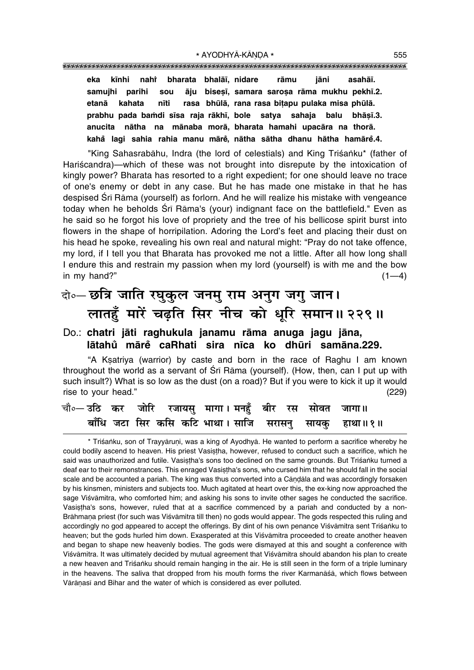**eka k∂nhi nahiÚ bharata bhalå∂, nidare råmu jåni asahå∂.** samujhi parihi sou āju bisesī, samara sarosa rāma mukhu pekhī.2. etanā kahata nīti rasa bhūlā, rana rasa biţapu pulaka misa phūlā. prabhu pada bamdi sīsa raja rākhī, bole satya sahaja balu bhāṣī.3. **anucita nåtha na månaba morå, bharata hamahi upacåra na thorå. kaha° lagi sahia rahia manu måre°, nåtha såtha dhanu håtha hamåre°.4.**

"King Sahasrabāhu, Indra (the lord of celestials) and King Triśanku\* (father of Hariscandra)—which of these was not brought into disrepute by the intoxication of kingly power? Bharata has resorted to a right expedient; for one should leave no trace of one's enemy or debt in any case. But he has made one mistake in that he has despised Śrī Rāma (yourself) as forlorn. And he will realize his mistake with vengeance today when he beholds Śrī Rāma's (your) indignant face on the battlefield." Even as he said so he forgot his love of propriety and the tree of his bellicose spirit burst into flowers in the shape of horripilation. Adoring the Lord's feet and placing their dust on his head he spoke, revealing his own real and natural might: "Pray do not take offence, my lord, if I tell you that Bharata has provoked me not a little. After all how long shall I endure this and restrain my passion when my lord (yourself) is with me and the bow in my hand?"  $(1-4)$ 

### दो**०– छत्रि जाति रघुकूल जनमु राम अनुग जगु जान।** लातहुँ मारें चढ़ति सिर नीच को धूरि समान॥ २२९॥

#### Do.: **chatri jåti raghukula janamu råma anuga jagu jåna, låtahu° måre° caRhati sira n∂ca ko dhµuri samåna.229.**

ìA K¶atriya (warrior) by caste and born in the race of Raghu I am known throughout the world as a servant of Srī Rāma (yourself). (How, then, can I put up with such insult?) What is so low as the dust (on a road)? But if you were to kick it up it would rise to your head." (229)

|  |  | चौ∘— उठि कर जोरि रजायसु मागा। मनहुँ बीर रस सोवत जागा॥    |  |  |
|--|--|----------------------------------------------------------|--|--|
|  |  | बाँधि जटा सिर कसि कटि भाथा। साजि  सरासनु  सायकु  हाथा॥१॥ |  |  |

\* Triśanku, son of Trayyāruņi, was a king of Ayodhyā. He wanted to perform a sacrifice whereby he could bodily ascend to heaven. His priest Vasistha, however, refused to conduct such a sacrifice, which he said was unauthorized and futile. Vasistha's sons too declined on the same grounds. But Triśańku turned a deaf ear to their remonstrances. This enraged Vasistha's sons, who cursed him that he should fall in the social scale and be accounted a pariah. The king was thus converted into a Candala and was accordingly forsaken by his kinsmen, ministers and subjects too. Much agitated at heart over this, the ex-king now approached the sage Viśvāmitra, who comforted him; and asking his sons to invite other sages he conducted the sacrifice. Vasistha's sons, however, ruled that at a sacrifice commenced by a pariah and conducted by a non-Brāhmaņa priest (for such was Viśvāmitra till then) no gods would appear. The gods respected this ruling and accordingly no god appeared to accept the offerings. By dint of his own penance Viśvāmitra sent Triśaṅku to heaven; but the gods hurled him down. Exasperated at this Viśvāmitra proceeded to create another heaven and began to shape new heavenly bodies. The gods were dismayed at this and sought a conference with Viśvāmitra. It was ultimately decided by mutual agreement that Viśvāmitra should abandon his plan to create a new heaven and Triśanku should remain hanging in the air. He is still seen in the form of a triple luminary in the heavens. The saliva that dropped from his mouth forms the river Karmanāsa, which flows between Vārānasī and Bihar and the water of which is considered as ever polluted.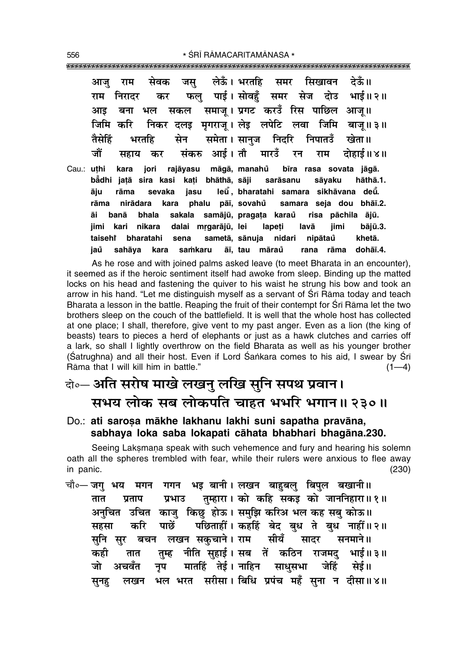मेवक लेऊँ। भरतहि सिखावन देऊँ॥ जस समर आज राम पाई। सोवहँ समर सेज दोउ राम निरादर भाई॥ २॥ कर फल समाज् । प्रगट करउँ रिस पाछिल आज् ॥ आड बना भल सकल जिमि करि निकर दलड मगराज। लेड लपेटि लवा जिमि बाज॥३॥ समेता। सानुज तैमेहिं मेन निदरि निपातउँ भरतहि खेता॥ जौं आई । तौ मारउँ संकरु दोहाई ॥ ४ ॥ सहाय कर रन राम Cau.: uthi rajāyasu māgā, manahů bīra rasa sovata jāgā. kara jori bādhi jatā sira kasi kati bhāthā, sāji hāthā.1. sarāsanu sāyaku rāma leū, bharatahi samara sikhāvana deū. āju sevaka jasu rāma nirādara kara phalu pāī, sovahů samara seja dou bhāī.2. banā bhala sakala samājū, pragata karaŭ risa pāchila ājū. āi **iimi** kari nikara dalai mrgarājū, lei lapeti lavā jimi bājū.3. sena taiseht bharatahi sametā, sānuja nidari nipātaů khetā. āī, tau māraů iaů sahāya kara samkaru rana rāma dohāī.4.

As he rose and with joined palms asked leave (to meet Bharata in an encounter). it seemed as if the heroic sentiment itself had awoke from sleep. Binding up the matted locks on his head and fastening the quiver to his waist he strung his bow and took an arrow in his hand. "Let me distinguish myself as a servant of Sri Rāma today and teach Bharata a lesson in the battle. Reaping the fruit of their contempt for Sri Rama let the two brothers sleep on the couch of the battlefield. It is well that the whole host has collected at one place; I shall, therefore, give vent to my past anger. Even as a lion (the king of beasts) tears to pieces a herd of elephants or just as a hawk clutches and carries off a lark, so shall I lightly overthrow on the field Bharata as well as his younger brother (Satrughna) and all their host. Even if Lord Sankara comes to his aid, I swear by Sri Rāma that I will kill him in battle."  $(1-4)$ 

### केन्ट अति सरोष माखे लखन् लखि सुनि सपथ प्रवान। सभय लोक सब लोकपति चाहत भभरि भगान॥ २३०॥

#### Do.: ati sarosa mākhe lakhanu lakhi suni sapatha pravāna, sabhaya loka saba lokapati cāhata bhabhari bhagāna.230.

Seeing Laksmana speak with such vehemence and fury and hearing his solemn oath all the spheres trembled with fear, while their rulers were anxious to flee away in panic.  $(230)$ 

चौ०— जग भय गगन भइ बानी। लखन बाहबल् बिपुल बखानी॥ मगन प्रभाउ तुम्हारा। को कहि सकइ को जाननिहारा॥१॥ तात प्रताप अनुचित उचित काजु किछु होऊ। समुझि करिअ भल कह सबु कोऊ॥ पछिताहीं। कहहिं बेद बुध ते बुध नाहीं॥२॥ करि पाछें सहसा सनि सर बचन लखन सकचाने। राम सादर सीयँ सनमाने ॥ कही नीति सुहाई। सब तें कठिन राजमदु भाई ॥ ३ ॥ तात तुम्ह मातहिं तेई। नाहिन जेहिं जो साधुसभा अचवॅत नप सेई॥ भल भरत सरीसा। बिधि प्रपंच महँ सना न दीसा॥४॥ लखन सनह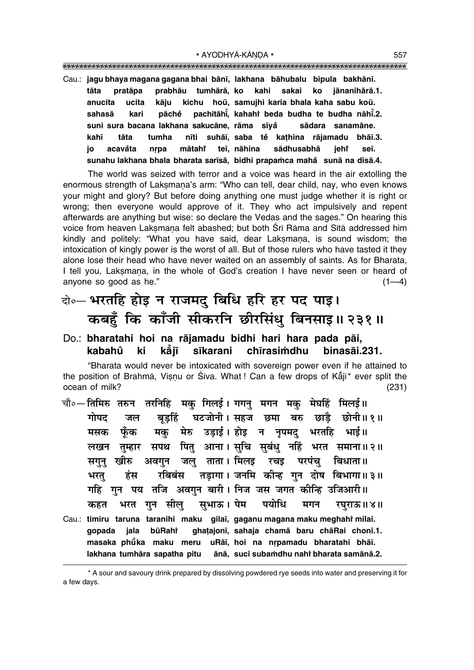"""""""""""""""""""""""""""""""""""""""""""""""""""""""""""""""""""""""""""""""""""

Cau.: **jagu bhaya magana gagana bhai bån∂, lakhana båhubalu bipula bakhån∂. tåta pratåpa prabhåu tumhårå, ko kahi sakai ko jånanihårå.1. anucita ucita kåju kichu hoµu, samujhi karia bhala kaha sabu koµu. sahasā kari pāchĕ pachitāhi̇̃, kahah**↑ beda budha te budha nāhi̇̃.2. **suni sura bacana lakhana sakucåne, råma s∂ya° sådara sanamåne. kah∂ tåta tumha n∂ti suhå∂, saba te° ka¢hina råjamadu bhå∂.3. jo acavåta nrpa mātahi teī, nāhina sādhusabhā jehi se∂. sunahu lakhana bhala bharata sar∂så, bidhi prapa≈ca maha° sunå na d∂så.4.**

The world was seized with terror and a voice was heard in the air extolling the enormous strength of Laksmana's arm: "Who can tell, dear child, nay, who even knows your might and glory? But before doing anything one must judge whether it is right or wrong; then everyone would approve of it. They who act impulsively and repent afterwards are anything but wise: so declare the Vedas and the sages." On hearing this voice from heaven Laksmana felt abashed; but both Śrī Rāma and Sītā addressed him kindly and politely: "What you have said, dear Laksmana, is sound wisdom; the intoxication of kingly power is the worst of all. But of those rulers who have tasted it they alone lose their head who have never waited on an assembly of saints. As for Bharata, I tell you, Laksmana, in the whole of God's creation I have never seen or heard of anyone so good as he."  $(1-4)$ 

### दो**0– भरतहि होइ न राजमदु बिधि हरि हर पद पाइ। कबहँ कि काँजी सीकरनि छीरसिंधु बिनसाइ॥ २३१॥**

Do.: **bharatahi hoi na råjamadu bidhi hari hara pada påi, kabahu° ki kå° j∂ s∂karani ch∂rasi≈dhu binasåi.231.**

ìBharata would never be intoxicated with sovereign power even if he attained to the position of Brahmā, Viṣṇu or Śiva. What ! Can a few drops of Kẳjī\* ever split the ocean of milk? (231)

चौ०**— तिमिरु तरुन तरनिहि मक् गिलई। गगन् मगन मक् मेघहिं मिलई॥** गोपद जल बुडहिं घटजोनी।सहज छमा बरु छाड़ै छोनी॥१॥ ँ **मसक फूँक मकु मेरु उड़ाई। होइ न नृपमदु** भरतहि भाई।। **लखन तुम्हार सपथ पितु आना। सुचि सुबंधु नहिं भरत समाना॥२॥** सगुनु खीरु अवगुन जलु ताता। मिलइ रचइ परपंच बिधाता॥ भरत् हंस रबिबंस तड़ागा।**जनमि कीन्ह गुन दोष बिभागा॥३॥** <u>गहि</u> गुन पय तजि अवगुन बारी। निज जस जगत कीन्हि उजिआरी॥ कहत भरत गुन सीलु सुभाऊ।**पेम पयोधि मगन रघुराऊ॥४॥** Cau.: **timiru taruna taranihi maku gilaī, gaganu magana maku meghahi mil<mark>aī.</mark> gopada jala bµuRahiÚ gha¢ajon∂, sahaja chamå baru chåRai chon∂.1. masaka phū̃ka maku meru uRāī, hoi na nṛpamadu bharatahi bhāī. lakhana tumhāra sapatha pitu bharata samånå.2.**

<sup>\*</sup> A sour and savoury drink prepared by dissolving powdered rye seeds into water and preserving it for a few days.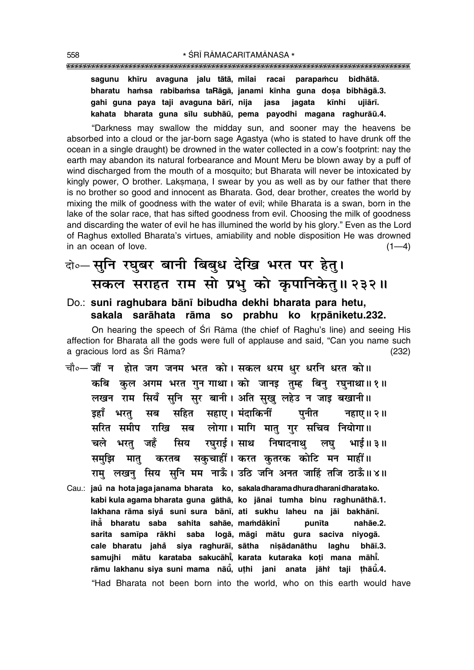sagunu khīru avaguna jalu tātā, milai racai parapamcu bidhātā. bharatu hamsa rabibamsa taRāgā, janami kīnha guna dosa bibhāgā.3. gahi guna paya taji ayaguna bārī, nija iagata iasa kīnhi uijārī. kahata bharata guna sīlu subhāū, pema payodhi magana raghurāū.4.

"Darkness may swallow the midday sun, and sooner may the heavens be absorbed into a cloud or the jar-born sage Agastya (who is stated to have drunk off the ocean in a single draught) be drowned in the water collected in a cow's footprint; nay the earth may abandon its natural forbearance and Mount Meru be blown away by a puff of wind discharged from the mouth of a mosquito; but Bharata will never be intoxicated by kingly power, O brother. Laksmana, I swear by you as well as by our father that there is no brother so good and innocent as Bharata. God, dear brother, creates the world by mixing the milk of goodness with the water of evil; while Bharata is a swan, born in the lake of the solar race, that has sifted goodness from evil. Choosing the milk of goodness and discarding the water of evil he has illumined the world by his glory." Even as the Lord of Raghus extolled Bharata's virtues, amiability and noble disposition He was drowned in an ocean of love.  $(1-4)$ 

### बे-सुनि रघुबर बानी बिबुध देखि भरत पर हेतु। सकल सराहत राम सो प्रभु को कृपानिकेतु॥ २३२॥

#### Do.: suni raghubara bānī bibudha dekhi bharata para hetu, sakala sarāhata rāma so prabhu ko krpāniketu.232.

On hearing the speech of Sri Rama (the chief of Raghu's line) and seeing His affection for Bharata all the gods were full of applause and said, "Can you name such a gracious lord as Śrī Rāma?  $(232)$ 

- चौ∘— जौं न होत जग जनम भरत को। सकल धरम धुर धरनि धरत को॥ कबि कुल अगम भरत गुन गाथा। को जानइ तुम्ह बिनु रघुनाथा॥१॥ लखन राम सियँ सुनि सुर बानी। अति सुखु लहेउ न जाइ बखानी॥ डहाँ भरत सब सहित सहाए। मंदाकिनीं पनीत नहाए।। २॥ सरित समीप राखि सब लोगा। मागि मातु गुर सचिव नियोगा॥ चले भरत जहँ सिय रघराई।साथ निषादनाथ लघ भाई॥३॥ करतब सकुचाहीं। करत कृतरक कोटि मन माहीं॥ समझि मात राम लखन सिय सनि मम नाऊँ। उठि जनि अनत जाहिं तजि ठाऊँ॥४॥
- Cau.: jaŭ na hota jaga janama bharata ko, sakaladharamadhuradharanidharatako. kabi kula agama bharata guna gāthā, ko jānai tumha binu raghunāthā.1. lakhana rāma siya suni sura bānī, ati sukhu laheu na jāi bakhānī. ihå bharatu saba sahita sahāe, mamdākini punīta nahāe.2. sarita samīpa rākhi saba logā, māgi mātu gura saciva niyogā. cale bharatu jahå siya raghurāi, sātha nisādanāthu laghu bhāi.3. samujhi mātu karataba sakucāhi, karata kutaraka koți mana māhi. rāmu lakhanu siya suni mama nāū, uthi jani anata jāhi taji thāu.4. "Had Bharata not been born into the world, who on this earth would have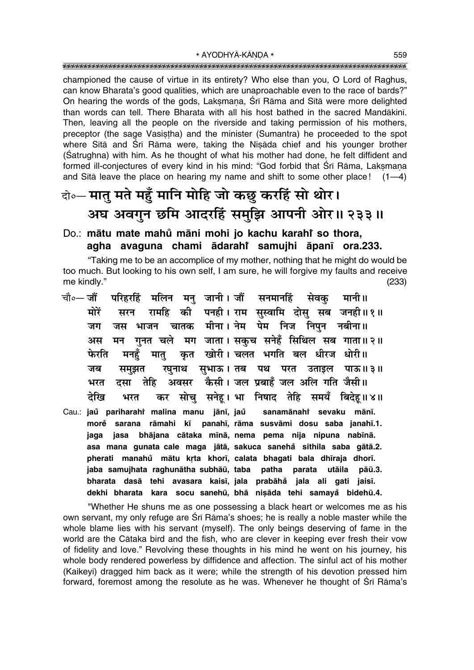championed the cause of virtue in its entirety? Who else than you, O Lord of Raghus, can know Bharata's good gualities, which are unaproachable even to the race of bards?" On hearing the words of the gods, Laksmana, Śrī Rāma and Sītā were more delighted than words can tell. There Bharata with all his host bathed in the sacred Mandākinī. Then, leaving all the people on the riverside and taking permission of his mothers, preceptor (the sage Vasistha) and the minister (Sumantra) he proceeded to the spot where Sītā and Śrī Rāma were, taking the Nisāda chief and his younger brother (Satrughna) with him. As he thought of what his mother had done, he felt diffident and formed ill-conjectures of every kind in his mind: "God forbid that Śrī Rāma, Laksmana and Sita leave the place on hearing my name and shift to some other place!  $(1-4)$ 

### वे०- मातु मते महुँ मानि मोहि जो कछु करहिं सो थोर। अघ अवगुन छमि आदरहिं समुझि आपनी ओर॥ २३३॥

#### Do.: mātu mate mahů māni mohi jo kachu karahí so thora, agha avaguna chami ādarahi samujhi āpanī ora.233.

"Taking me to be an accomplice of my mother, nothing that he might do would be too much. But looking to his own self, I am sure, he will forgive my faults and receive me kindly."  $(233)$ 

- परिहरहिं मलिन मनु जानी।जौं सनमानहिं सेवकु चौ०— जौं मानी॥ सरन रामहि की पनही। राम सुस्वामि दोसु सब जनही॥१॥ मोरें जस भाजन चातक मीना। नेम पेम निज निपुन नबीना॥ जग मन गनत चले मग जाता। सकच सनेहँ सिथिल सब गाता॥२॥ अस कृत खोरी। चलत भगति बल धीरज धोरी॥ फेरति मनहँ मात् रघुनाथ सुभाऊ। तब पथ परत उताइल पाऊ॥३॥ जब समझत अवसर कैसी। जल प्रबाहँ जल अलि गति जैसी॥ भरत दसा तेहि कर सोचु सनेहू। भा निषाद तेहि समयँ बिदेहू॥४॥ देखि भरत
- Cau.: jaů pariharahř malina manu jānī, jaů sanamānahi sevaku mānī. morė sarana rāmahi kī panahī, rāma susvāmi dosu saba janahī.1. jasa bhājana cātaka mīnā, nema pema nija nipuna nabīnā. jaga asa mana gunata cale maga jātā, sakuca sanehå sithila saba gātā.2. pherati manahů mātu krta khorī, calata bhagati bala dhīraja dhorī. jaba samujhata raghunātha subhāū, taba patha parata utāila  $p\bar{a}\bar{u}.3.$ bharata dasā tehi avasara kaisī, jala prabāhå jala ali gati jaisī. dekhi bharata kara socu sanehū, bhā nișāda tehi samayă bidehū.4.

"Whether He shuns me as one possessing a black heart or welcomes me as his own servant, my only refuge are Srī Rāma's shoes; he is really a noble master while the whole blame lies with his servant (myself). The only beings deserving of fame in the world are the Cātaka bird and the fish, who are clever in keeping ever fresh their vow of fidelity and love." Revolving these thoughts in his mind he went on his journey, his whole body rendered powerless by diffidence and affection. The sinful act of his mother (Kaikeyī) dragged him back as it were; while the strength of his devotion pressed him forward, foremost among the resolute as he was. Whenever he thought of Sri Rāma's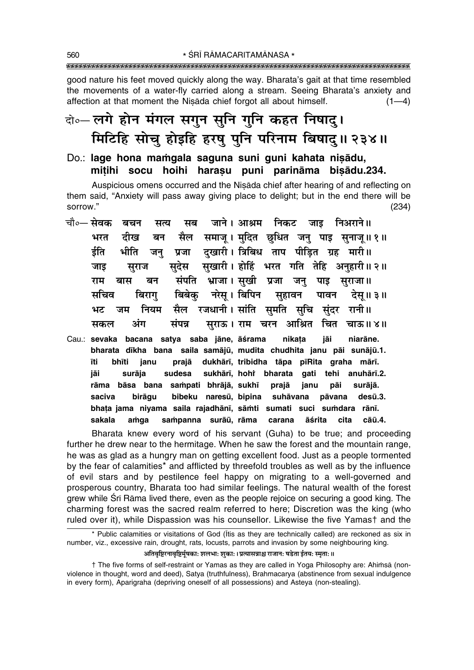good nature his feet moved quickly along the way. Bharata's gait at that time resembled the movements of a water-fly carried along a stream. Seeing Bharata's anxiety and affection at that moment the Nisada chief forgot all about himself.  $(1-4)$ 

### दो०- लगे होन मंगल सगुन सुनि गुनि कहत निषादु। मिटिहि सोचु होइहि हरषु पुनि परिनाम बिषादु॥ २३४॥

Do.: lage hona mamgala saguna suni guni kahata nisādu, mitihi socu hoihi harasu puni parināma bisādu.234.

Auspicious omens occurred and the Nisada chief after hearing of and reflecting on them said, "Anxiety will pass away giving place to delight; but in the end there will be sorrow."  $(234)$ 

- चौ०— सेवक सब जाने। आश्रम निकट जाड निअराने॥ बचन सत्य सैल समाज् । मुदित छुधित जन् पाइ सुनाज्॥१॥ भरत दीख बन दुखारी। त्रिबिध ताप पीड़ित ग्रह मारी॥ र्डति भीति प्रजा जन सखारी। होहिं भरत गति तेहि अनुहारी॥२॥ सदेस जाड सराज संपति भ्राजा। सखी प्रजा राम बास बन जन पाइ सराजा॥ बिबेक नरेस । बिपिन मचिव बिराग सुहावन पावन देस॥ ३॥ नियम रजधानी। सांति समति सचि संदर रानी॥ मैल भट जम अंग संपन्न सुराऊ । राम चरन आश्रित चित चाऊ॥४॥ सकल
- Cau.: sevaka bacana satya saba jāne, āśrama nikata jāi niarāne. bharata dīkha bana saila samājū, mudita chudhita janu pāi sunājū.1. īti bhīti dukhārī, tribidha tāpa pīRita graha mārī. ianu praiā jāi surāia sudesa sukhārī, hohi bharata gati tehi anuhārī.2. rāma bāsa bana sampati bhrājā, sukhī prajā janu pāi surājā. bibeku naresū, bipina suhāvana saciva birāgu pāvana desū.3. bhața jama niyama saila rajadhānī, sāmti sumati suci sumdara rānī. sampanna surāū, rāma sakala amaa carana āśrita cita cāū.4.

Bharata knew every word of his servant (Guha) to be true; and proceeding further he drew near to the hermitage. When he saw the forest and the mountain range. he was as glad as a hungry man on getting excellent food. Just as a people tormented by the fear of calamities\* and afflicted by threefold troubles as well as by the influence of evil stars and by pestilence feel happy on migrating to a well-governed and prosperous country, Bharata too had similar feelings. The natural wealth of the forest grew while Srī Rāma lived there, even as the people rejoice on securing a good king. The charming forest was the sacred realm referred to here; Discretion was the king (who ruled over it), while Dispassion was his counsellor. Likewise the five Yamast and the

#### अतिवृष्टिरनावृष्टिर्मुषका: शलभा: शुका: ।प्रत्यासन्नाश्च राजान: षडेता ईतय: स्मृता: ॥

† The five forms of self-restraint or Yamas as they are called in Yoga Philosophy are: Ahimsa (nonviolence in thought, word and deed), Satya (truthfulness), Brahmacarya (abstinence from sexual indulgence in every form), Aparigraha (depriving oneself of all possessions) and Asteya (non-stealing).

<sup>\*</sup> Public calamities or visitations of God (Itis as they are technically called) are reckoned as six in number, viz., excessive rain, drought, rats, locusts, parrots and invasion by some neighbouring king.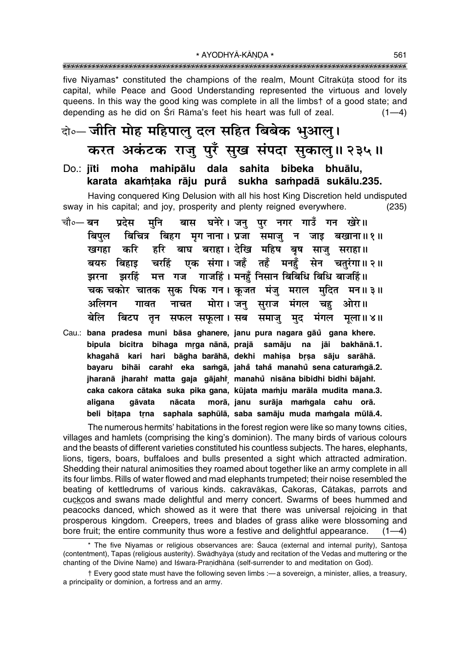\* AYODHYĀ-KĀNDA \* 

five Niyamas\* constituted the champions of the realm, Mount Citrakūta stood for its capital, while Peace and Good Understanding represented the virtuous and lovely queens. In this way the good king was complete in all the limbst of a good state; and depending as he did on Śrī Rāma's feet his heart was full of zeal.  $(1-4)$ 

### वे०- जीति मोह महिपालु दल सहित बिबेक भुआलु। करत अकंटक राजू पूरँ सूख संपदा सुकालु॥ २३५॥

Do.: iīti moha mahipālu daļa sahita bibeka bhuālu. karata akamtaka rāju purå sukha sampadā sukālu.235.

Having conquered King Delusion with all his host King Discretion held undisputed sway in his capital; and joy, prosperity and plenty reigned everywhere.  $(235)$ 

- बास घनेरे। जनु पुर नगर गाउँ गन खेरे॥ चौ०— बन प्रदेस मनि बिचित्र बिहग मगनाना। प्रजा समाज न जाइ बखाना॥१॥ बिपल बाघ बराहा। देखि महिष बूष साज सराहा॥ करि हरि खगहा एक संगा। जहँ तहँ मनहँ सेन चतरंगा॥२॥ चरहिं बयरु बिहाड मत्त गज गाजहिं। मनहँ निसान बिबिधि बिधि बाजहिं॥ झरहिं झरना चक चकोर चातक सक पिक गन। कजत मंजु मराल मदित मन॥३॥ अलिगन नाचत मोरा । जनु सुराज गावत मंगल चह ओरा॥ बेलि बिटप तून सफल सफूला। सब समाजु मुद मंगल मला॥४॥
- Cau.: bana pradesa muni bāsa ghanere, janu pura nagara gāŭ gana khere. bipula bicitra bihaga mrga nānā, prajā samāju na jāi bakhānā.1. khagahā kari hari bāgha barāhā, dekhi mahiṣa bṛṣa sāju sarāhā. bayaru bihāi carahi eka samgā, jahå tahå manahů sena caturamgā.2. jharanā jharahi matta gaja gājahi manahů nisāna bibidhi bidhi bājahi. caka cakora cātaka suka pika gana, kūjata mamju marāla mudita mana.3. morā, janu surāja mamqala cahu orā. aligana aāvata nācata beli bitapa trna saphala saphūlā, saba samāju muda mamgala mūlā.4.

The numerous hermits' habitations in the forest region were like so many towns cities, villages and hamlets (comprising the king's dominion). The many birds of various colours and the beasts of different varieties constituted his countless subjects. The hares, elephants, lions, tigers, boars, buffaloes and bulls presented a sight which attracted admiration. Shedding their natural animosities they roamed about together like an army complete in all its four limbs. Rills of water flowed and mad elephants trumpeted; their noise resembled the beating of kettledrums of various kinds. cakravākas, Cakoras, Cātakas, parrots and cuckcos and swans made delightful and merry concert. Swarms of bees hummed and peacocks danced, which showed as it were that there was universal rejoicing in that prosperous kingdom. Creepers, trees and blades of grass alike were blossoming and bore fruit; the entire community thus wore a festive and delightful appearance.  $(1-4)$ 

<sup>\*</sup> The five Niyamas or religious observances are: Śauca (external and internal purity), Santosa (contentment), Tapas (religious austerity). Swādhyāya (study and recitation of the Vedas and muttering or the chanting of the Divine Name) and Iśwara-Pranidhāna (self-surrender to and meditation on God).

<sup>†</sup> Every good state must have the following seven limbs :—a sovereign, a minister, allies, a treasury, a principality or dominion, a fortress and an army.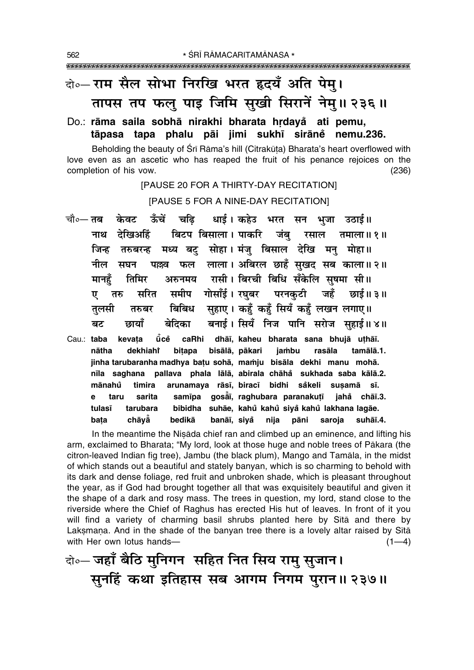### वो०- राम सैल सोभा निरखि भरत हृदयँ अति पेम्। तापस तप फलु पाइ जिमि सुखी सिरानें नेमु॥ २३६॥

#### Do.: rāma saila sobhā nirakhi bharata hrdayă ati pemu, tāpasa tapa phalu pāi jimi sukhī sirāne nemu.236.

Beholding the beauty of Sri Rama's hill (Citrakuta) Bharata's heart overflowed with love even as an ascetic who has reaped the fruit of his penance rejoices on the completion of his vow.  $(236)$ 

[PAUSE 20 FOR A THIRTY-DAY RECITATION]

[PAUSE 5 FOR A NINE-DAY RECITATION]

- चौ∘— तब केवट ऊँचें धाई। कहेउ भरत सन भुजा उठाई॥ चढि बिटप बिसाला। पाकरि जंबु रसाल तमाला॥१॥ नाथ देखिअहिं मध्य बटु सोहा। मंजु बिसाल देखि मनु मोहा॥ जिन्ह तरुबरन्ह पल्लव फल लाला। अबिरल छाहँ सुखद सब काला॥२॥ नील सघन अरुनमय रासी। बिरची बिधि सँकेलि सुषमा सी॥ मानहँ तिमिर समीप गोसाँई। रघुबर परनकुटी जहँ छाई॥३॥ सरित तरु ए बिबिध सहाए। कहँ कहँ सियँ कहँ लखन लगाए॥ तरुबर तुलसी बनाई। सियँ निज पानि सरोज सुहाई॥४॥ बेदिका बट छायाँ ṻcĕ caRhi dhāī, kaheu bharata sana bhujā uthāī. Cau.: taba kevata
- dekhiaht bitapa bisālā, pākari jambu rasāla tamālā.1. nātha jinha tarubaranha madhya batu sohā, mamju bisāla dekhi manu mohā. nīla saghana pallava phala lālā, abirala chāhå sukhada saba kālā.2. mānahů timira arunamaya rāsī, biracī bidhi såkeli susamā sī. taru sarita samīpa gosāī, raghubara paranakutī jahå chāī.3. e bibidha suhāe, kahů kahů siyå kahů lakhana lagāe. tarubara tulasī chāvă bedikā banāī, siyå nija pāni saroja bata suhāī.4.

In the meantime the Nisada chief ran and climbed up an eminence, and lifting his arm, exclaimed to Bharata; "My lord, look at those huge and noble trees of Pākara (the citron-leaved Indian fig tree), Jambu (the black plum), Mango and Tamāla, in the midst of which stands out a beautiful and stately banyan, which is so charming to behold with its dark and dense foliage, red fruit and unbroken shade, which is pleasant throughout the year, as if God had brought together all that was exquisitely beautiful and given it the shape of a dark and rosy mass. The trees in question, my lord, stand close to the riverside where the Chief of Raghus has erected His hut of leaves. In front of it you will find a variety of charming basil shrubs planted here by Sita and there by Laksmana. And in the shade of the banyan tree there is a lovely altar raised by Sita with Her own lotus hands- $(1-4)$ 

बे॰- जहाँ बैठि मुनिगन सहित नित सिय रामु सुजान। सुनहिं कथा इतिहास सब आगम निगम पुरान॥ २३७॥

562